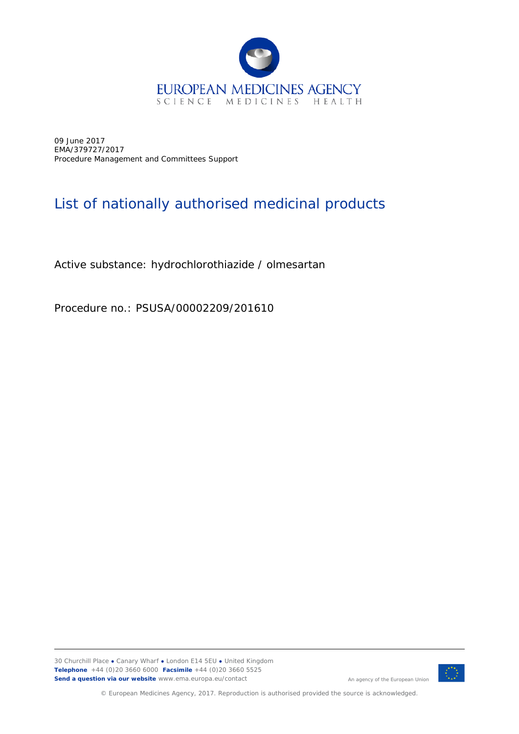

09 June 2017 EMA/379727/2017 Procedure Management and Committees Support

## List of nationally authorised medicinal products

Active substance: hydrochlorothiazide / olmesartan

Procedure no.: PSUSA/00002209/201610



An agency of the European Union

© European Medicines Agency, 2017. Reproduction is authorised provided the source is acknowledged.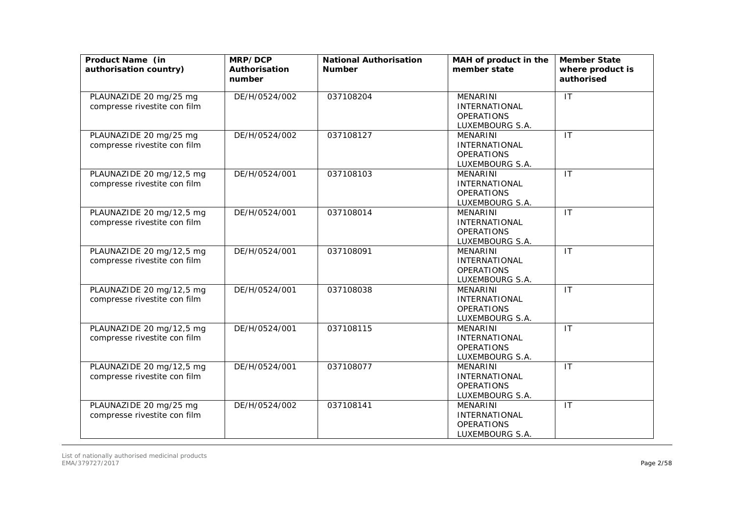| Product Name (in<br>authorisation country)               | MRP/DCP<br>Authorisation<br>number | <b>National Authorisation</b><br><b>Number</b> | MAH of product in the<br>member state                                           | <b>Member State</b><br>where product is<br>authorised |
|----------------------------------------------------------|------------------------------------|------------------------------------------------|---------------------------------------------------------------------------------|-------------------------------------------------------|
| PLAUNAZIDE 20 mg/25 mg<br>compresse rivestite con film   | DE/H/0524/002                      | 037108204                                      | <b>MENARINI</b><br><b>INTERNATIONAL</b><br><b>OPERATIONS</b><br>LUXEMBOURG S.A. | IT                                                    |
| PLAUNAZIDE 20 mg/25 mg<br>compresse rivestite con film   | DE/H/0524/002                      | 037108127                                      | <b>MENARINI</b><br><b>INTERNATIONAL</b><br><b>OPERATIONS</b><br>LUXEMBOURG S.A. | $\overline{\mathsf{I}\mathsf{T}}$                     |
| PLAUNAZIDE 20 mg/12,5 mg<br>compresse rivestite con film | DE/H/0524/001                      | 037108103                                      | <b>MENARINI</b><br><b>INTERNATIONAL</b><br><b>OPERATIONS</b><br>LUXEMBOURG S.A. | IT                                                    |
| PLAUNAZIDE 20 mg/12,5 mg<br>compresse rivestite con film | DE/H/0524/001                      | 037108014                                      | <b>MENARINI</b><br><b>INTERNATIONAL</b><br><b>OPERATIONS</b><br>LUXEMBOURG S.A. | $\mathsf{I}$                                          |
| PLAUNAZIDE 20 mg/12,5 mg<br>compresse rivestite con film | DE/H/0524/001                      | 037108091                                      | <b>MENARINI</b><br><b>INTERNATIONAL</b><br><b>OPERATIONS</b><br>LUXEMBOURG S.A. | $\mathsf{I}\mathsf{T}$                                |
| PLAUNAZIDE 20 mg/12,5 mg<br>compresse rivestite con film | DE/H/0524/001                      | 037108038                                      | <b>MENARINI</b><br><b>INTERNATIONAL</b><br><b>OPERATIONS</b><br>LUXEMBOURG S.A. | IT                                                    |
| PLAUNAZIDE 20 mg/12,5 mg<br>compresse rivestite con film | DE/H/0524/001                      | 037108115                                      | <b>MENARINI</b><br>INTERNATIONAL<br><b>OPERATIONS</b><br>LUXEMBOURG S.A.        | IT                                                    |
| PLAUNAZIDE 20 mg/12,5 mg<br>compresse rivestite con film | DE/H/0524/001                      | 037108077                                      | <b>MENARINI</b><br><b>INTERNATIONAL</b><br><b>OPERATIONS</b><br>LUXEMBOURG S.A. | $\mathsf{I}\mathsf{T}$                                |
| PLAUNAZIDE 20 mg/25 mg<br>compresse rivestite con film   | DE/H/0524/002                      | 037108141                                      | <b>MENARINI</b><br><b>INTERNATIONAL</b><br><b>OPERATIONS</b><br>LUXEMBOURG S.A. | IT                                                    |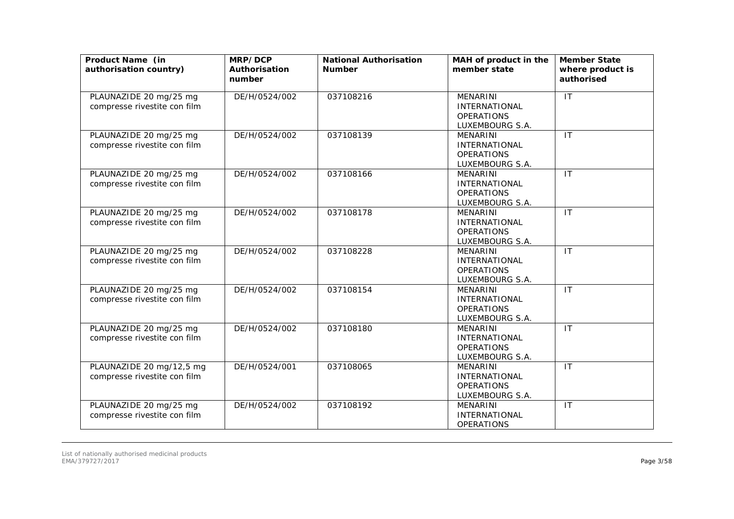| Product Name (in<br>authorisation country)               | MRP/DCP<br>Authorisation<br>number | <b>National Authorisation</b><br><b>Number</b> | MAH of product in the<br>member state                                           | <b>Member State</b><br>where product is<br>authorised |
|----------------------------------------------------------|------------------------------------|------------------------------------------------|---------------------------------------------------------------------------------|-------------------------------------------------------|
| PLAUNAZIDE 20 mg/25 mg<br>compresse rivestite con film   | DE/H/0524/002                      | 037108216                                      | MENARINI<br><b>INTERNATIONAL</b><br><b>OPERATIONS</b><br>LUXEMBOURG S.A.        | IT                                                    |
| PLAUNAZIDE 20 mg/25 mg<br>compresse rivestite con film   | DE/H/0524/002                      | 037108139                                      | <b>MENARINI</b><br><b>INTERNATIONAL</b><br><b>OPERATIONS</b><br>LUXEMBOURG S.A. | IT                                                    |
| PLAUNAZIDE 20 mg/25 mg<br>compresse rivestite con film   | DE/H/0524/002                      | 037108166                                      | <b>MENARINI</b><br><b>INTERNATIONAL</b><br><b>OPERATIONS</b><br>LUXEMBOURG S.A. | IT                                                    |
| PLAUNAZIDE 20 mg/25 mg<br>compresse rivestite con film   | DE/H/0524/002                      | 037108178                                      | <b>MENARINI</b><br><b>INTERNATIONAL</b><br><b>OPERATIONS</b><br>LUXEMBOURG S.A. | IT                                                    |
| PLAUNAZIDE 20 mg/25 mg<br>compresse rivestite con film   | DE/H/0524/002                      | 037108228                                      | <b>MENARINI</b><br>INTERNATIONAL<br><b>OPERATIONS</b><br>LUXEMBOURG S.A.        | IT                                                    |
| PLAUNAZIDE 20 mg/25 mg<br>compresse rivestite con film   | DE/H/0524/002                      | 037108154                                      | <b>MENARINI</b><br><b>INTERNATIONAL</b><br><b>OPERATIONS</b><br>LUXEMBOURG S.A. | $\mathsf{I}\mathsf{T}$                                |
| PLAUNAZIDE 20 mg/25 mg<br>compresse rivestite con film   | DE/H/0524/002                      | 037108180                                      | <b>MENARINI</b><br>INTERNATIONAL<br><b>OPERATIONS</b><br>LUXEMBOURG S.A.        | $\overline{\mathsf{I}\mathsf{T}}$                     |
| PLAUNAZIDE 20 mg/12,5 mg<br>compresse rivestite con film | DE/H/0524/001                      | 037108065                                      | MENARINI<br><b>INTERNATIONAL</b><br><b>OPERATIONS</b><br>LUXEMBOURG S.A.        | $\mathsf{I}\mathsf{T}$                                |
| PLAUNAZIDE 20 mg/25 mg<br>compresse rivestite con film   | DE/H/0524/002                      | 037108192                                      | <b>MENARINI</b><br><b>INTERNATIONAL</b><br><b>OPERATIONS</b>                    | $\mathsf{I}\mathsf{T}$                                |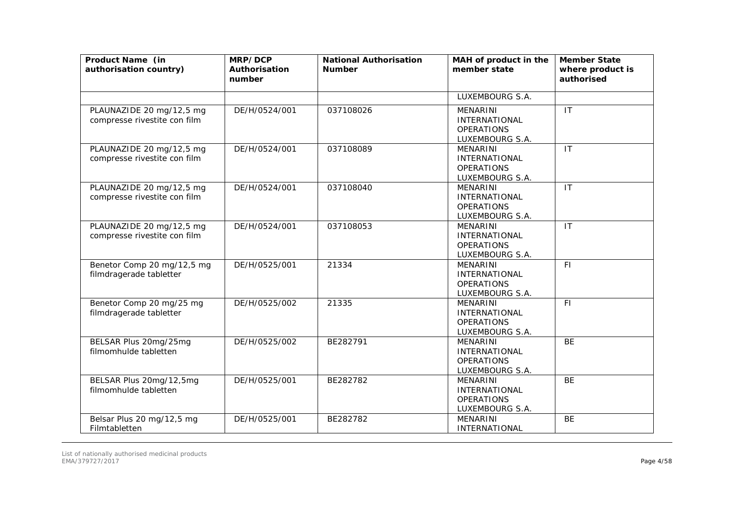| Product Name (in<br>authorisation country)               | MRP/DCP<br>Authorisation<br>number | <b>National Authorisation</b><br><b>Number</b> | MAH of product in the<br>member state                                           | <b>Member State</b><br>where product is<br>authorised |
|----------------------------------------------------------|------------------------------------|------------------------------------------------|---------------------------------------------------------------------------------|-------------------------------------------------------|
|                                                          |                                    |                                                | LUXEMBOURG S.A.                                                                 |                                                       |
| PLAUNAZIDE 20 mg/12,5 mg<br>compresse rivestite con film | DE/H/0524/001                      | 037108026                                      | <b>MENARINI</b><br><b>INTERNATIONAL</b><br><b>OPERATIONS</b><br>LUXEMBOURG S.A. | IT                                                    |
| PLAUNAZIDE 20 mg/12,5 mg<br>compresse rivestite con film | DE/H/0524/001                      | 037108089                                      | <b>MENARINI</b><br><b>INTERNATIONAL</b><br><b>OPERATIONS</b><br>LUXEMBOURG S.A. | $\mathsf{I}\mathsf{T}$                                |
| PLAUNAZIDE 20 mg/12,5 mg<br>compresse rivestite con film | DE/H/0524/001                      | 037108040                                      | <b>MENARINI</b><br><b>INTERNATIONAL</b><br><b>OPERATIONS</b><br>LUXEMBOURG S.A. | IT                                                    |
| PLAUNAZIDE 20 mg/12,5 mg<br>compresse rivestite con film | DE/H/0524/001                      | 037108053                                      | <b>MENARINI</b><br><b>INTERNATIONAL</b><br><b>OPERATIONS</b><br>LUXEMBOURG S.A. | $\mathsf{I}$                                          |
| Benetor Comp 20 mg/12,5 mg<br>filmdragerade tabletter    | DE/H/0525/001                      | 21334                                          | <b>MENARINI</b><br>INTERNATIONAL<br><b>OPERATIONS</b><br>LUXEMBOURG S.A.        | F1                                                    |
| Benetor Comp 20 mg/25 mg<br>filmdragerade tabletter      | DE/H/0525/002                      | 21335                                          | <b>MENARINI</b><br><b>INTERNATIONAL</b><br><b>OPERATIONS</b><br>LUXEMBOURG S.A. | F1                                                    |
| BELSAR Plus 20mg/25mg<br>filmomhulde tabletten           | DE/H/0525/002                      | BE282791                                       | <b>MENARINI</b><br><b>INTERNATIONAL</b><br><b>OPERATIONS</b><br>LUXEMBOURG S.A. | <b>BE</b>                                             |
| BELSAR Plus 20mg/12,5mg<br>filmomhulde tabletten         | DE/H/0525/001                      | BE282782                                       | <b>MENARINI</b><br><b>INTERNATIONAL</b><br><b>OPERATIONS</b><br>LUXEMBOURG S.A. | <b>BE</b>                                             |
| Belsar Plus 20 mg/12,5 mg<br>Filmtabletten               | DE/H/0525/001                      | BE282782                                       | <b>MENARINI</b><br>INTERNATIONAL                                                | <b>BE</b>                                             |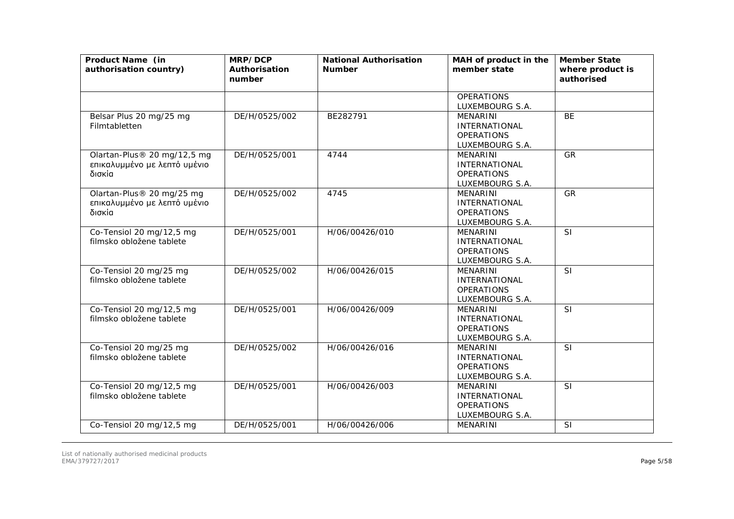| Product Name (in<br>authorisation country)                            | MRP/DCP<br>Authorisation<br>number | <b>National Authorisation</b><br><b>Number</b> | MAH of product in the<br>member state                                           | <b>Member State</b><br>where product is<br>authorised |
|-----------------------------------------------------------------------|------------------------------------|------------------------------------------------|---------------------------------------------------------------------------------|-------------------------------------------------------|
|                                                                       |                                    |                                                | <b>OPERATIONS</b><br>LUXEMBOURG S.A.                                            |                                                       |
| Belsar Plus 20 mg/25 mg<br>Filmtabletten                              | DE/H/0525/002                      | BE282791                                       | <b>MENARINI</b><br><b>INTERNATIONAL</b><br><b>OPERATIONS</b><br>LUXEMBOURG S.A. | <b>BE</b>                                             |
| Olartan-Plus® 20 mg/12,5 mg<br>επικαλυμμένο με λεπτό υμένιο<br>δισκία | DE/H/0525/001                      | 4744                                           | <b>MENARINI</b><br><b>INTERNATIONAL</b><br><b>OPERATIONS</b><br>LUXEMBOURG S.A. | <b>GR</b>                                             |
| Olartan-Plus® 20 mg/25 mg<br>επικαλυμμένο με λεπτό υμένιο<br>δισκία   | DE/H/0525/002                      | 4745                                           | <b>MENARINI</b><br><b>INTERNATIONAL</b><br><b>OPERATIONS</b><br>LUXEMBOURG S.A. | GR                                                    |
| Co-Tensiol 20 mg/12,5 mg<br>filmsko obložene tablete                  | DE/H/0525/001                      | H/06/00426/010                                 | <b>MENARINI</b><br><b>INTERNATIONAL</b><br><b>OPERATIONS</b><br>LUXEMBOURG S.A. | SI                                                    |
| Co-Tensiol 20 mg/25 mg<br>filmsko obložene tablete                    | DE/H/0525/002                      | H/06/00426/015                                 | <b>MENARINI</b><br><b>INTERNATIONAL</b><br><b>OPERATIONS</b><br>LUXEMBOURG S.A. | <b>SI</b>                                             |
| Co-Tensiol 20 mg/12,5 mg<br>filmsko obložene tablete                  | DE/H/0525/001                      | H/06/00426/009                                 | <b>MENARINI</b><br><b>INTERNATIONAL</b><br><b>OPERATIONS</b><br>LUXEMBOURG S.A. | SI                                                    |
| Co-Tensiol 20 mg/25 mg<br>filmsko obložene tablete                    | DE/H/0525/002                      | H/06/00426/016                                 | <b>MENARINI</b><br><b>INTERNATIONAL</b><br><b>OPERATIONS</b><br>LUXEMBOURG S.A. | SI                                                    |
| Co-Tensiol 20 mg/12,5 mg<br>filmsko obložene tablete                  | DE/H/0525/001                      | H/06/00426/003                                 | <b>MENARINI</b><br><b>INTERNATIONAL</b><br><b>OPERATIONS</b><br>LUXEMBOURG S.A. | <b>SI</b>                                             |
| Co-Tensiol 20 mg/12,5 mg                                              | DE/H/0525/001                      | H/06/00426/006                                 | MENARINI                                                                        | SI                                                    |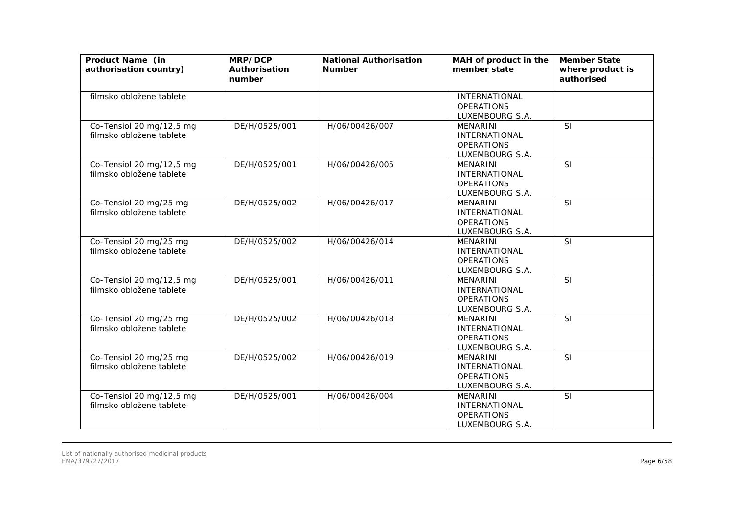| Product Name (in<br>authorisation country)           | MRP/DCP<br>Authorisation<br>number | <b>National Authorisation</b><br><b>Number</b> | MAH of product in the<br>member state                                           | <b>Member State</b><br>where product is<br>authorised |
|------------------------------------------------------|------------------------------------|------------------------------------------------|---------------------------------------------------------------------------------|-------------------------------------------------------|
| filmsko obložene tablete                             |                                    |                                                | <b>INTERNATIONAL</b><br><b>OPERATIONS</b><br>LUXEMBOURG S.A.                    |                                                       |
| Co-Tensiol 20 mg/12,5 mg<br>filmsko obložene tablete | DE/H/0525/001                      | H/06/00426/007                                 | <b>MENARINI</b><br><b>INTERNATIONAL</b><br><b>OPERATIONS</b><br>LUXEMBOURG S.A. | <b>SI</b>                                             |
| Co-Tensiol 20 mg/12,5 mg<br>filmsko obložene tablete | DE/H/0525/001                      | H/06/00426/005                                 | MENARINI<br><b>INTERNATIONAL</b><br><b>OPERATIONS</b><br>LUXEMBOURG S.A.        | $\overline{\mathsf{SI}}$                              |
| Co-Tensiol 20 mg/25 mg<br>filmsko obložene tablete   | DE/H/0525/002                      | H/06/00426/017                                 | <b>MENARINI</b><br><b>INTERNATIONAL</b><br><b>OPERATIONS</b><br>LUXEMBOURG S.A. | SI                                                    |
| Co-Tensiol 20 mg/25 mg<br>filmsko obložene tablete   | DE/H/0525/002                      | H/06/00426/014                                 | <b>MENARINI</b><br><b>INTERNATIONAL</b><br><b>OPERATIONS</b><br>LUXEMBOURG S.A. | <b>SI</b>                                             |
| Co-Tensiol 20 mg/12,5 mg<br>filmsko obložene tablete | DE/H/0525/001                      | H/06/00426/011                                 | MENARINI<br><b>INTERNATIONAL</b><br><b>OPERATIONS</b><br>LUXEMBOURG S.A.        | SI                                                    |
| Co-Tensiol 20 mg/25 mg<br>filmsko obložene tablete   | DE/H/0525/002                      | H/06/00426/018                                 | <b>MENARINI</b><br><b>INTERNATIONAL</b><br><b>OPERATIONS</b><br>LUXEMBOURG S.A. | <b>SI</b>                                             |
| Co-Tensiol 20 mg/25 mg<br>filmsko obložene tablete   | DE/H/0525/002                      | H/06/00426/019                                 | <b>MENARINI</b><br><b>INTERNATIONAL</b><br><b>OPERATIONS</b><br>LUXEMBOURG S.A. | SI                                                    |
| Co-Tensiol 20 mg/12,5 mg<br>filmsko obložene tablete | DE/H/0525/001                      | H/06/00426/004                                 | <b>MENARINI</b><br><b>INTERNATIONAL</b><br><b>OPERATIONS</b><br>LUXEMBOURG S.A. | $\overline{\mathsf{SI}}$                              |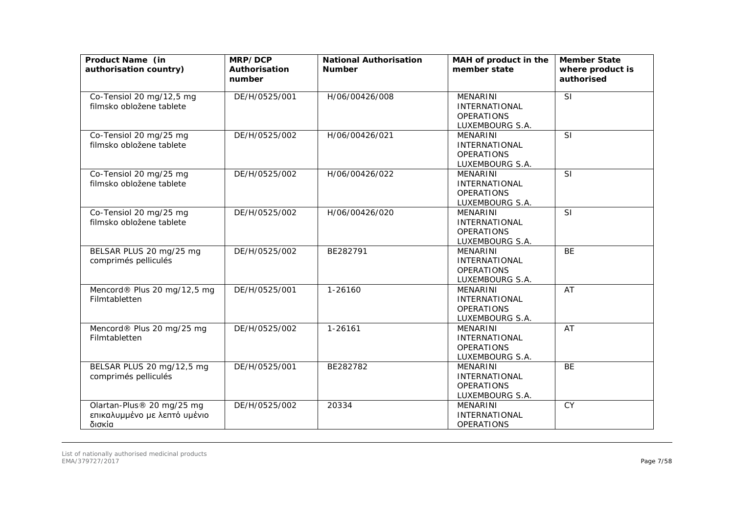| Product Name (in<br>authorisation country)                          | MRP/DCP<br>Authorisation<br>number | <b>National Authorisation</b><br><b>Number</b> | MAH of product in the<br>member state                                           | <b>Member State</b><br>where product is<br>authorised |
|---------------------------------------------------------------------|------------------------------------|------------------------------------------------|---------------------------------------------------------------------------------|-------------------------------------------------------|
| Co-Tensiol 20 mg/12,5 mg<br>filmsko obložene tablete                | DE/H/0525/001                      | H/06/00426/008                                 | MENARINI<br><b>INTERNATIONAL</b><br><b>OPERATIONS</b><br>LUXEMBOURG S.A.        | SI                                                    |
| Co-Tensiol 20 mg/25 mg<br>filmsko obložene tablete                  | DE/H/0525/002                      | H/06/00426/021                                 | <b>MENARINI</b><br><b>INTERNATIONAL</b><br><b>OPERATIONS</b><br>LUXEMBOURG S.A. | $\overline{\mathsf{SI}}$                              |
| Co-Tensiol 20 mg/25 mg<br>filmsko obložene tablete                  | DE/H/0525/002                      | H/06/00426/022                                 | <b>MENARINI</b><br><b>INTERNATIONAL</b><br><b>OPERATIONS</b><br>LUXEMBOURG S.A. | <b>SI</b>                                             |
| Co-Tensiol 20 mg/25 mg<br>filmsko obložene tablete                  | DE/H/0525/002                      | H/06/00426/020                                 | <b>MENARINI</b><br><b>INTERNATIONAL</b><br><b>OPERATIONS</b><br>LUXEMBOURG S.A. | SI                                                    |
| BELSAR PLUS 20 mg/25 mg<br>comprimés pelliculés                     | DE/H/0525/002                      | BE282791                                       | <b>MENARINI</b><br><b>INTERNATIONAL</b><br><b>OPERATIONS</b><br>LUXEMBOURG S.A. | <b>BE</b>                                             |
| Mencord® Plus 20 mg/12,5 mg<br>Filmtabletten                        | DE/H/0525/001                      | 1-26160                                        | <b>MENARINI</b><br><b>INTERNATIONAL</b><br><b>OPERATIONS</b><br>LUXEMBOURG S.A. | AT                                                    |
| Mencord® Plus 20 mg/25 mg<br>Filmtabletten                          | DE/H/0525/002                      | 1-26161                                        | <b>MENARINI</b><br><b>INTERNATIONAL</b><br><b>OPERATIONS</b><br>LUXEMBOURG S.A. | AT                                                    |
| BELSAR PLUS 20 mg/12,5 mg<br>comprimés pelliculés                   | DE/H/0525/001                      | BE282782                                       | MENARINI<br><b>INTERNATIONAL</b><br><b>OPERATIONS</b><br>LUXEMBOURG S.A.        | <b>BE</b>                                             |
| Olartan-Plus® 20 mg/25 mg<br>επικαλυμμένο με λεπτό υμένιο<br>δισκία | DE/H/0525/002                      | 20334                                          | <b>MENARINI</b><br><b>INTERNATIONAL</b><br><b>OPERATIONS</b>                    | <b>CY</b>                                             |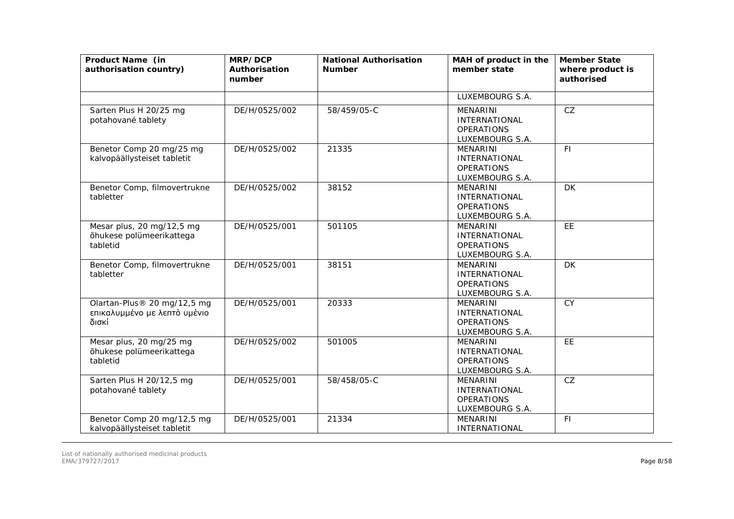| Product Name (in<br>authorisation country)                           | MRP/DCP<br>Authorisation<br>number | <b>National Authorisation</b><br><b>Number</b> | MAH of product in the<br>member state                                           | <b>Member State</b><br>where product is<br>authorised |
|----------------------------------------------------------------------|------------------------------------|------------------------------------------------|---------------------------------------------------------------------------------|-------------------------------------------------------|
|                                                                      |                                    |                                                | LUXEMBOURG S.A.                                                                 |                                                       |
| Sarten Plus H 20/25 mg<br>potahované tablety                         | DE/H/0525/002                      | 58/459/05-C                                    | <b>MENARINI</b><br><b>INTERNATIONAL</b><br><b>OPERATIONS</b><br>LUXEMBOURG S.A. | CZ                                                    |
| Benetor Comp 20 mg/25 mg<br>kalvopäällysteiset tabletit              | DE/H/0525/002                      | 21335                                          | <b>MENARINI</b><br><b>INTERNATIONAL</b><br><b>OPERATIONS</b><br>LUXEMBOURG S.A. | F1                                                    |
| Benetor Comp, filmovertrukne<br>tabletter                            | DE/H/0525/002                      | 38152                                          | <b>MENARINI</b><br>INTERNATIONAL<br><b>OPERATIONS</b><br>LUXEMBOURG S.A.        | DK.                                                   |
| Mesar plus, 20 mg/12,5 mg<br>õhukese polümeerikattega<br>tabletid    | DE/H/0525/001                      | 501105                                         | <b>MENARINI</b><br><b>INTERNATIONAL</b><br><b>OPERATIONS</b><br>LUXEMBOURG S.A. | EE                                                    |
| Benetor Comp, filmovertrukne<br>tabletter                            | DE/H/0525/001                      | 38151                                          | <b>MENARINI</b><br><b>INTERNATIONAL</b><br><b>OPERATIONS</b><br>LUXEMBOURG S.A. | <b>DK</b>                                             |
| Olartan-Plus® 20 mg/12,5 mg<br>επικαλυμμένο με λεπτό υμένιο<br>δισκί | DE/H/0525/001                      | 20333                                          | <b>MENARINI</b><br><b>INTERNATIONAL</b><br><b>OPERATIONS</b><br>LUXEMBOURG S.A. | CY                                                    |
| Mesar plus, 20 mg/25 mg<br>õhukese polümeerikattega<br>tabletid      | DE/H/0525/002                      | 501005                                         | <b>MENARINI</b><br><b>INTERNATIONAL</b><br><b>OPERATIONS</b><br>LUXEMBOURG S.A. | EE                                                    |
| Sarten Plus H 20/12,5 mg<br>potahované tablety                       | DE/H/0525/001                      | 58/458/05-C                                    | <b>MENARINI</b><br>INTERNATIONAL<br><b>OPERATIONS</b><br>LUXEMBOURG S.A.        | CZ                                                    |
| Benetor Comp 20 mg/12,5 mg<br>kalvopäällysteiset tabletit            | DE/H/0525/001                      | 21334                                          | <b>MENARINI</b><br>INTERNATIONAL                                                | FI                                                    |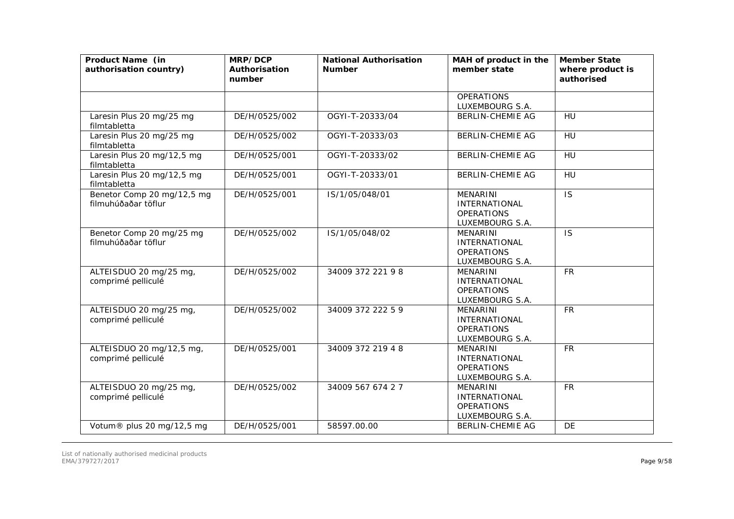| Product Name (in<br>authorisation country)        | MRP/DCP<br>Authorisation<br>number | <b>National Authorisation</b><br><b>Number</b> | MAH of product in the<br>member state                                           | <b>Member State</b><br>where product is<br>authorised |
|---------------------------------------------------|------------------------------------|------------------------------------------------|---------------------------------------------------------------------------------|-------------------------------------------------------|
|                                                   |                                    |                                                | <b>OPERATIONS</b><br>LUXEMBOURG S.A.                                            |                                                       |
| Laresin Plus 20 mg/25 mg<br>filmtabletta          | DE/H/0525/002                      | OGYI-T-20333/04                                | <b>BERLIN-CHEMIE AG</b>                                                         | HU                                                    |
| Laresin Plus 20 mg/25 mg<br>filmtabletta          | DE/H/0525/002                      | OGYI-T-20333/03                                | <b>BERLIN-CHEMIE AG</b>                                                         | <b>HU</b>                                             |
| Laresin Plus 20 mg/12,5 mg<br>filmtabletta        | DE/H/0525/001                      | OGYI-T-20333/02                                | <b>BERLIN-CHEMIE AG</b>                                                         | HU                                                    |
| Laresin Plus 20 mg/12,5 mg<br>filmtabletta        | DE/H/0525/001                      | OGYI-T-20333/01                                | <b>BERLIN-CHEMIE AG</b>                                                         | HU                                                    |
| Benetor Comp 20 mg/12,5 mg<br>filmuhúðaðar töflur | DE/H/0525/001                      | IS/1/05/048/01                                 | <b>MENARINI</b><br><b>INTERNATIONAL</b><br><b>OPERATIONS</b><br>LUXEMBOURG S.A. | <b>IS</b>                                             |
| Benetor Comp 20 mg/25 mg<br>filmuhúðaðar töflur   | DE/H/0525/002                      | IS/1/05/048/02                                 | <b>MENARINI</b><br><b>INTERNATIONAL</b><br><b>OPERATIONS</b><br>LUXEMBOURG S.A. | <b>IS</b>                                             |
| ALTEISDUO 20 mg/25 mg,<br>comprimé pelliculé      | DE/H/0525/002                      | 34009 372 221 98                               | <b>MENARINI</b><br><b>INTERNATIONAL</b><br><b>OPERATIONS</b><br>LUXEMBOURG S.A. | <b>FR</b>                                             |
| ALTEISDUO 20 mg/25 mg,<br>comprimé pelliculé      | DE/H/0525/002                      | 34009 372 222 5 9                              | <b>MENARINI</b><br><b>INTERNATIONAL</b><br><b>OPERATIONS</b><br>LUXEMBOURG S.A. | <b>FR</b>                                             |
| ALTEISDUO 20 mg/12,5 mg,<br>comprimé pelliculé    | DE/H/0525/001                      | 34009 372 219 4 8                              | <b>MENARINI</b><br><b>INTERNATIONAL</b><br><b>OPERATIONS</b><br>LUXEMBOURG S.A. | <b>FR</b>                                             |
| ALTEISDUO 20 mg/25 mg,<br>comprimé pelliculé      | DE/H/0525/002                      | 34009 567 674 27                               | <b>MENARINI</b><br><b>INTERNATIONAL</b><br><b>OPERATIONS</b><br>LUXEMBOURG S.A. | <b>FR</b>                                             |
| Votum® plus 20 mg/12,5 mg                         | DE/H/0525/001                      | 58597.00.00                                    | <b>BERLIN-CHEMIE AG</b>                                                         | <b>DE</b>                                             |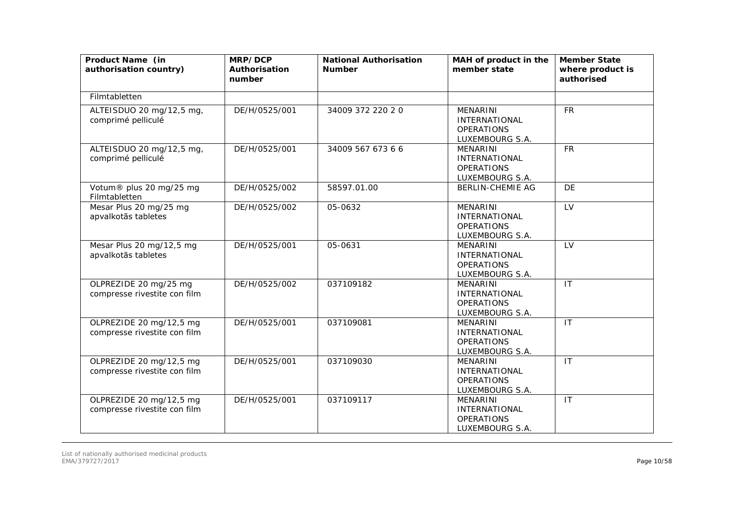| Product Name (in<br>authorisation country)              | MRP/DCP<br>Authorisation<br>number | <b>National Authorisation</b><br><b>Number</b> | MAH of product in the<br>member state                                           | <b>Member State</b><br>where product is<br>authorised |
|---------------------------------------------------------|------------------------------------|------------------------------------------------|---------------------------------------------------------------------------------|-------------------------------------------------------|
| Filmtabletten                                           |                                    |                                                |                                                                                 |                                                       |
| ALTEISDUO 20 mg/12,5 mg,<br>comprimé pelliculé          | DE/H/0525/001                      | 34009 372 220 20                               | <b>MENARINI</b><br><b>INTERNATIONAL</b><br><b>OPERATIONS</b><br>LUXEMBOURG S.A. | <b>FR</b>                                             |
| ALTEISDUO 20 mg/12,5 mg,<br>comprimé pelliculé          | DE/H/0525/001                      | 34009 567 673 6 6                              | <b>MENARINI</b><br><b>INTERNATIONAL</b><br><b>OPERATIONS</b><br>LUXEMBOURG S.A. | <b>FR</b>                                             |
| Votum® plus 20 mg/25 mg<br>Filmtabletten                | DE/H/0525/002                      | 58597.01.00                                    | <b>BERLIN-CHEMIE AG</b>                                                         | <b>DE</b>                                             |
| Mesar Plus 20 mg/25 mg<br>apvalkotās tabletes           | DE/H/0525/002                      | 05-0632                                        | <b>MENARINI</b><br><b>INTERNATIONAL</b><br><b>OPERATIONS</b><br>LUXEMBOURG S.A. | LV                                                    |
| Mesar Plus 20 mg/12,5 mg<br>apvalkotās tabletes         | DE/H/0525/001                      | 05-0631                                        | <b>MENARINI</b><br><b>INTERNATIONAL</b><br><b>OPERATIONS</b><br>LUXEMBOURG S.A. | LV                                                    |
| OLPREZIDE 20 mg/25 mg<br>compresse rivestite con film   | DE/H/0525/002                      | 037109182                                      | <b>MENARINI</b><br><b>INTERNATIONAL</b><br><b>OPERATIONS</b><br>LUXEMBOURG S.A. | $\mathsf{I}\mathsf{T}$                                |
| OLPREZIDE 20 mg/12,5 mg<br>compresse rivestite con film | DE/H/0525/001                      | 037109081                                      | <b>MENARINI</b><br><b>INTERNATIONAL</b><br><b>OPERATIONS</b><br>LUXEMBOURG S.A. | IT                                                    |
| OLPREZIDE 20 mg/12,5 mg<br>compresse rivestite con film | DE/H/0525/001                      | 037109030                                      | <b>MENARINI</b><br><b>INTERNATIONAL</b><br><b>OPERATIONS</b><br>LUXEMBOURG S.A. | IT                                                    |
| OLPREZIDE 20 mg/12,5 mg<br>compresse rivestite con film | DE/H/0525/001                      | 037109117                                      | <b>MENARINI</b><br><b>INTERNATIONAL</b><br><b>OPERATIONS</b><br>LUXEMBOURG S.A. | IT                                                    |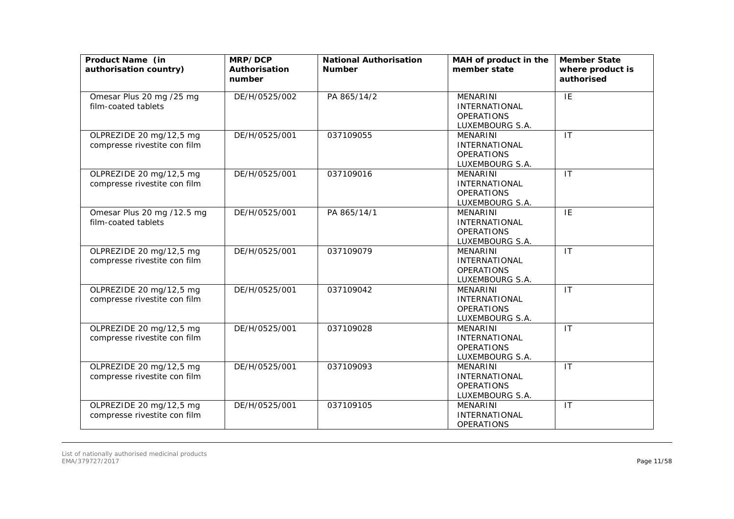| Product Name (in<br>authorisation country)              | MRP/DCP<br>Authorisation<br>number | <b>National Authorisation</b><br><b>Number</b> | MAH of product in the<br>member state                                           | <b>Member State</b><br>where product is<br>authorised |
|---------------------------------------------------------|------------------------------------|------------------------------------------------|---------------------------------------------------------------------------------|-------------------------------------------------------|
| Omesar Plus 20 mg /25 mg<br>film-coated tablets         | DE/H/0525/002                      | PA 865/14/2                                    | <b>MENARINI</b><br><b>INTERNATIONAL</b><br><b>OPERATIONS</b><br>LUXEMBOURG S.A. | IE                                                    |
| OLPREZIDE 20 mg/12,5 mg<br>compresse rivestite con film | DE/H/0525/001                      | 037109055                                      | <b>MENARINI</b><br><b>INTERNATIONAL</b><br><b>OPERATIONS</b><br>LUXEMBOURG S.A. | IT                                                    |
| OLPREZIDE 20 mg/12,5 mg<br>compresse rivestite con film | DE/H/0525/001                      | 037109016                                      | MENARINI<br><b>INTERNATIONAL</b><br><b>OPERATIONS</b><br>LUXEMBOURG S.A.        | IT                                                    |
| Omesar Plus 20 mg /12.5 mg<br>film-coated tablets       | DE/H/0525/001                      | PA 865/14/1                                    | MENARINI<br><b>INTERNATIONAL</b><br><b>OPERATIONS</b><br>LUXEMBOURG S.A.        | IE                                                    |
| OLPREZIDE 20 mg/12,5 mg<br>compresse rivestite con film | DE/H/0525/001                      | 037109079                                      | <b>MENARINI</b><br><b>INTERNATIONAL</b><br><b>OPERATIONS</b><br>LUXEMBOURG S.A. | $\mathsf{I}\mathsf{T}$                                |
| OLPREZIDE 20 mg/12,5 mg<br>compresse rivestite con film | DE/H/0525/001                      | 037109042                                      | <b>MENARINI</b><br><b>INTERNATIONAL</b><br><b>OPERATIONS</b><br>LUXEMBOURG S.A. | $\overline{11}$                                       |
| OLPREZIDE 20 mg/12,5 mg<br>compresse rivestite con film | DE/H/0525/001                      | 037109028                                      | <b>MENARINI</b><br><b>INTERNATIONAL</b><br><b>OPERATIONS</b><br>LUXEMBOURG S.A. | $\overline{\mathsf{I}\mathsf{T}}$                     |
| OLPREZIDE 20 mg/12,5 mg<br>compresse rivestite con film | DE/H/0525/001                      | 037109093                                      | MENARINI<br><b>INTERNATIONAL</b><br><b>OPERATIONS</b><br>LUXEMBOURG S.A.        | $\mathsf{I}\mathsf{T}$                                |
| OLPREZIDE 20 mg/12,5 mg<br>compresse rivestite con film | DE/H/0525/001                      | 037109105                                      | <b>MENARINI</b><br><b>INTERNATIONAL</b><br><b>OPERATIONS</b>                    | $\mathsf{I}\mathsf{T}$                                |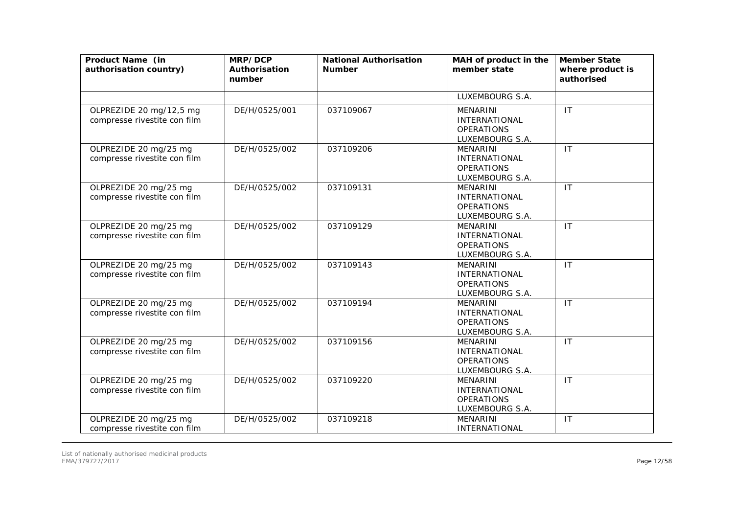| Product Name (in<br>authorisation country)              | MRP/DCP<br>Authorisation<br>number | <b>National Authorisation</b><br><b>Number</b> | MAH of product in the<br>member state                                           | <b>Member State</b><br>where product is<br>authorised |
|---------------------------------------------------------|------------------------------------|------------------------------------------------|---------------------------------------------------------------------------------|-------------------------------------------------------|
|                                                         |                                    |                                                | LUXEMBOURG S.A.                                                                 |                                                       |
| OLPREZIDE 20 mg/12,5 mg<br>compresse rivestite con film | DE/H/0525/001                      | 037109067                                      | <b>MENARINI</b><br><b>INTERNATIONAL</b><br><b>OPERATIONS</b><br>LUXEMBOURG S.A. | IT                                                    |
| OLPREZIDE 20 mg/25 mg<br>compresse rivestite con film   | DE/H/0525/002                      | 037109206                                      | <b>MENARINI</b><br><b>INTERNATIONAL</b><br><b>OPERATIONS</b><br>LUXEMBOURG S.A. | IT                                                    |
| OLPREZIDE 20 mg/25 mg<br>compresse rivestite con film   | DE/H/0525/002                      | 037109131                                      | <b>MENARINI</b><br>INTERNATIONAL<br><b>OPERATIONS</b><br>LUXEMBOURG S.A.        | $\mathsf{I}$                                          |
| OLPREZIDE 20 mg/25 mg<br>compresse rivestite con film   | DE/H/0525/002                      | 037109129                                      | <b>MENARINI</b><br><b>INTERNATIONAL</b><br><b>OPERATIONS</b><br>LUXEMBOURG S.A. | $\mathsf{I}\mathsf{T}$                                |
| OLPREZIDE 20 mg/25 mg<br>compresse rivestite con film   | DE/H/0525/002                      | 037109143                                      | <b>MENARINI</b><br><b>INTERNATIONAL</b><br><b>OPERATIONS</b><br>LUXEMBOURG S.A. | IT                                                    |
| OLPREZIDE 20 mg/25 mg<br>compresse rivestite con film   | DE/H/0525/002                      | 037109194                                      | <b>MENARINI</b><br><b>INTERNATIONAL</b><br><b>OPERATIONS</b><br>LUXEMBOURG S.A. | IT                                                    |
| OLPREZIDE 20 mg/25 mg<br>compresse rivestite con film   | DE/H/0525/002                      | 037109156                                      | <b>MENARINI</b><br><b>INTERNATIONAL</b><br><b>OPERATIONS</b><br>LUXEMBOURG S.A. | $\mathsf{I}\mathsf{T}$                                |
| OLPREZIDE 20 mg/25 mg<br>compresse rivestite con film   | DE/H/0525/002                      | 037109220                                      | <b>MENARINI</b><br><b>INTERNATIONAL</b><br><b>OPERATIONS</b><br>LUXEMBOURG S.A. | IT                                                    |
| OLPREZIDE 20 mg/25 mg<br>compresse rivestite con film   | DE/H/0525/002                      | 037109218                                      | <b>MENARINI</b><br>INTERNATIONAL                                                | $\mathsf{I}\mathsf{T}$                                |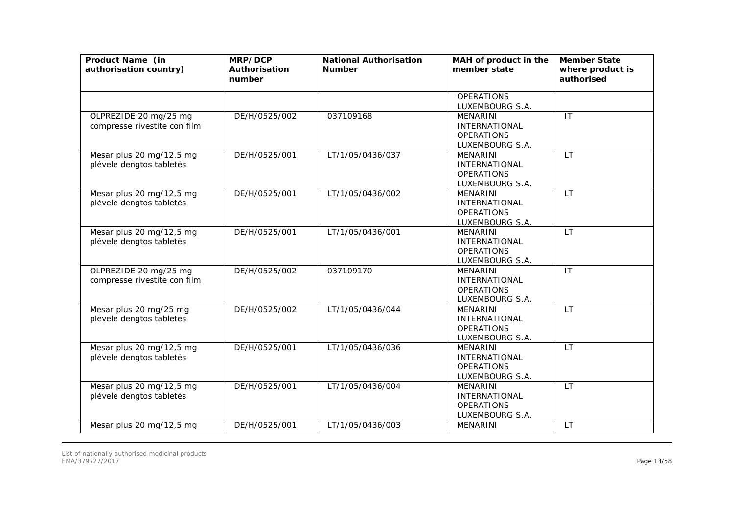| Product Name (in<br>authorisation country)            | MRP/DCP<br>Authorisation<br>number | <b>National Authorisation</b><br><b>Number</b> | MAH of product in the<br>member state                                           | <b>Member State</b><br>where product is<br>authorised |
|-------------------------------------------------------|------------------------------------|------------------------------------------------|---------------------------------------------------------------------------------|-------------------------------------------------------|
|                                                       |                                    |                                                | <b>OPERATIONS</b><br>LUXEMBOURG S.A.                                            |                                                       |
| OLPREZIDE 20 mg/25 mg<br>compresse rivestite con film | DE/H/0525/002                      | 037109168                                      | <b>MENARINI</b><br><b>INTERNATIONAL</b><br><b>OPERATIONS</b><br>LUXEMBOURG S.A. | IT                                                    |
| Mesar plus 20 mg/12,5 mg<br>plėvele dengtos tabletės  | DE/H/0525/001                      | LT/1/05/0436/037                               | <b>MENARINI</b><br>INTERNATIONAL<br><b>OPERATIONS</b><br>LUXEMBOURG S.A.        | <b>LT</b>                                             |
| Mesar plus 20 mg/12,5 mg<br>plėvele dengtos tabletės  | DE/H/0525/001                      | LT/1/05/0436/002                               | <b>MENARINI</b><br><b>INTERNATIONAL</b><br><b>OPERATIONS</b><br>LUXEMBOURG S.A. | <b>LT</b>                                             |
| Mesar plus 20 mg/12,5 mg<br>plėvele dengtos tabletės  | DE/H/0525/001                      | LT/1/05/0436/001                               | <b>MENARINI</b><br><b>INTERNATIONAL</b><br><b>OPERATIONS</b><br>LUXEMBOURG S.A. | <b>LT</b>                                             |
| OLPREZIDE 20 mg/25 mg<br>compresse rivestite con film | DE/H/0525/002                      | 037109170                                      | <b>MENARINI</b><br><b>INTERNATIONAL</b><br><b>OPERATIONS</b><br>LUXEMBOURG S.A. | $\mathsf{I}\mathsf{T}$                                |
| Mesar plus 20 mg/25 mg<br>plėvele dengtos tabletės    | DE/H/0525/002                      | LT/1/05/0436/044                               | <b>MENARINI</b><br><b>INTERNATIONAL</b><br><b>OPERATIONS</b><br>LUXEMBOURG S.A. | <b>LT</b>                                             |
| Mesar plus 20 mg/12,5 mg<br>plėvele dengtos tabletės  | DE/H/0525/001                      | LT/1/05/0436/036                               | <b>MENARINI</b><br><b>INTERNATIONAL</b><br><b>OPERATIONS</b><br>LUXEMBOURG S.A. | LT                                                    |
| Mesar plus 20 mg/12,5 mg<br>plėvele dengtos tabletės  | DE/H/0525/001                      | LT/1/05/0436/004                               | <b>MENARINI</b><br>INTERNATIONAL<br><b>OPERATIONS</b><br>LUXEMBOURG S.A.        | <b>LT</b>                                             |
| Mesar plus 20 mg/12,5 mg                              | DE/H/0525/001                      | LT/1/05/0436/003                               | <b>MENARINI</b>                                                                 | <b>LT</b>                                             |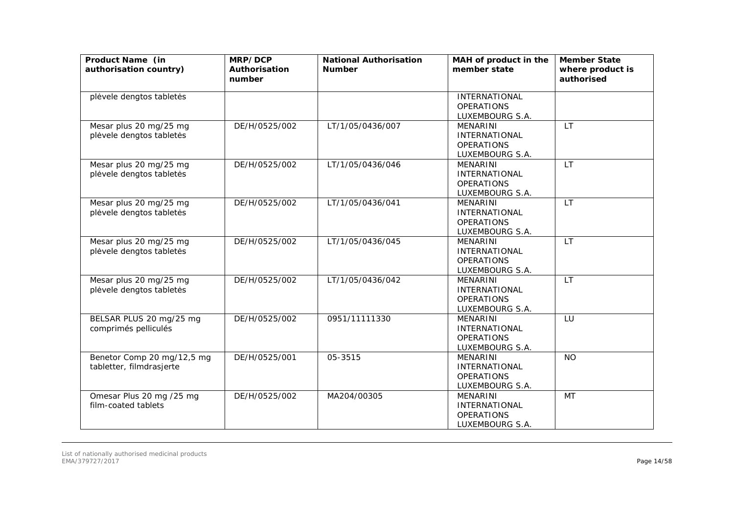| Product Name (in<br>authorisation country)             | MRP/DCP<br>Authorisation<br>number | <b>National Authorisation</b><br><b>Number</b> | MAH of product in the<br>member state                                           | <b>Member State</b><br>where product is<br>authorised |
|--------------------------------------------------------|------------------------------------|------------------------------------------------|---------------------------------------------------------------------------------|-------------------------------------------------------|
| plėvele dengtos tabletės                               |                                    |                                                | <b>INTERNATIONAL</b><br><b>OPERATIONS</b><br>LUXEMBOURG S.A.                    |                                                       |
| Mesar plus 20 mg/25 mg<br>plėvele dengtos tabletės     | DE/H/0525/002                      | LT/1/05/0436/007                               | <b>MENARINI</b><br><b>INTERNATIONAL</b><br><b>OPERATIONS</b><br>LUXEMBOURG S.A. | <b>LT</b>                                             |
| Mesar plus 20 mg/25 mg<br>plėvele dengtos tabletės     | DE/H/0525/002                      | LT/1/05/0436/046                               | MENARINI<br><b>INTERNATIONAL</b><br><b>OPERATIONS</b><br>LUXEMBOURG S.A.        | <b>LT</b>                                             |
| Mesar plus 20 mg/25 mg<br>plėvele dengtos tabletės     | DE/H/0525/002                      | LT/1/05/0436/041                               | MENARINI<br><b>INTERNATIONAL</b><br><b>OPERATIONS</b><br>LUXEMBOURG S.A.        | <b>LT</b>                                             |
| Mesar plus 20 mg/25 mg<br>plėvele dengtos tabletės     | DE/H/0525/002                      | LT/1/05/0436/045                               | <b>MENARINI</b><br><b>INTERNATIONAL</b><br><b>OPERATIONS</b><br>LUXEMBOURG S.A. | <b>LT</b>                                             |
| Mesar plus 20 mg/25 mg<br>plėvele dengtos tabletės     | DE/H/0525/002                      | LT/1/05/0436/042                               | MENARINI<br><b>INTERNATIONAL</b><br><b>OPERATIONS</b><br>LUXEMBOURG S.A.        | <b>LT</b>                                             |
| BELSAR PLUS 20 mg/25 mg<br>comprimés pelliculés        | DE/H/0525/002                      | 0951/11111330                                  | <b>MENARINI</b><br><b>INTERNATIONAL</b><br><b>OPERATIONS</b><br>LUXEMBOURG S.A. | LU                                                    |
| Benetor Comp 20 mg/12,5 mg<br>tabletter, filmdrasjerte | DE/H/0525/001                      | 05-3515                                        | <b>MENARINI</b><br><b>INTERNATIONAL</b><br><b>OPERATIONS</b><br>LUXEMBOURG S.A. | <b>NO</b>                                             |
| Omesar Plus 20 mg /25 mg<br>film-coated tablets        | DE/H/0525/002                      | MA204/00305                                    | MENARINI<br><b>INTERNATIONAL</b><br><b>OPERATIONS</b><br>LUXEMBOURG S.A.        | MT                                                    |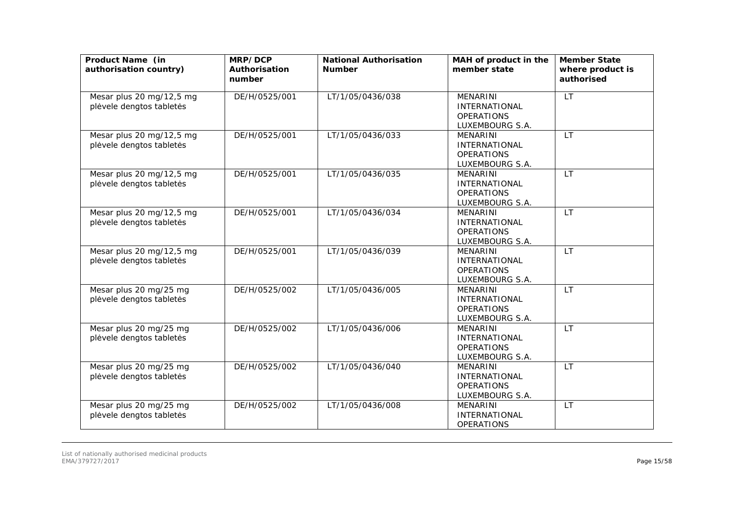| Product Name (in<br>authorisation country)           | MRP/DCP<br>Authorisation<br>number | <b>National Authorisation</b><br><b>Number</b> | MAH of product in the<br>member state                                           | <b>Member State</b><br>where product is<br>authorised |
|------------------------------------------------------|------------------------------------|------------------------------------------------|---------------------------------------------------------------------------------|-------------------------------------------------------|
| Mesar plus 20 mg/12,5 mg<br>plėvele dengtos tabletės | DE/H/0525/001                      | LT/1/05/0436/038                               | MENARINI<br><b>INTERNATIONAL</b><br><b>OPERATIONS</b><br>LUXEMBOURG S.A.        | <b>LT</b>                                             |
| Mesar plus 20 mg/12,5 mg<br>plėvele dengtos tabletės | DE/H/0525/001                      | LT/1/05/0436/033                               | <b>MENARINI</b><br><b>INTERNATIONAL</b><br><b>OPERATIONS</b><br>LUXEMBOURG S.A. | <b>LT</b>                                             |
| Mesar plus 20 mg/12,5 mg<br>plėvele dengtos tabletės | DE/H/0525/001                      | LT/1/05/0436/035                               | MENARINI<br><b>INTERNATIONAL</b><br><b>OPERATIONS</b><br>LUXEMBOURG S.A.        | LT                                                    |
| Mesar plus 20 mg/12,5 mg<br>plėvele dengtos tabletės | DE/H/0525/001                      | LT/1/05/0436/034                               | <b>MENARINI</b><br><b>INTERNATIONAL</b><br><b>OPERATIONS</b><br>LUXEMBOURG S.A. | <b>LT</b>                                             |
| Mesar plus 20 mg/12,5 mg<br>plėvele dengtos tabletės | DE/H/0525/001                      | LT/1/05/0436/039                               | <b>MENARINI</b><br><b>INTERNATIONAL</b><br><b>OPERATIONS</b><br>LUXEMBOURG S.A. | <b>LT</b>                                             |
| Mesar plus 20 mg/25 mg<br>plėvele dengtos tabletės   | DE/H/0525/002                      | LT/1/05/0436/005                               | <b>MENARINI</b><br><b>INTERNATIONAL</b><br><b>OPERATIONS</b><br>LUXEMBOURG S.A. | <b>LT</b>                                             |
| Mesar plus 20 mg/25 mg<br>plėvele dengtos tabletės   | DE/H/0525/002                      | LT/1/05/0436/006                               | <b>MENARINI</b><br><b>INTERNATIONAL</b><br><b>OPERATIONS</b><br>LUXEMBOURG S.A. | <b>LT</b>                                             |
| Mesar plus 20 mg/25 mg<br>plėvele dengtos tabletės   | DE/H/0525/002                      | LT/1/05/0436/040                               | <b>MENARINI</b><br><b>INTERNATIONAL</b><br><b>OPERATIONS</b><br>LUXEMBOURG S.A. | <b>LT</b>                                             |
| Mesar plus 20 mg/25 mg<br>plėvele dengtos tabletės   | DE/H/0525/002                      | LT/1/05/0436/008                               | <b>MENARINI</b><br><b>INTERNATIONAL</b><br><b>OPERATIONS</b>                    | <b>LT</b>                                             |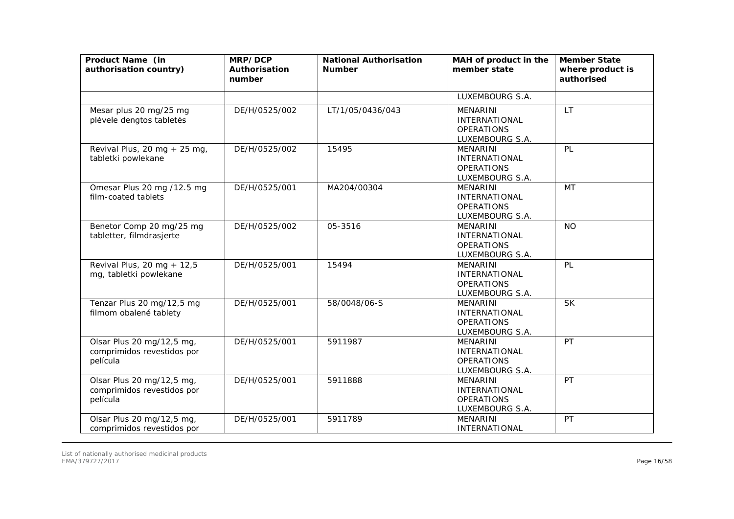| Product Name (in<br>authorisation country)                          | MRP/DCP<br>Authorisation<br>number | <b>National Authorisation</b><br><b>Number</b> | MAH of product in the<br>member state                                           | <b>Member State</b><br>where product is<br>authorised |
|---------------------------------------------------------------------|------------------------------------|------------------------------------------------|---------------------------------------------------------------------------------|-------------------------------------------------------|
|                                                                     |                                    |                                                | LUXEMBOURG S.A.                                                                 |                                                       |
| Mesar plus 20 mg/25 mg<br>plėvele dengtos tabletės                  | DE/H/0525/002                      | LT/1/05/0436/043                               | <b>MENARINI</b><br><b>INTERNATIONAL</b><br><b>OPERATIONS</b><br>LUXEMBOURG S.A. | <b>LT</b>                                             |
| Revival Plus, 20 mg + 25 mg,<br>tabletki powlekane                  | DE/H/0525/002                      | 15495                                          | <b>MENARINI</b><br><b>INTERNATIONAL</b><br><b>OPERATIONS</b><br>LUXEMBOURG S.A. | PL                                                    |
| Omesar Plus 20 mg /12.5 mg<br>film-coated tablets                   | DE/H/0525/001                      | MA204/00304                                    | <b>MENARINI</b><br>INTERNATIONAL<br><b>OPERATIONS</b><br>LUXEMBOURG S.A.        | MT                                                    |
| Benetor Comp 20 mg/25 mg<br>tabletter, filmdrasjerte                | DE/H/0525/002                      | 05-3516                                        | <b>MENARINI</b><br><b>INTERNATIONAL</b><br><b>OPERATIONS</b><br>LUXEMBOURG S.A. | <b>NO</b>                                             |
| Revival Plus, 20 mg + 12,5<br>mg, tabletki powlekane                | DE/H/0525/001                      | 15494                                          | <b>MENARINI</b><br><b>INTERNATIONAL</b><br><b>OPERATIONS</b><br>LUXEMBOURG S.A. | PL                                                    |
| Tenzar Plus 20 mg/12,5 mg<br>filmom obalené tablety                 | DE/H/0525/001                      | 58/0048/06-S                                   | <b>MENARINI</b><br><b>INTERNATIONAL</b><br><b>OPERATIONS</b><br>LUXEMBOURG S.A. | <b>SK</b>                                             |
| Olsar Plus 20 mg/12,5 mg,<br>comprimidos revestidos por<br>película | DE/H/0525/001                      | 5911987                                        | <b>MENARINI</b><br><b>INTERNATIONAL</b><br><b>OPERATIONS</b><br>LUXEMBOURG S.A. | PT                                                    |
| Olsar Plus 20 mg/12,5 mg,<br>comprimidos revestidos por<br>película | DE/H/0525/001                      | 5911888                                        | <b>MENARINI</b><br><b>INTERNATIONAL</b><br><b>OPERATIONS</b><br>LUXEMBOURG S.A. | PT                                                    |
| Olsar Plus 20 mg/12,5 mg,<br>comprimidos revestidos por             | DE/H/0525/001                      | 5911789                                        | <b>MENARINI</b><br>INTERNATIONAL                                                | PT                                                    |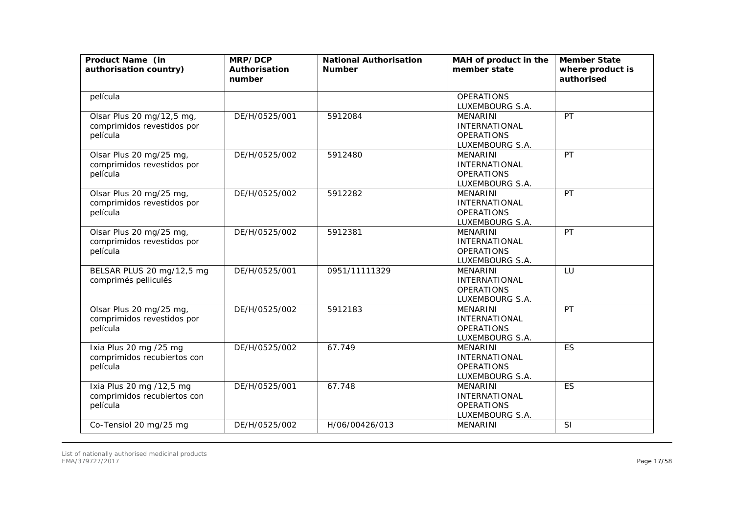| Product Name (in<br>authorisation country)                          | MRP/DCP<br>Authorisation<br>number | <b>National Authorisation</b><br><b>Number</b> | MAH of product in the<br>member state                                           | <b>Member State</b><br>where product is<br>authorised |
|---------------------------------------------------------------------|------------------------------------|------------------------------------------------|---------------------------------------------------------------------------------|-------------------------------------------------------|
| película                                                            |                                    |                                                | <b>OPERATIONS</b><br>LUXEMBOURG S.A.                                            |                                                       |
| Olsar Plus 20 mg/12,5 mg,<br>comprimidos revestidos por<br>película | DE/H/0525/001                      | 5912084                                        | <b>MENARINI</b><br><b>INTERNATIONAL</b><br><b>OPERATIONS</b><br>LUXEMBOURG S.A. | PT                                                    |
| Olsar Plus 20 mg/25 mg,<br>comprimidos revestidos por<br>película   | DE/H/0525/002                      | 5912480                                        | <b>MENARINI</b><br><b>INTERNATIONAL</b><br><b>OPERATIONS</b><br>LUXEMBOURG S.A. | PT                                                    |
| Olsar Plus 20 mg/25 mg,<br>comprimidos revestidos por<br>película   | DE/H/0525/002                      | 5912282                                        | <b>MENARINI</b><br>INTERNATIONAL<br><b>OPERATIONS</b><br>LUXEMBOURG S.A.        | PT                                                    |
| Olsar Plus 20 mg/25 mg,<br>comprimidos revestidos por<br>película   | DE/H/0525/002                      | 5912381                                        | <b>MENARINI</b><br><b>INTERNATIONAL</b><br><b>OPERATIONS</b><br>LUXEMBOURG S.A. | PT                                                    |
| BELSAR PLUS 20 mg/12,5 mg<br>comprimés pelliculés                   | DE/H/0525/001                      | 0951/11111329                                  | <b>MENARINI</b><br><b>INTERNATIONAL</b><br><b>OPERATIONS</b><br>LUXEMBOURG S.A. | LU                                                    |
| Olsar Plus 20 mg/25 mg,<br>comprimidos revestidos por<br>película   | DE/H/0525/002                      | 5912183                                        | <b>MENARINI</b><br><b>INTERNATIONAL</b><br><b>OPERATIONS</b><br>LUXEMBOURG S.A. | PT                                                    |
| Ixia Plus 20 mg /25 mg<br>comprimidos recubiertos con<br>película   | DE/H/0525/002                      | 67.749                                         | <b>MENARINI</b><br><b>INTERNATIONAL</b><br><b>OPERATIONS</b><br>LUXEMBOURG S.A. | ES                                                    |
| Ixia Plus 20 mg /12,5 mg<br>comprimidos recubiertos con<br>película | DE/H/0525/001                      | 67.748                                         | <b>MENARINI</b><br><b>INTERNATIONAL</b><br><b>OPERATIONS</b><br>LUXEMBOURG S.A. | <b>ES</b>                                             |
| Co-Tensiol 20 mg/25 mg                                              | DE/H/0525/002                      | H/06/00426/013                                 | <b>MENARINI</b>                                                                 | SI                                                    |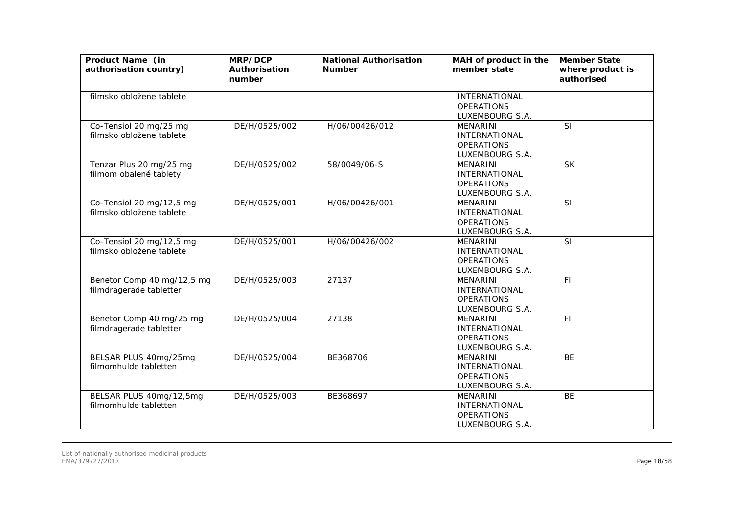| Product Name (in<br>authorisation country)            | MRP/DCP<br>Authorisation<br>number | <b>National Authorisation</b><br><b>Number</b> | MAH of product in the<br>member state                                           | <b>Member State</b><br>where product is<br>authorised |
|-------------------------------------------------------|------------------------------------|------------------------------------------------|---------------------------------------------------------------------------------|-------------------------------------------------------|
| filmsko obložene tablete                              |                                    |                                                | <b>INTERNATIONAL</b><br><b>OPERATIONS</b><br>LUXEMBOURG S.A.                    |                                                       |
| Co-Tensiol 20 mg/25 mg<br>filmsko obložene tablete    | DE/H/0525/002                      | H/06/00426/012                                 | <b>MENARINI</b><br><b>INTERNATIONAL</b><br><b>OPERATIONS</b><br>LUXEMBOURG S.A. | <b>SI</b>                                             |
| Tenzar Plus 20 mg/25 mg<br>filmom obalené tablety     | DE/H/0525/002                      | 58/0049/06-S                                   | MENARINI<br><b>INTERNATIONAL</b><br><b>OPERATIONS</b><br>LUXEMBOURG S.A.        | $\overline{\mathsf{SK}}$                              |
| Co-Tensiol 20 mg/12,5 mg<br>filmsko obložene tablete  | DE/H/0525/001                      | H/06/00426/001                                 | <b>MENARINI</b><br><b>INTERNATIONAL</b><br><b>OPERATIONS</b><br>LUXEMBOURG S.A. | SI                                                    |
| Co-Tensiol 20 mg/12,5 mg<br>filmsko obložene tablete  | DE/H/0525/001                      | H/06/00426/002                                 | <b>MENARINI</b><br><b>INTERNATIONAL</b><br><b>OPERATIONS</b><br>LUXEMBOURG S.A. | <b>SI</b>                                             |
| Benetor Comp 40 mg/12,5 mg<br>filmdragerade tabletter | DE/H/0525/003                      | 27137                                          | <b>MENARINI</b><br><b>INTERNATIONAL</b><br><b>OPERATIONS</b><br>LUXEMBOURG S.A. | F1                                                    |
| Benetor Comp 40 mg/25 mg<br>filmdragerade tabletter   | DE/H/0525/004                      | 27138                                          | <b>MENARINI</b><br><b>INTERNATIONAL</b><br><b>OPERATIONS</b><br>LUXEMBOURG S.A. | F1                                                    |
| BELSAR PLUS 40mg/25mg<br>filmomhulde tabletten        | DE/H/0525/004                      | BE368706                                       | <b>MENARINI</b><br><b>INTERNATIONAL</b><br><b>OPERATIONS</b><br>LUXEMBOURG S.A. | <b>BE</b>                                             |
| BELSAR PLUS 40mg/12,5mg<br>filmomhulde tabletten      | DE/H/0525/003                      | BE368697                                       | <b>MENARINI</b><br><b>INTERNATIONAL</b><br><b>OPERATIONS</b><br>LUXEMBOURG S.A. | <b>BE</b>                                             |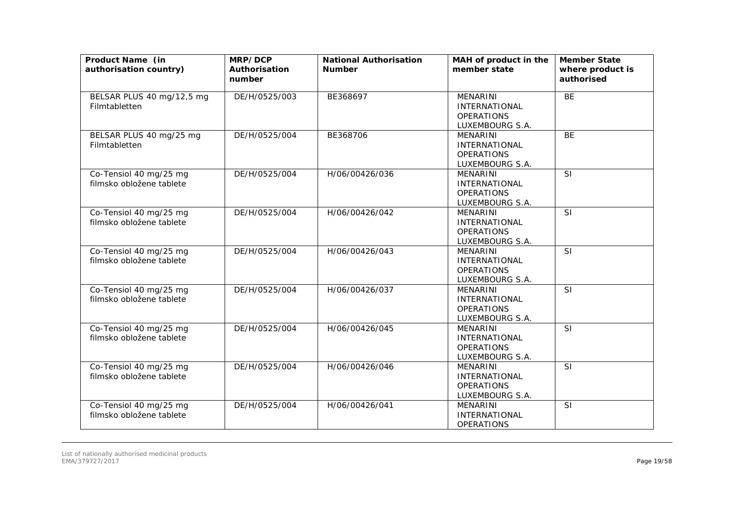| Product Name (in<br>authorisation country)         | MRP/DCP<br>Authorisation<br>number | <b>National Authorisation</b><br><b>Number</b> | MAH of product in the<br>member state                                           | <b>Member State</b><br>where product is<br>authorised |
|----------------------------------------------------|------------------------------------|------------------------------------------------|---------------------------------------------------------------------------------|-------------------------------------------------------|
| BELSAR PLUS 40 mg/12,5 mg<br>Filmtabletten         | DE/H/0525/003                      | BE368697                                       | <b>MENARINI</b><br><b>INTERNATIONAL</b><br><b>OPERATIONS</b><br>LUXEMBOURG S.A. | <b>BE</b>                                             |
| BELSAR PLUS 40 mg/25 mg<br>Filmtabletten           | DE/H/0525/004                      | BE368706                                       | <b>MENARINI</b><br><b>INTERNATIONAL</b><br><b>OPERATIONS</b><br>LUXEMBOURG S.A. | <b>BE</b>                                             |
| Co-Tensiol 40 mg/25 mg<br>filmsko obložene tablete | DE/H/0525/004                      | H/06/00426/036                                 | <b>MENARINI</b><br><b>INTERNATIONAL</b><br><b>OPERATIONS</b><br>LUXEMBOURG S.A. | <b>SI</b>                                             |
| Co-Tensiol 40 mg/25 mg<br>filmsko obložene tablete | DE/H/0525/004                      | H/06/00426/042                                 | <b>MENARINI</b><br><b>INTERNATIONAL</b><br><b>OPERATIONS</b><br>LUXEMBOURG S.A. | SI                                                    |
| Co-Tensiol 40 mg/25 mg<br>filmsko obložene tablete | DE/H/0525/004                      | H/06/00426/043                                 | <b>MENARINI</b><br><b>INTERNATIONAL</b><br><b>OPERATIONS</b><br>LUXEMBOURG S.A. | <b>SI</b>                                             |
| Co-Tensiol 40 mg/25 mg<br>filmsko obložene tablete | DE/H/0525/004                      | H/06/00426/037                                 | <b>MENARINI</b><br><b>INTERNATIONAL</b><br><b>OPERATIONS</b><br>LUXEMBOURG S.A. | SI                                                    |
| Co-Tensiol 40 mg/25 mg<br>filmsko obložene tablete | DE/H/0525/004                      | H/06/00426/045                                 | <b>MENARINI</b><br><b>INTERNATIONAL</b><br><b>OPERATIONS</b><br>LUXEMBOURG S.A. | <b>SI</b>                                             |
| Co-Tensiol 40 mg/25 mg<br>filmsko obložene tablete | DE/H/0525/004                      | H/06/00426/046                                 | <b>MENARINI</b><br><b>INTERNATIONAL</b><br><b>OPERATIONS</b><br>LUXEMBOURG S.A. | <b>SI</b>                                             |
| Co-Tensiol 40 mg/25 mg<br>filmsko obložene tablete | DE/H/0525/004                      | H/06/00426/041                                 | <b>MENARINI</b><br><b>INTERNATIONAL</b><br><b>OPERATIONS</b>                    | SI                                                    |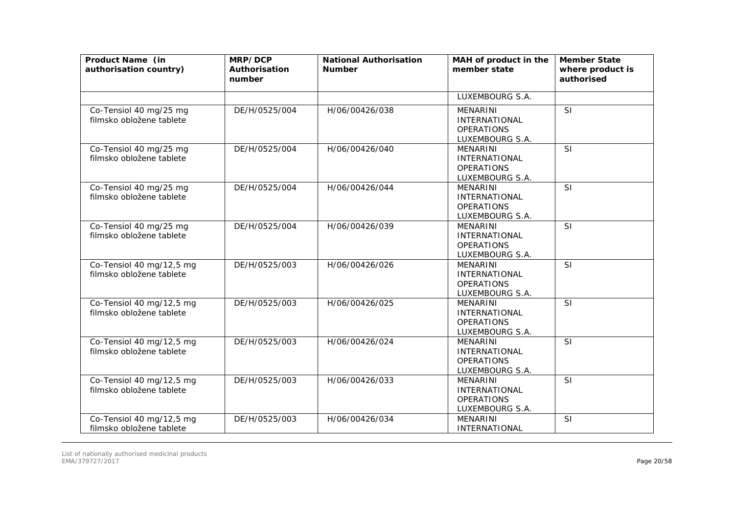| Product Name (in<br>authorisation country)           | MRP/DCP<br>Authorisation<br>number | <b>National Authorisation</b><br><b>Number</b> | MAH of product in the<br>member state                                           | <b>Member State</b><br>where product is<br>authorised |
|------------------------------------------------------|------------------------------------|------------------------------------------------|---------------------------------------------------------------------------------|-------------------------------------------------------|
|                                                      |                                    |                                                | LUXEMBOURG S.A.                                                                 |                                                       |
| Co-Tensiol 40 mg/25 mg<br>filmsko obložene tablete   | DE/H/0525/004                      | H/06/00426/038                                 | <b>MENARINI</b><br>INTERNATIONAL<br><b>OPERATIONS</b><br>LUXEMBOURG S.A.        | SI                                                    |
| Co-Tensiol 40 mg/25 mg<br>filmsko obložene tablete   | DE/H/0525/004                      | H/06/00426/040                                 | <b>MENARINI</b><br><b>INTERNATIONAL</b><br><b>OPERATIONS</b><br>LUXEMBOURG S.A. | SI                                                    |
| Co-Tensiol 40 mg/25 mg<br>filmsko obložene tablete   | DE/H/0525/004                      | H/06/00426/044                                 | <b>MENARINI</b><br><b>INTERNATIONAL</b><br><b>OPERATIONS</b><br>LUXEMBOURG S.A. | SI                                                    |
| Co-Tensiol 40 mg/25 mg<br>filmsko obložene tablete   | DE/H/0525/004                      | H/06/00426/039                                 | <b>MENARINI</b><br><b>INTERNATIONAL</b><br><b>OPERATIONS</b><br>LUXEMBOURG S.A. | SI                                                    |
| Co-Tensiol 40 mg/12,5 mg<br>filmsko obložene tablete | DE/H/0525/003                      | H/06/00426/026                                 | <b>MENARINI</b><br><b>INTERNATIONAL</b><br><b>OPERATIONS</b><br>LUXEMBOURG S.A. | SI                                                    |
| Co-Tensiol 40 mg/12,5 mg<br>filmsko obložene tablete | DE/H/0525/003                      | H/06/00426/025                                 | <b>MENARINI</b><br><b>INTERNATIONAL</b><br><b>OPERATIONS</b><br>LUXEMBOURG S.A. | SI                                                    |
| Co-Tensiol 40 mg/12,5 mg<br>filmsko obložene tablete | DE/H/0525/003                      | H/06/00426/024                                 | <b>MENARINI</b><br><b>INTERNATIONAL</b><br><b>OPERATIONS</b><br>LUXEMBOURG S.A. | SI                                                    |
| Co-Tensiol 40 mg/12,5 mg<br>filmsko obložene tablete | DE/H/0525/003                      | H/06/00426/033                                 | <b>MENARINI</b><br>INTERNATIONAL<br><b>OPERATIONS</b><br>LUXEMBOURG S.A.        | <b>SI</b>                                             |
| Co-Tensiol 40 mg/12,5 mg<br>filmsko obložene tablete | DE/H/0525/003                      | H/06/00426/034                                 | <b>MENARINI</b><br><b>INTERNATIONAL</b>                                         | SI                                                    |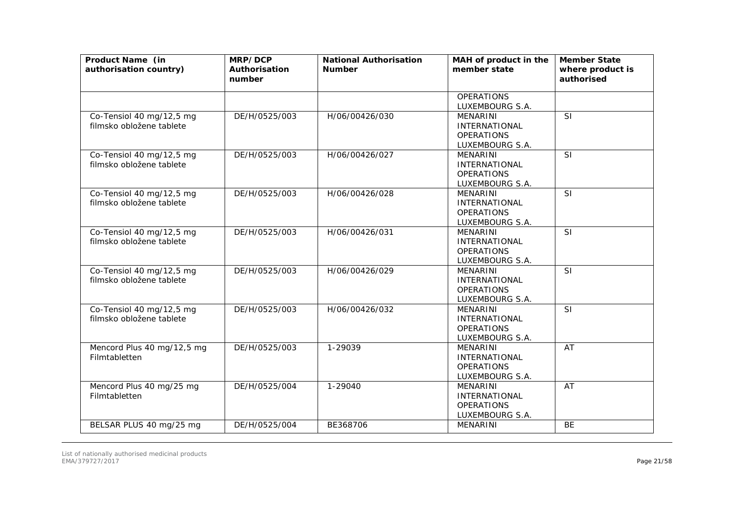| Product Name (in<br>authorisation country)           | MRP/DCP<br>Authorisation<br>number | <b>National Authorisation</b><br><b>Number</b> | MAH of product in the<br>member state                                           | <b>Member State</b><br>where product is<br>authorised |
|------------------------------------------------------|------------------------------------|------------------------------------------------|---------------------------------------------------------------------------------|-------------------------------------------------------|
|                                                      |                                    |                                                | <b>OPERATIONS</b><br>LUXEMBOURG S.A.                                            |                                                       |
| Co-Tensiol 40 mg/12,5 mg<br>filmsko obložene tablete | DE/H/0525/003                      | H/06/00426/030                                 | <b>MENARINI</b><br><b>INTERNATIONAL</b><br><b>OPERATIONS</b><br>LUXEMBOURG S.A. | <b>SI</b>                                             |
| Co-Tensiol 40 mg/12,5 mg<br>filmsko obložene tablete | DE/H/0525/003                      | H/06/00426/027                                 | MENARINI<br><b>INTERNATIONAL</b><br><b>OPERATIONS</b><br>LUXEMBOURG S.A.        | SI                                                    |
| Co-Tensiol 40 mg/12,5 mg<br>filmsko obložene tablete | DE/H/0525/003                      | H/06/00426/028                                 | <b>MENARINI</b><br><b>INTERNATIONAL</b><br><b>OPERATIONS</b><br>LUXEMBOURG S.A. | SI                                                    |
| Co-Tensiol 40 mg/12,5 mg<br>filmsko obložene tablete | DE/H/0525/003                      | H/06/00426/031                                 | <b>MENARINI</b><br><b>INTERNATIONAL</b><br><b>OPERATIONS</b><br>LUXEMBOURG S.A. | SI                                                    |
| Co-Tensiol 40 mg/12,5 mg<br>filmsko obložene tablete | DE/H/0525/003                      | H/06/00426/029                                 | <b>MENARINI</b><br><b>INTERNATIONAL</b><br><b>OPERATIONS</b><br>LUXEMBOURG S.A. | <b>SI</b>                                             |
| Co-Tensiol 40 mg/12,5 mg<br>filmsko obložene tablete | DE/H/0525/003                      | H/06/00426/032                                 | <b>MENARINI</b><br><b>INTERNATIONAL</b><br><b>OPERATIONS</b><br>LUXEMBOURG S.A. | <b>SI</b>                                             |
| Mencord Plus 40 mg/12,5 mg<br>Filmtabletten          | DE/H/0525/003                      | 1-29039                                        | MENARINI<br><b>INTERNATIONAL</b><br><b>OPERATIONS</b><br>LUXEMBOURG S.A.        | AT                                                    |
| Mencord Plus 40 mg/25 mg<br>Filmtabletten            | DE/H/0525/004                      | 1-29040                                        | <b>MENARINI</b><br><b>INTERNATIONAL</b><br><b>OPERATIONS</b><br>LUXEMBOURG S.A. | AT                                                    |
| BELSAR PLUS 40 mg/25 mg                              | DE/H/0525/004                      | BE368706                                       | MENARINI                                                                        | <b>BE</b>                                             |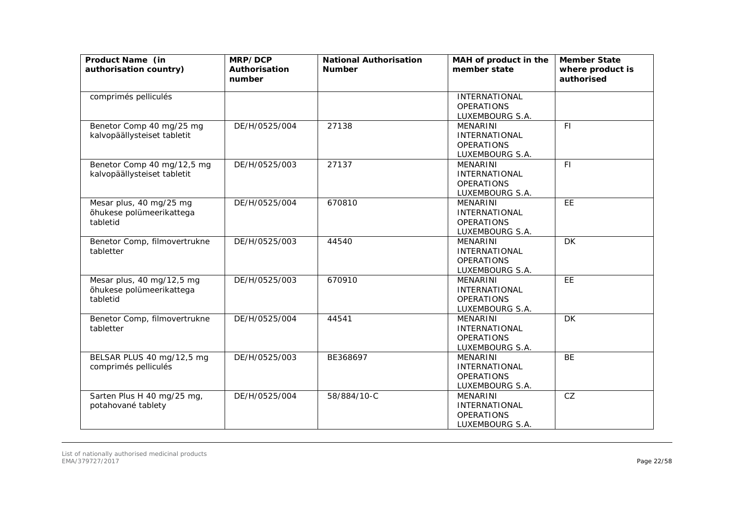| Product Name (in<br>authorisation country)                        | MRP/DCP<br>Authorisation<br>number | <b>National Authorisation</b><br><b>Number</b> | MAH of product in the<br>member state                                           | <b>Member State</b><br>where product is<br>authorised |
|-------------------------------------------------------------------|------------------------------------|------------------------------------------------|---------------------------------------------------------------------------------|-------------------------------------------------------|
| comprimés pelliculés                                              |                                    |                                                | <b>INTERNATIONAL</b><br><b>OPERATIONS</b><br>LUXEMBOURG S.A.                    |                                                       |
| Benetor Comp 40 mg/25 mg<br>kalvopäällysteiset tabletit           | DE/H/0525/004                      | 27138                                          | <b>MENARINI</b><br><b>INTERNATIONAL</b><br><b>OPERATIONS</b><br>LUXEMBOURG S.A. | FI.                                                   |
| Benetor Comp 40 mg/12,5 mg<br>kalvopäällysteiset tabletit         | DE/H/0525/003                      | 27137                                          | MENARINI<br><b>INTERNATIONAL</b><br><b>OPERATIONS</b><br>LUXEMBOURG S.A.        | F1                                                    |
| Mesar plus, 40 mg/25 mg<br>õhukese polümeerikattega<br>tabletid   | DE/H/0525/004                      | 670810                                         | <b>MENARINI</b><br><b>INTERNATIONAL</b><br><b>OPERATIONS</b><br>LUXEMBOURG S.A. | EE                                                    |
| Benetor Comp, filmovertrukne<br>tabletter                         | DE/H/0525/003                      | 44540                                          | <b>MENARINI</b><br><b>INTERNATIONAL</b><br><b>OPERATIONS</b><br>LUXEMBOURG S.A. | DK                                                    |
| Mesar plus, 40 mg/12,5 mg<br>õhukese polümeerikattega<br>tabletid | DE/H/0525/003                      | 670910                                         | <b>MENARINI</b><br><b>INTERNATIONAL</b><br><b>OPERATIONS</b><br>LUXEMBOURG S.A. | E                                                     |
| Benetor Comp, filmovertrukne<br>tabletter                         | DE/H/0525/004                      | 44541                                          | <b>MENARINI</b><br><b>INTERNATIONAL</b><br><b>OPERATIONS</b><br>LUXEMBOURG S.A. | <b>DK</b>                                             |
| BELSAR PLUS 40 mg/12,5 mg<br>comprimés pelliculés                 | DE/H/0525/003                      | BE368697                                       | <b>MENARINI</b><br><b>INTERNATIONAL</b><br><b>OPERATIONS</b><br>LUXEMBOURG S.A. | <b>BE</b>                                             |
| Sarten Plus H 40 mg/25 mg,<br>potahované tablety                  | DE/H/0525/004                      | 58/884/10-C                                    | <b>MENARINI</b><br><b>INTERNATIONAL</b><br><b>OPERATIONS</b><br>LUXEMBOURG S.A. | CZ                                                    |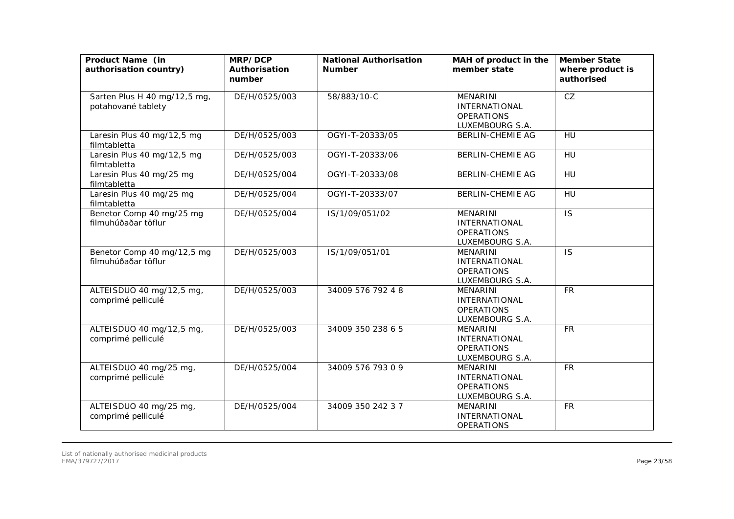| Product Name (in<br>authorisation country)         | MRP/DCP<br>Authorisation<br>number | <b>National Authorisation</b><br><b>Number</b> | MAH of product in the<br>member state                                           | <b>Member State</b><br>where product is<br>authorised |
|----------------------------------------------------|------------------------------------|------------------------------------------------|---------------------------------------------------------------------------------|-------------------------------------------------------|
| Sarten Plus H 40 mg/12,5 mg,<br>potahované tablety | DE/H/0525/003                      | 58/883/10-C                                    | MENARINI<br><b>INTERNATIONAL</b><br><b>OPERATIONS</b><br>LUXEMBOURG S.A.        | CZ                                                    |
| Laresin Plus 40 mg/12,5 mg<br>filmtabletta         | DE/H/0525/003                      | OGYI-T-20333/05                                | <b>BERLIN-CHEMIE AG</b>                                                         | HU                                                    |
| Laresin Plus 40 mg/12,5 mg<br>filmtabletta         | DE/H/0525/003                      | OGYI-T-20333/06                                | <b>BERLIN-CHEMIE AG</b>                                                         | HU                                                    |
| Laresin Plus 40 mg/25 mg<br>filmtabletta           | DE/H/0525/004                      | OGYI-T-20333/08                                | <b>BERLIN-CHEMIE AG</b>                                                         | HU                                                    |
| Laresin Plus 40 mg/25 mg<br>filmtabletta           | DE/H/0525/004                      | OGYI-T-20333/07                                | <b>BERLIN-CHEMIE AG</b>                                                         | <b>HU</b>                                             |
| Benetor Comp 40 mg/25 mg<br>filmuhúðaðar töflur    | DE/H/0525/004                      | IS/1/09/051/02                                 | <b>MENARINI</b><br><b>INTERNATIONAL</b><br><b>OPERATIONS</b><br>LUXEMBOURG S.A. | $\overline{1S}$                                       |
| Benetor Comp 40 mg/12,5 mg<br>filmuhúðaðar töflur  | DE/H/0525/003                      | IS/1/09/051/01                                 | <b>MENARINI</b><br><b>INTERNATIONAL</b><br><b>OPERATIONS</b><br>LUXEMBOURG S.A. | <b>IS</b>                                             |
| ALTEISDUO 40 mg/12,5 mg,<br>comprimé pelliculé     | DE/H/0525/003                      | 34009 576 792 4 8                              | <b>MENARINI</b><br><b>INTERNATIONAL</b><br><b>OPERATIONS</b><br>LUXEMBOURG S.A. | <b>FR</b>                                             |
| ALTEISDUO 40 mg/12,5 mg,<br>comprimé pelliculé     | DE/H/0525/003                      | 34009 350 238 6 5                              | <b>MENARINI</b><br><b>INTERNATIONAL</b><br><b>OPERATIONS</b><br>LUXEMBOURG S.A. | <b>FR</b>                                             |
| ALTEISDUO 40 mg/25 mg,<br>comprimé pelliculé       | DE/H/0525/004                      | 34009 576 793 0 9                              | MENARINI<br><b>INTERNATIONAL</b><br><b>OPERATIONS</b><br>LUXEMBOURG S.A.        | <b>FR</b>                                             |
| ALTEISDUO 40 mg/25 mg,<br>comprimé pelliculé       | DE/H/0525/004                      | 34009 350 242 3 7                              | <b>MENARINI</b><br><b>INTERNATIONAL</b><br><b>OPERATIONS</b>                    | <b>FR</b>                                             |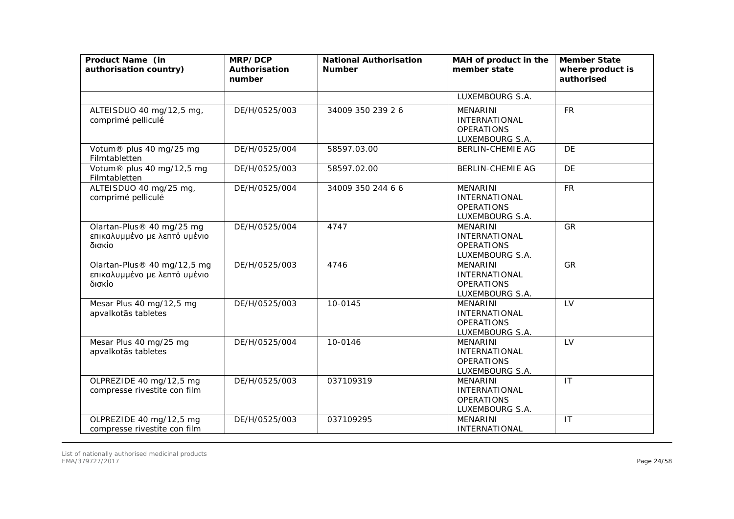| Product Name (in<br>authorisation country)                            | MRP/DCP<br>Authorisation<br>number | <b>National Authorisation</b><br><b>Number</b> | MAH of product in the<br>member state                                           | <b>Member State</b><br>where product is<br>authorised |
|-----------------------------------------------------------------------|------------------------------------|------------------------------------------------|---------------------------------------------------------------------------------|-------------------------------------------------------|
|                                                                       |                                    |                                                | LUXEMBOURG S.A.                                                                 |                                                       |
| ALTEISDUO 40 mg/12,5 mg,<br>comprimé pelliculé                        | DE/H/0525/003                      | 34009 350 239 26                               | <b>MENARINI</b><br><b>INTERNATIONAL</b><br><b>OPERATIONS</b><br>LUXEMBOURG S.A. | <b>FR</b>                                             |
| Votum® plus 40 mg/25 mg<br>Filmtabletten                              | DE/H/0525/004                      | 58597.03.00                                    | <b>BERLIN-CHEMIE AG</b>                                                         | <b>DE</b>                                             |
| Votum® plus 40 mg/12,5 mg<br>Filmtabletten                            | DE/H/0525/003                      | 58597.02.00                                    | <b>BERLIN-CHEMIE AG</b>                                                         | DE                                                    |
| ALTEISDUO 40 mg/25 mg,<br>comprimé pelliculé                          | DE/H/0525/004                      | 34009 350 244 6 6                              | <b>MENARINI</b><br><b>INTERNATIONAL</b><br><b>OPERATIONS</b><br>LUXEMBOURG S.A. | <b>FR</b>                                             |
| Olartan-Plus® 40 mg/25 mg<br>επικαλυμμένο με λεπτό υμένιο<br>δισκίο   | DE/H/0525/004                      | 4747                                           | <b>MENARINI</b><br><b>INTERNATIONAL</b><br><b>OPERATIONS</b><br>LUXEMBOURG S.A. | <b>GR</b>                                             |
| Olartan-Plus® 40 mg/12,5 mg<br>επικαλυμμένο με λεπτό υμένιο<br>δισκίο | DE/H/0525/003                      | 4746                                           | <b>MENARINI</b><br><b>INTERNATIONAL</b><br><b>OPERATIONS</b><br>LUXEMBOURG S.A. | <b>GR</b>                                             |
| Mesar Plus 40 mg/12,5 mg<br>apvalkotās tabletes                       | DE/H/0525/003                      | 10-0145                                        | <b>MENARINI</b><br><b>INTERNATIONAL</b><br><b>OPERATIONS</b><br>LUXEMBOURG S.A. | LV                                                    |
| Mesar Plus 40 mg/25 mg<br>apvalkotās tabletes                         | DE/H/0525/004                      | 10-0146                                        | <b>MENARINI</b><br><b>INTERNATIONAL</b><br><b>OPERATIONS</b><br>LUXEMBOURG S.A. | LV                                                    |
| OLPREZIDE 40 mg/12,5 mg<br>compresse rivestite con film               | DE/H/0525/003                      | 037109319                                      | <b>MENARINI</b><br><b>INTERNATIONAL</b><br><b>OPERATIONS</b><br>LUXEMBOURG S.A. | IT                                                    |
| OLPREZIDE 40 mg/12,5 mg<br>compresse rivestite con film               | DE/H/0525/003                      | 037109295                                      | <b>MENARINI</b><br>INTERNATIONAL                                                | IT                                                    |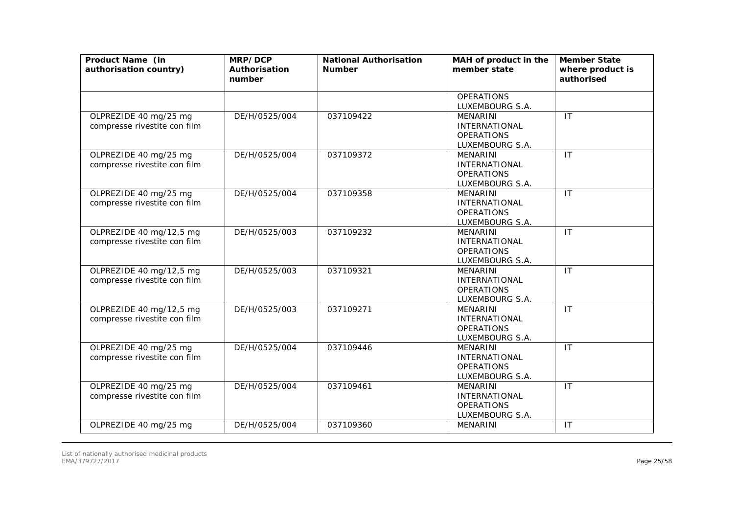| Product Name (in<br>authorisation country)              | MRP/DCP<br>Authorisation<br>number | <b>National Authorisation</b><br><b>Number</b> | MAH of product in the<br>member state                                           | <b>Member State</b><br>where product is<br>authorised |
|---------------------------------------------------------|------------------------------------|------------------------------------------------|---------------------------------------------------------------------------------|-------------------------------------------------------|
|                                                         |                                    |                                                | <b>OPERATIONS</b><br>LUXEMBOURG S.A.                                            |                                                       |
| OLPREZIDE 40 mg/25 mg<br>compresse rivestite con film   | DE/H/0525/004                      | 037109422                                      | <b>MENARINI</b><br><b>INTERNATIONAL</b><br><b>OPERATIONS</b><br>LUXEMBOURG S.A. | IT                                                    |
| OLPREZIDE 40 mg/25 mg<br>compresse rivestite con film   | DE/H/0525/004                      | 037109372                                      | <b>MENARINI</b><br><b>INTERNATIONAL</b><br><b>OPERATIONS</b><br>LUXEMBOURG S.A. | IT                                                    |
| OLPREZIDE 40 mg/25 mg<br>compresse rivestite con film   | DE/H/0525/004                      | 037109358                                      | <b>MENARINI</b><br><b>INTERNATIONAL</b><br><b>OPERATIONS</b><br>LUXEMBOURG S.A. | IT                                                    |
| OLPREZIDE 40 mg/12,5 mg<br>compresse rivestite con film | DE/H/0525/003                      | 037109232                                      | <b>MENARINI</b><br><b>INTERNATIONAL</b><br><b>OPERATIONS</b><br>LUXEMBOURG S.A. | $\mathsf{I}\mathsf{T}$                                |
| OLPREZIDE 40 mg/12,5 mg<br>compresse rivestite con film | DE/H/0525/003                      | 037109321                                      | <b>MENARINI</b><br>INTERNATIONAL<br><b>OPERATIONS</b><br>LUXEMBOURG S.A.        | $\mathsf{I}$                                          |
| OLPREZIDE 40 mg/12,5 mg<br>compresse rivestite con film | DE/H/0525/003                      | 037109271                                      | <b>MENARINI</b><br><b>INTERNATIONAL</b><br><b>OPERATIONS</b><br>LUXEMBOURG S.A. | $\mathsf{I}$                                          |
| OLPREZIDE 40 mg/25 mg<br>compresse rivestite con film   | DE/H/0525/004                      | 037109446                                      | <b>MENARINI</b><br><b>INTERNATIONAL</b><br><b>OPERATIONS</b><br>LUXEMBOURG S.A. | $\overline{\mathsf{I}\mathsf{T}}$                     |
| OLPREZIDE 40 mg/25 mg<br>compresse rivestite con film   | DE/H/0525/004                      | 037109461                                      | <b>MENARINI</b><br>INTERNATIONAL<br><b>OPERATIONS</b><br>LUXEMBOURG S.A.        | $\mathsf{I}$                                          |
| OLPREZIDE 40 mg/25 mg                                   | DE/H/0525/004                      | 037109360                                      | MENARINI                                                                        | $\mathsf{I}\mathsf{T}$                                |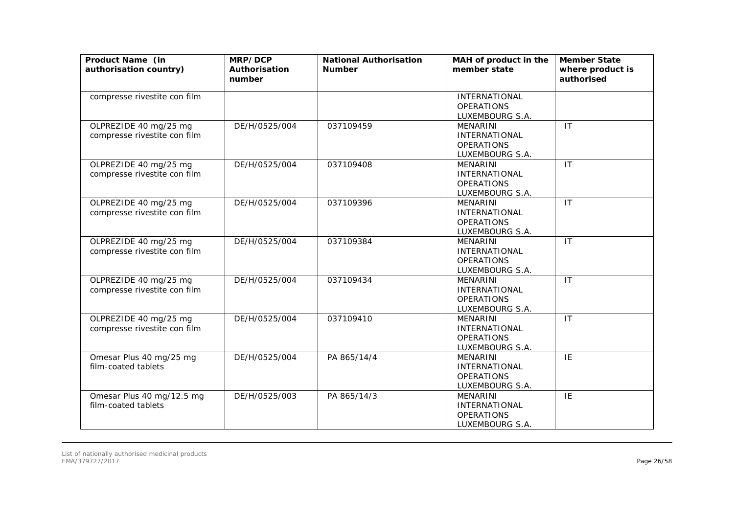| Product Name (in<br>authorisation country)            | MRP/DCP<br>Authorisation<br>number | <b>National Authorisation</b><br><b>Number</b> | MAH of product in the<br>member state                                           | <b>Member State</b><br>where product is<br>authorised |
|-------------------------------------------------------|------------------------------------|------------------------------------------------|---------------------------------------------------------------------------------|-------------------------------------------------------|
| compresse rivestite con film                          |                                    |                                                | <b>INTERNATIONAL</b><br><b>OPERATIONS</b><br>LUXEMBOURG S.A.                    |                                                       |
| OLPREZIDE 40 mg/25 mg<br>compresse rivestite con film | DE/H/0525/004                      | 037109459                                      | <b>MENARINI</b><br><b>INTERNATIONAL</b><br><b>OPERATIONS</b><br>LUXEMBOURG S.A. | $\mathsf{I}\mathsf{T}$                                |
| OLPREZIDE 40 mg/25 mg<br>compresse rivestite con film | DE/H/0525/004                      | 037109408                                      | MENARINI<br><b>INTERNATIONAL</b><br><b>OPERATIONS</b><br>LUXEMBOURG S.A.        | $\mathsf{I}$                                          |
| OLPREZIDE 40 mg/25 mg<br>compresse rivestite con film | DE/H/0525/004                      | 037109396                                      | <b>MENARINI</b><br><b>INTERNATIONAL</b><br><b>OPERATIONS</b><br>LUXEMBOURG S.A. | $\mathsf{I}$                                          |
| OLPREZIDE 40 mg/25 mg<br>compresse rivestite con film | DE/H/0525/004                      | 037109384                                      | <b>MENARINI</b><br><b>INTERNATIONAL</b><br><b>OPERATIONS</b><br>LUXEMBOURG S.A. | IT                                                    |
| OLPREZIDE 40 mg/25 mg<br>compresse rivestite con film | DE/H/0525/004                      | 037109434                                      | MENARINI<br><b>INTERNATIONAL</b><br><b>OPERATIONS</b><br>LUXEMBOURG S.A.        | $\mathsf{I}\mathsf{T}$                                |
| OLPREZIDE 40 mg/25 mg<br>compresse rivestite con film | DE/H/0525/004                      | 037109410                                      | <b>MENARINI</b><br><b>INTERNATIONAL</b><br><b>OPERATIONS</b><br>LUXEMBOURG S.A. | $\mathsf{I}$                                          |
| Omesar Plus 40 mg/25 mg<br>film-coated tablets        | DE/H/0525/004                      | PA 865/14/4                                    | <b>MENARINI</b><br><b>INTERNATIONAL</b><br><b>OPERATIONS</b><br>LUXEMBOURG S.A. | IE                                                    |
| Omesar Plus 40 mg/12.5 mg<br>film-coated tablets      | DE/H/0525/003                      | PA 865/14/3                                    | <b>MENARINI</b><br><b>INTERNATIONAL</b><br><b>OPERATIONS</b><br>LUXEMBOURG S.A. | $\overline{IE}$                                       |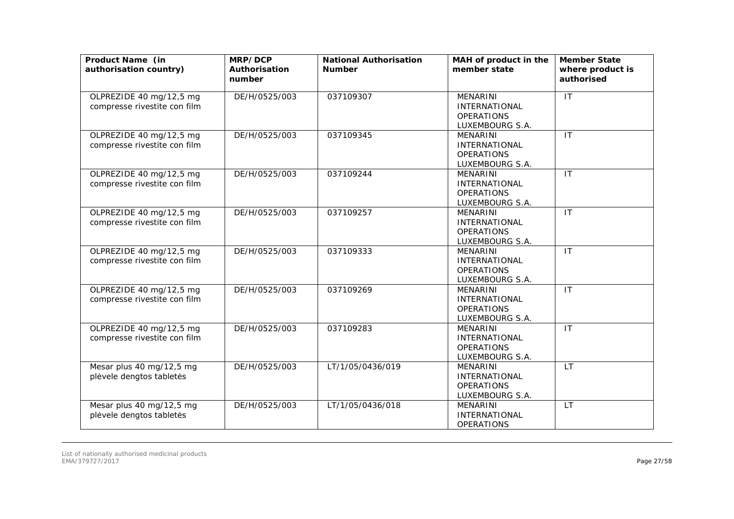| Product Name (in<br>authorisation country)              | MRP/DCP<br>Authorisation<br>number | <b>National Authorisation</b><br><b>Number</b> | MAH of product in the<br>member state                                           | <b>Member State</b><br>where product is<br>authorised |
|---------------------------------------------------------|------------------------------------|------------------------------------------------|---------------------------------------------------------------------------------|-------------------------------------------------------|
| OLPREZIDE 40 mg/12,5 mg<br>compresse rivestite con film | DE/H/0525/003                      | 037109307                                      | MENARINI<br><b>INTERNATIONAL</b><br><b>OPERATIONS</b><br>LUXEMBOURG S.A.        | IT                                                    |
| OLPREZIDE 40 mg/12,5 mg<br>compresse rivestite con film | DE/H/0525/003                      | 037109345                                      | MENARINI<br><b>INTERNATIONAL</b><br><b>OPERATIONS</b><br>LUXEMBOURG S.A.        | IT                                                    |
| OLPREZIDE 40 mg/12,5 mg<br>compresse rivestite con film | DE/H/0525/003                      | 037109244                                      | MENARINI<br><b>INTERNATIONAL</b><br><b>OPERATIONS</b><br>LUXEMBOURG S.A.        | $\overline{\mathsf{I}\mathsf{T}}$                     |
| OLPREZIDE 40 mg/12,5 mg<br>compresse rivestite con film | DE/H/0525/003                      | 037109257                                      | <b>MENARINI</b><br><b>INTERNATIONAL</b><br><b>OPERATIONS</b><br>LUXEMBOURG S.A. | IT                                                    |
| OLPREZIDE 40 mg/12,5 mg<br>compresse rivestite con film | DE/H/0525/003                      | 037109333                                      | <b>MENARINI</b><br><b>INTERNATIONAL</b><br><b>OPERATIONS</b><br>LUXEMBOURG S.A. | IT                                                    |
| OLPREZIDE 40 mg/12,5 mg<br>compresse rivestite con film | DE/H/0525/003                      | 037109269                                      | MENARINI<br><b>INTERNATIONAL</b><br><b>OPERATIONS</b><br>LUXEMBOURG S.A.        | $\mathsf{I}\mathsf{T}$                                |
| OLPREZIDE 40 mg/12,5 mg<br>compresse rivestite con film | DE/H/0525/003                      | 037109283                                      | <b>MENARINI</b><br><b>INTERNATIONAL</b><br><b>OPERATIONS</b><br>LUXEMBOURG S.A. | IT                                                    |
| Mesar plus 40 mg/12,5 mg<br>plėvele dengtos tabletės    | DE/H/0525/003                      | LT/1/05/0436/019                               | MENARINI<br><b>INTERNATIONAL</b><br><b>OPERATIONS</b><br>LUXEMBOURG S.A.        | <b>LT</b>                                             |
| Mesar plus 40 mg/12,5 mg<br>plėvele dengtos tabletės    | DE/H/0525/003                      | LT/1/05/0436/018                               | <b>MENARINI</b><br><b>INTERNATIONAL</b><br><b>OPERATIONS</b>                    | <b>LT</b>                                             |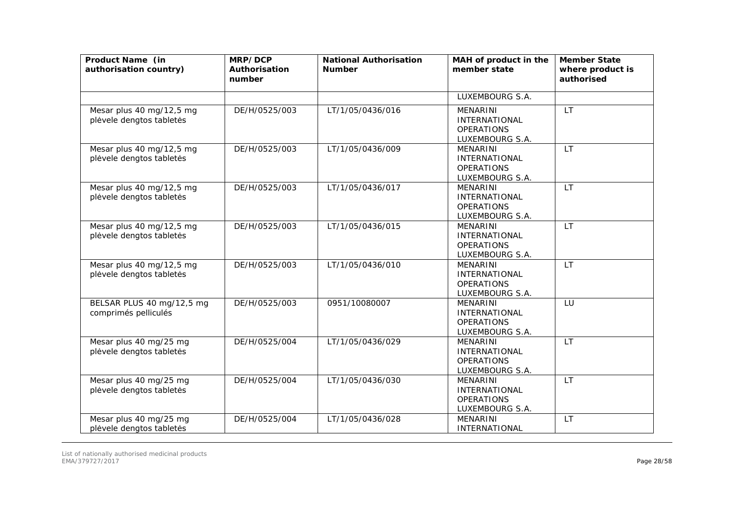| Product Name (in<br>authorisation country)           | MRP/DCP<br>Authorisation<br>number | <b>National Authorisation</b><br><b>Number</b> | MAH of product in the<br>member state                                           | <b>Member State</b><br>where product is<br>authorised |
|------------------------------------------------------|------------------------------------|------------------------------------------------|---------------------------------------------------------------------------------|-------------------------------------------------------|
|                                                      |                                    |                                                | LUXEMBOURG S.A.                                                                 |                                                       |
| Mesar plus 40 mg/12,5 mg<br>plėvele dengtos tabletės | DE/H/0525/003                      | LT/1/05/0436/016                               | <b>MENARINI</b><br><b>INTERNATIONAL</b><br><b>OPERATIONS</b><br>LUXEMBOURG S.A. | <b>LT</b>                                             |
| Mesar plus 40 mg/12,5 mg<br>plėvele dengtos tabletės | DE/H/0525/003                      | LT/1/05/0436/009                               | <b>MENARINI</b><br><b>INTERNATIONAL</b><br><b>OPERATIONS</b><br>LUXEMBOURG S.A. | <b>LT</b>                                             |
| Mesar plus 40 mg/12,5 mg<br>plėvele dengtos tabletės | DE/H/0525/003                      | LT/1/05/0436/017                               | <b>MENARINI</b><br>INTERNATIONAL<br><b>OPERATIONS</b><br>LUXEMBOURG S.A.        | <b>LT</b>                                             |
| Mesar plus 40 mg/12,5 mg<br>plėvele dengtos tabletės | DE/H/0525/003                      | LT/1/05/0436/015                               | <b>MENARINI</b><br><b>INTERNATIONAL</b><br><b>OPERATIONS</b><br>LUXEMBOURG S.A. | <b>LT</b>                                             |
| Mesar plus 40 mg/12,5 mg<br>plėvele dengtos tabletės | DE/H/0525/003                      | LT/1/05/0436/010                               | <b>MENARINI</b><br><b>INTERNATIONAL</b><br><b>OPERATIONS</b><br>LUXEMBOURG S.A. | <b>LT</b>                                             |
| BELSAR PLUS 40 mg/12,5 mg<br>comprimés pelliculés    | DE/H/0525/003                      | 0951/10080007                                  | <b>MENARINI</b><br><b>INTERNATIONAL</b><br><b>OPERATIONS</b><br>LUXEMBOURG S.A. | LU                                                    |
| Mesar plus 40 mg/25 mg<br>plėvele dengtos tabletės   | DE/H/0525/004                      | LT/1/05/0436/029                               | <b>MENARINI</b><br><b>INTERNATIONAL</b><br><b>OPERATIONS</b><br>LUXEMBOURG S.A. | <b>LT</b>                                             |
| Mesar plus 40 mg/25 mg<br>plėvele dengtos tabletės   | DE/H/0525/004                      | LT/1/05/0436/030                               | <b>MENARINI</b><br><b>INTERNATIONAL</b><br><b>OPERATIONS</b><br>LUXEMBOURG S.A. | <b>LT</b>                                             |
| Mesar plus 40 mg/25 mg<br>plėvele dengtos tabletės   | DE/H/0525/004                      | LT/1/05/0436/028                               | <b>MENARINI</b><br><b>INTERNATIONAL</b>                                         | <b>LT</b>                                             |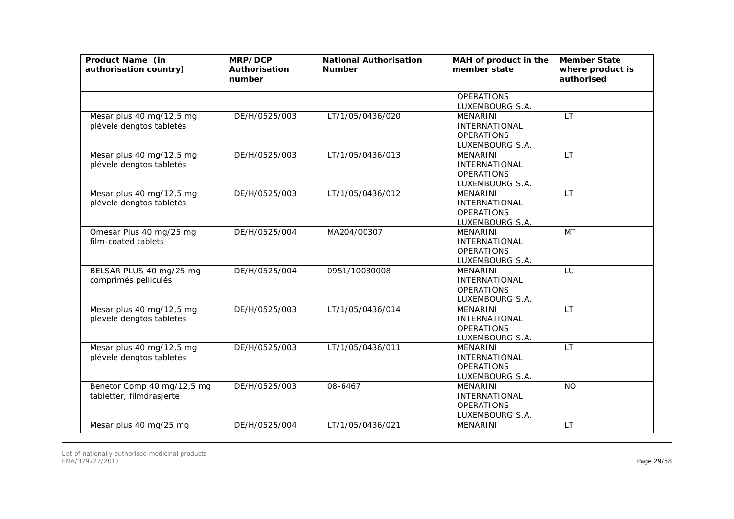| Product Name (in<br>authorisation country)             | MRP/DCP<br>Authorisation<br>number | <b>National Authorisation</b><br><b>Number</b> | MAH of product in the<br>member state                                           | <b>Member State</b><br>where product is<br>authorised |
|--------------------------------------------------------|------------------------------------|------------------------------------------------|---------------------------------------------------------------------------------|-------------------------------------------------------|
|                                                        |                                    |                                                | <b>OPERATIONS</b><br>LUXEMBOURG S.A.                                            |                                                       |
| Mesar plus 40 mg/12,5 mg<br>plėvele dengtos tabletės   | DE/H/0525/003                      | LT/1/05/0436/020                               | <b>MENARINI</b><br>INTERNATIONAL<br><b>OPERATIONS</b><br>LUXEMBOURG S.A.        | <b>LT</b>                                             |
| Mesar plus 40 mg/12,5 mg<br>plėvele dengtos tabletės   | DE/H/0525/003                      | LT/1/05/0436/013                               | <b>MENARINI</b><br><b>INTERNATIONAL</b><br><b>OPERATIONS</b><br>LUXEMBOURG S.A. | <b>LT</b>                                             |
| Mesar plus 40 mg/12,5 mg<br>plėvele dengtos tabletės   | DE/H/0525/003                      | LT/1/05/0436/012                               | <b>MENARINI</b><br><b>INTERNATIONAL</b><br><b>OPERATIONS</b><br>LUXEMBOURG S.A. | <b>LT</b>                                             |
| Omesar Plus 40 mg/25 mg<br>film-coated tablets         | DE/H/0525/004                      | MA204/00307                                    | <b>MENARINI</b><br>INTERNATIONAL<br><b>OPERATIONS</b><br>LUXEMBOURG S.A.        | <b>MT</b>                                             |
| BELSAR PLUS 40 mg/25 mg<br>comprimés pelliculés        | DE/H/0525/004                      | 0951/10080008                                  | <b>MENARINI</b><br><b>INTERNATIONAL</b><br><b>OPERATIONS</b><br>LUXEMBOURG S.A. | LU                                                    |
| Mesar plus 40 mg/12,5 mg<br>plėvele dengtos tabletės   | DE/H/0525/003                      | LT/1/05/0436/014                               | <b>MENARINI</b><br><b>INTERNATIONAL</b><br><b>OPERATIONS</b><br>LUXEMBOURG S.A. | <b>LT</b>                                             |
| Mesar plus 40 mg/12,5 mg<br>plėvele dengtos tabletės   | DE/H/0525/003                      | LT/1/05/0436/011                               | <b>MENARINI</b><br><b>INTERNATIONAL</b><br><b>OPERATIONS</b><br>LUXEMBOURG S.A. | <b>LT</b>                                             |
| Benetor Comp 40 mg/12,5 mg<br>tabletter, filmdrasjerte | DE/H/0525/003                      | 08-6467                                        | <b>MENARINI</b><br><b>INTERNATIONAL</b><br><b>OPERATIONS</b><br>LUXEMBOURG S.A. | <b>NO</b>                                             |
| Mesar plus 40 mg/25 mg                                 | DE/H/0525/004                      | LT/1/05/0436/021                               | MENARINI                                                                        | LT.                                                   |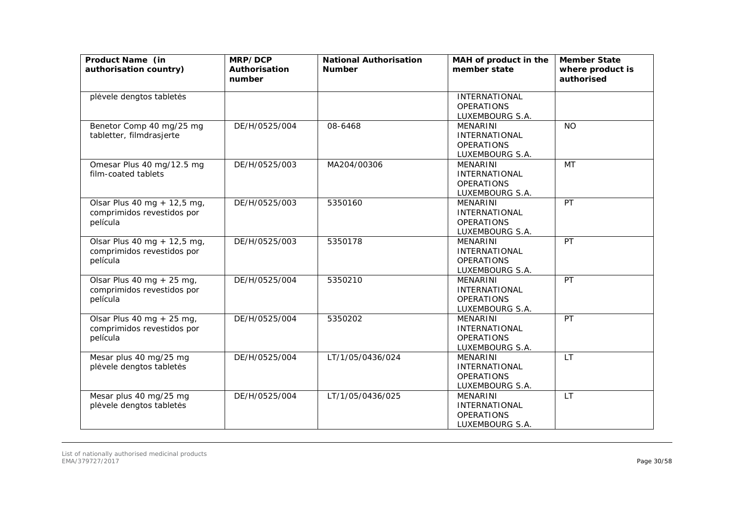| Product Name (in<br>authorisation country)                            | MRP/DCP<br>Authorisation<br>number | <b>National Authorisation</b><br><b>Number</b> | MAH of product in the<br>member state                                           | <b>Member State</b><br>where product is<br>authorised |
|-----------------------------------------------------------------------|------------------------------------|------------------------------------------------|---------------------------------------------------------------------------------|-------------------------------------------------------|
| plėvele dengtos tabletės                                              |                                    |                                                | <b>INTERNATIONAL</b><br><b>OPERATIONS</b><br>LUXEMBOURG S.A.                    |                                                       |
| Benetor Comp 40 mg/25 mg<br>tabletter, filmdrasjerte                  | DE/H/0525/004                      | 08-6468                                        | <b>MENARINI</b><br><b>INTERNATIONAL</b><br><b>OPERATIONS</b><br>LUXEMBOURG S.A. | <b>NO</b>                                             |
| Omesar Plus 40 mg/12.5 mg<br>film-coated tablets                      | DE/H/0525/003                      | MA204/00306                                    | MENARINI<br><b>INTERNATIONAL</b><br><b>OPERATIONS</b><br>LUXEMBOURG S.A.        | MT                                                    |
| Olsar Plus 40 mg + 12,5 mg,<br>comprimidos revestidos por<br>película | DE/H/0525/003                      | 5350160                                        | <b>MENARINI</b><br><b>INTERNATIONAL</b><br><b>OPERATIONS</b><br>LUXEMBOURG S.A. | PT                                                    |
| Olsar Plus 40 mg + 12,5 mg,<br>comprimidos revestidos por<br>película | DE/H/0525/003                      | 5350178                                        | <b>MENARINI</b><br><b>INTERNATIONAL</b><br><b>OPERATIONS</b><br>LUXEMBOURG S.A. | PT                                                    |
| Olsar Plus 40 mg + 25 mg,<br>comprimidos revestidos por<br>película   | DE/H/0525/004                      | 5350210                                        | <b>MENARINI</b><br><b>INTERNATIONAL</b><br><b>OPERATIONS</b><br>LUXEMBOURG S.A. | PT                                                    |
| Olsar Plus 40 mg + 25 mg,<br>comprimidos revestidos por<br>película   | DE/H/0525/004                      | 5350202                                        | <b>MENARINI</b><br><b>INTERNATIONAL</b><br><b>OPERATIONS</b><br>LUXEMBOURG S.A. | PT                                                    |
| Mesar plus 40 mg/25 mg<br>plėvele dengtos tabletės                    | DE/H/0525/004                      | LT/1/05/0436/024                               | <b>MENARINI</b><br><b>INTERNATIONAL</b><br><b>OPERATIONS</b><br>LUXEMBOURG S.A. | <b>LT</b>                                             |
| Mesar plus 40 mg/25 mg<br>plėvele dengtos tabletės                    | DE/H/0525/004                      | LT/1/05/0436/025                               | <b>MENARINI</b><br><b>INTERNATIONAL</b><br><b>OPERATIONS</b><br>LUXEMBOURG S.A. | <b>LT</b>                                             |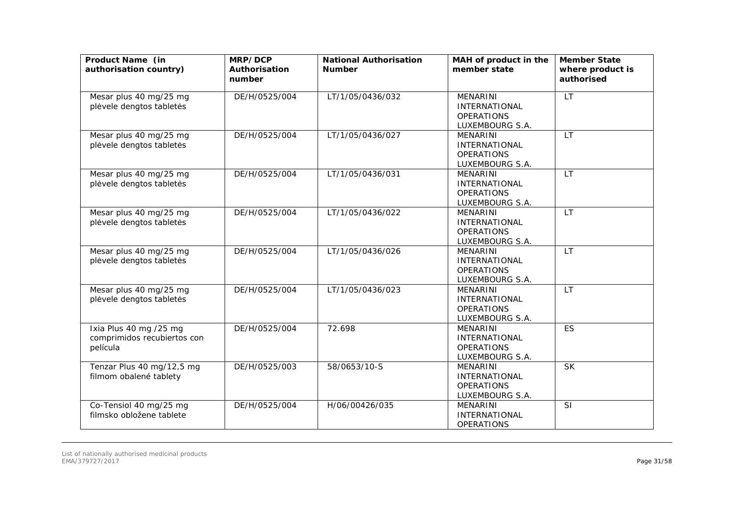| Product Name (in<br>authorisation country)                        | MRP/DCP<br>Authorisation<br>number | <b>National Authorisation</b><br><b>Number</b> | MAH of product in the<br>member state                                           | <b>Member State</b><br>where product is<br>authorised |
|-------------------------------------------------------------------|------------------------------------|------------------------------------------------|---------------------------------------------------------------------------------|-------------------------------------------------------|
| Mesar plus 40 mg/25 mg<br>plėvele dengtos tabletės                | DE/H/0525/004                      | LT/1/05/0436/032                               | MENARINI<br><b>INTERNATIONAL</b><br><b>OPERATIONS</b><br>LUXEMBOURG S.A.        | <b>LT</b>                                             |
| Mesar plus 40 mg/25 mg<br>plėvele dengtos tabletės                | DE/H/0525/004                      | LT/1/05/0436/027                               | <b>MENARINI</b><br><b>INTERNATIONAL</b><br><b>OPERATIONS</b><br>LUXEMBOURG S.A. | <b>LT</b>                                             |
| Mesar plus 40 mg/25 mg<br>plėvele dengtos tabletės                | DE/H/0525/004                      | LT/1/05/0436/031                               | <b>MENARINI</b><br><b>INTERNATIONAL</b><br><b>OPERATIONS</b><br>LUXEMBOURG S.A. | <b>LT</b>                                             |
| Mesar plus 40 mg/25 mg<br>plėvele dengtos tabletės                | DE/H/0525/004                      | LT/1/05/0436/022                               | <b>MENARINI</b><br><b>INTERNATIONAL</b><br><b>OPERATIONS</b><br>LUXEMBOURG S.A. | <b>LT</b>                                             |
| Mesar plus 40 mg/25 mg<br>plėvele dengtos tabletės                | DE/H/0525/004                      | LT/1/05/0436/026                               | <b>MENARINI</b><br><b>INTERNATIONAL</b><br><b>OPERATIONS</b><br>LUXEMBOURG S.A. | <b>LT</b>                                             |
| Mesar plus 40 mg/25 mg<br>plėvele dengtos tabletės                | DE/H/0525/004                      | LT/1/05/0436/023                               | <b>MENARINI</b><br><b>INTERNATIONAL</b><br><b>OPERATIONS</b><br>LUXEMBOURG S.A. | LT                                                    |
| Ixia Plus 40 mg /25 mg<br>comprimidos recubiertos con<br>película | DE/H/0525/004                      | 72.698                                         | <b>MENARINI</b><br><b>INTERNATIONAL</b><br><b>OPERATIONS</b><br>LUXEMBOURG S.A. | ES                                                    |
| Tenzar Plus 40 mg/12,5 mg<br>filmom obalené tablety               | DE/H/0525/003                      | 58/0653/10-S                                   | <b>MENARINI</b><br><b>INTERNATIONAL</b><br><b>OPERATIONS</b><br>LUXEMBOURG S.A. | <b>SK</b>                                             |
| Co-Tensiol 40 mg/25 mg<br>filmsko obložene tablete                | DE/H/0525/004                      | H/06/00426/035                                 | <b>MENARINI</b><br><b>INTERNATIONAL</b><br><b>OPERATIONS</b>                    | SI                                                    |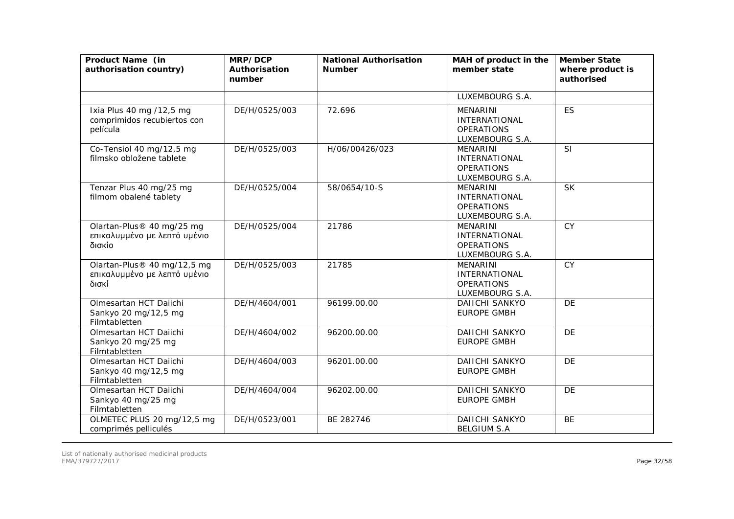| Product Name (in<br>authorisation country)                           | MRP/DCP<br>Authorisation<br>number | <b>National Authorisation</b><br><b>Number</b> | MAH of product in the<br>member state                                           | <b>Member State</b><br>where product is<br>authorised |
|----------------------------------------------------------------------|------------------------------------|------------------------------------------------|---------------------------------------------------------------------------------|-------------------------------------------------------|
|                                                                      |                                    |                                                | LUXEMBOURG S.A.                                                                 |                                                       |
| Ixia Plus 40 mg /12,5 mg<br>comprimidos recubiertos con<br>película  | DE/H/0525/003                      | 72.696                                         | <b>MENARINI</b><br><b>INTERNATIONAL</b><br><b>OPERATIONS</b><br>LUXEMBOURG S.A. | <b>ES</b>                                             |
| Co-Tensiol 40 mg/12,5 mg<br>filmsko obložene tablete                 | DE/H/0525/003                      | H/06/00426/023                                 | <b>MENARINI</b><br><b>INTERNATIONAL</b><br><b>OPERATIONS</b><br>LUXEMBOURG S.A. | SI                                                    |
| Tenzar Plus 40 mg/25 mg<br>filmom obalené tablety                    | DE/H/0525/004                      | 58/0654/10-S                                   | <b>MENARINI</b><br><b>INTERNATIONAL</b><br><b>OPERATIONS</b><br>LUXEMBOURG S.A. | <b>SK</b>                                             |
| Olartan-Plus® 40 mg/25 mg<br>επικαλυμμένο με λεπτό υμένιο<br>δισκίο  | DE/H/0525/004                      | 21786                                          | <b>MENARINI</b><br><b>INTERNATIONAL</b><br><b>OPERATIONS</b><br>LUXEMBOURG S.A. | <b>CY</b>                                             |
| Olartan-Plus® 40 mg/12,5 mg<br>επικαλυμμένο με λεπτό υμένιο<br>δισκί | DE/H/0525/003                      | 21785                                          | <b>MENARINI</b><br><b>INTERNATIONAL</b><br><b>OPERATIONS</b><br>LUXEMBOURG S.A. | <b>CY</b>                                             |
| Olmesartan HCT Daiichi<br>Sankyo 20 mg/12,5 mg<br>Filmtabletten      | DE/H/4604/001                      | 96199.00.00                                    | <b>DAIICHI SANKYO</b><br><b>EUROPE GMBH</b>                                     | DE                                                    |
| Olmesartan HCT Daiichi<br>Sankyo 20 mg/25 mg<br>Filmtabletten        | DE/H/4604/002                      | 96200.00.00                                    | DAIICHI SANKYO<br><b>EUROPE GMBH</b>                                            | <b>DE</b>                                             |
| Olmesartan HCT Daiichi<br>Sankyo 40 mg/12,5 mg<br>Filmtabletten      | DE/H/4604/003                      | 96201.00.00                                    | DAIICHI SANKYO<br><b>EUROPE GMBH</b>                                            | DE                                                    |
| Olmesartan HCT Daiichi<br>Sankyo 40 mg/25 mg<br>Filmtabletten        | DE/H/4604/004                      | 96202.00.00                                    | <b>DAIICHI SANKYO</b><br><b>EUROPE GMBH</b>                                     | DE                                                    |
| OLMETEC PLUS 20 mg/12,5 mg<br>comprimés pelliculés                   | DE/H/0523/001                      | BE 282746                                      | <b>DAIICHI SANKYO</b><br><b>BELGIUM S.A</b>                                     | <b>BE</b>                                             |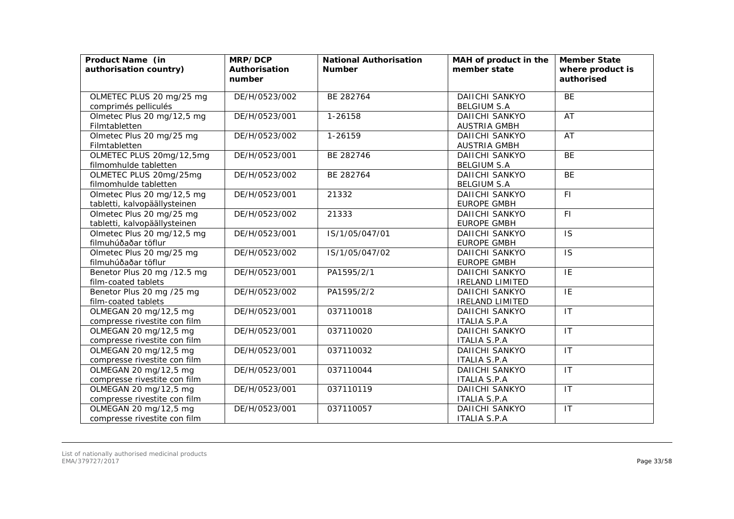| Product Name (in<br>authorisation country)                 | MRP/DCP<br>Authorisation<br>number | <b>National Authorisation</b><br><b>Number</b> | MAH of product in the<br>member state        | <b>Member State</b><br>where product is<br>authorised |
|------------------------------------------------------------|------------------------------------|------------------------------------------------|----------------------------------------------|-------------------------------------------------------|
| OLMETEC PLUS 20 mg/25 mg<br>comprimés pelliculés           | DE/H/0523/002                      | BE 282764                                      | <b>DAIICHI SANKYO</b><br><b>BELGIUM S.A</b>  | BE                                                    |
| Olmetec Plus 20 mg/12,5 mg<br>Filmtabletten                | DE/H/0523/001                      | 1-26158                                        | <b>DAIICHI SANKYO</b><br><b>AUSTRIA GMBH</b> | AT                                                    |
| Olmetec Plus 20 mg/25 mg<br>Filmtabletten                  | DE/H/0523/002                      | 1-26159                                        | <b>DAIICHI SANKYO</b><br><b>AUSTRIA GMBH</b> | AT                                                    |
| OLMETEC PLUS 20mg/12,5mg<br>filmomhulde tabletten          | DE/H/0523/001                      | BE 282746                                      | <b>DAIICHI SANKYO</b><br><b>BELGIUM S.A</b>  | <b>BE</b>                                             |
| OLMETEC PLUS 20mg/25mg<br>filmomhulde tabletten            | DE/H/0523/002                      | BE 282764                                      | <b>DAIICHI SANKYO</b><br><b>BELGIUM S.A</b>  | <b>BE</b>                                             |
| Olmetec Plus 20 mg/12,5 mg<br>tabletti, kalvopäällysteinen | DE/H/0523/001                      | 21332                                          | <b>DAIICHI SANKYO</b><br><b>EUROPE GMBH</b>  | F1                                                    |
| Olmetec Plus 20 mg/25 mg<br>tabletti, kalvopäällysteinen   | DE/H/0523/002                      | 21333                                          | <b>DAIICHI SANKYO</b><br><b>EUROPE GMBH</b>  | FI                                                    |
| Olmetec Plus 20 mg/12,5 mg<br>filmuhúðaðar töflur          | DE/H/0523/001                      | IS/1/05/047/01                                 | DAIICHI SANKYO<br><b>EUROPE GMBH</b>         | <b>IS</b>                                             |
| Olmetec Plus 20 mg/25 mg<br>filmuhúðaðar töflur            | DE/H/0523/002                      | IS/1/05/047/02                                 | DAIICHI SANKYO<br><b>EUROPE GMBH</b>         | <b>IS</b>                                             |
| Benetor Plus 20 mg /12.5 mg<br>film-coated tablets         | DE/H/0523/001                      | PA1595/2/1                                     | DAIICHI SANKYO<br><b>IRELAND LIMITED</b>     | IE                                                    |
| Benetor Plus 20 mg /25 mg<br>film-coated tablets           | DE/H/0523/002                      | PA1595/2/2                                     | DAIICHI SANKYO<br><b>IRELAND LIMITED</b>     | IE                                                    |
| OLMEGAN 20 mg/12,5 mg<br>compresse rivestite con film      | DE/H/0523/001                      | 037110018                                      | <b>DAIICHI SANKYO</b><br><b>ITALIA S.P.A</b> | IT                                                    |
| OLMEGAN 20 mg/12,5 mg<br>compresse rivestite con film      | DE/H/0523/001                      | 037110020                                      | <b>DAIICHI SANKYO</b><br><b>ITALIA S.P.A</b> | $\mathsf{I}\mathsf{T}$                                |
| OLMEGAN 20 mg/12,5 mg<br>compresse rivestite con film      | DE/H/0523/001                      | 037110032                                      | DAIICHI SANKYO<br><b>ITALIA S.P.A</b>        | IT                                                    |
| OLMEGAN 20 mg/12,5 mg<br>compresse rivestite con film      | DE/H/0523/001                      | 037110044                                      | <b>DAIICHI SANKYO</b><br><b>ITALIA S.P.A</b> | IT                                                    |
| OLMEGAN 20 mg/12,5 mg<br>compresse rivestite con film      | DE/H/0523/001                      | 037110119                                      | DAIICHI SANKYO<br><b>ITALIA S.P.A</b>        | IT                                                    |
| OLMEGAN 20 mg/12,5 mg<br>compresse rivestite con film      | DE/H/0523/001                      | 037110057                                      | DAIICHI SANKYO<br><b>ITALIA S.P.A</b>        | IT                                                    |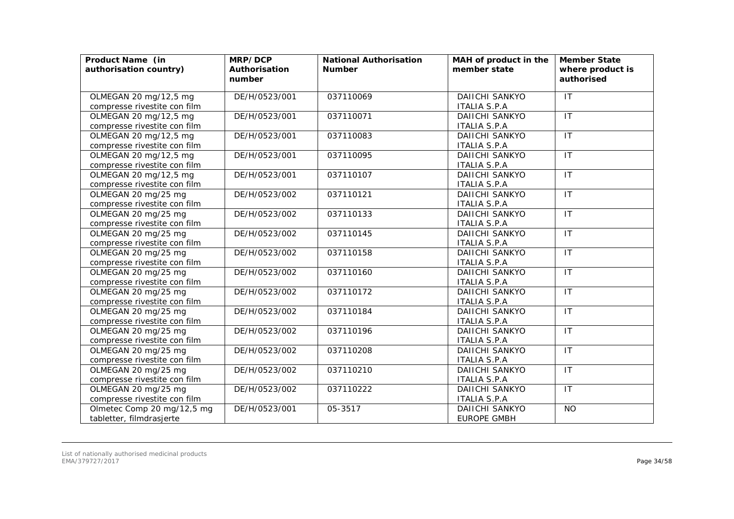| Product Name (in<br>authorisation country) | MRP/DCP<br>Authorisation<br>number | <b>National Authorisation</b><br><b>Number</b> | MAH of product in the<br>member state | <b>Member State</b><br>where product is<br>authorised |
|--------------------------------------------|------------------------------------|------------------------------------------------|---------------------------------------|-------------------------------------------------------|
| OLMEGAN 20 mg/12,5 mg                      | DE/H/0523/001                      | 037110069                                      | DAIICHI SANKYO                        | $\overline{1}$                                        |
| compresse rivestite con film               |                                    |                                                | <b>ITALIA S.P.A</b>                   |                                                       |
| OLMEGAN 20 mg/12,5 mg                      | DE/H/0523/001                      | 037110071                                      | <b>DAIICHI SANKYO</b>                 | IT                                                    |
| compresse rivestite con film               |                                    |                                                | <b>ITALIA S.P.A</b>                   |                                                       |
| OLMEGAN 20 mg/12,5 mg                      | DE/H/0523/001                      | 037110083                                      | <b>DAIICHI SANKYO</b>                 | $\overline{1}$                                        |
| compresse rivestite con film               |                                    |                                                | <b>ITALIA S.P.A</b>                   |                                                       |
| OLMEGAN 20 mg/12,5 mg                      | DE/H/0523/001                      | 037110095                                      | <b>DAIICHI SANKYO</b>                 | IT                                                    |
| compresse rivestite con film               |                                    |                                                | <b>ITALIA S.P.A</b>                   |                                                       |
| OLMEGAN 20 mg/12,5 mg                      | DE/H/0523/001                      | 037110107                                      | <b>DAIICHI SANKYO</b>                 | IT                                                    |
| compresse rivestite con film               |                                    |                                                | <b>ITALIA S.P.A</b>                   |                                                       |
| OLMEGAN 20 mg/25 mg                        | DE/H/0523/002                      | 037110121                                      | <b>DAIICHI SANKYO</b>                 | IT                                                    |
| compresse rivestite con film               |                                    |                                                | <b>ITALIA S.P.A</b>                   |                                                       |
| OLMEGAN 20 mg/25 mg                        | DE/H/0523/002                      | 037110133                                      | <b>DAIICHI SANKYO</b>                 | $\mathsf{I}\mathsf{T}$                                |
| compresse rivestite con film               |                                    |                                                | <b>ITALIA S.P.A</b>                   |                                                       |
| OLMEGAN 20 mg/25 mg                        | DE/H/0523/002                      | 037110145                                      | <b>DAIICHI SANKYO</b>                 | $\mathsf{I}\mathsf{T}$                                |
| compresse rivestite con film               |                                    |                                                | <b>ITALIA S.P.A</b>                   |                                                       |
| OLMEGAN 20 mg/25 mg                        | DE/H/0523/002                      | 037110158                                      | <b>DAIICHI SANKYO</b>                 | IT                                                    |
| compresse rivestite con film               |                                    |                                                | <b>ITALIA S.P.A</b>                   |                                                       |
| OLMEGAN 20 mg/25 mg                        | DE/H/0523/002                      | 037110160                                      | DAIICHI SANKYO                        | $\mathsf{I}\mathsf{T}$                                |
| compresse rivestite con film               |                                    |                                                | <b>ITALIA S.P.A</b>                   |                                                       |
| OLMEGAN 20 mg/25 mg                        | DE/H/0523/002                      | 037110172                                      | <b>DAIICHI SANKYO</b>                 | IT                                                    |
| compresse rivestite con film               |                                    |                                                | <b>ITALIA S.P.A</b>                   |                                                       |
| OLMEGAN 20 mg/25 mg                        | DE/H/0523/002                      | 037110184                                      | <b>DAIICHI SANKYO</b>                 | IT                                                    |
| compresse rivestite con film               |                                    |                                                | <b>ITALIA S.P.A</b>                   |                                                       |
| OLMEGAN 20 mg/25 mg                        | DE/H/0523/002                      | 037110196                                      | <b>DAIICHI SANKYO</b>                 | $\mathsf{I}\mathsf{T}$                                |
| compresse rivestite con film               |                                    |                                                | <b>ITALIA S.P.A</b>                   |                                                       |
| OLMEGAN 20 mg/25 mg                        | DE/H/0523/002                      | 037110208                                      | DAIICHI SANKYO                        | IT                                                    |
| compresse rivestite con film               |                                    |                                                | <b>ITALIA S.P.A</b>                   |                                                       |
| OLMEGAN 20 mg/25 mg                        | DE/H/0523/002                      | 037110210                                      | <b>DAIICHI SANKYO</b>                 | IT                                                    |
| compresse rivestite con film               |                                    |                                                | <b>ITALIA S.P.A</b>                   |                                                       |
| OLMEGAN 20 mg/25 mg                        | DE/H/0523/002                      | 037110222                                      | DAIICHI SANKYO                        | IT                                                    |
| compresse rivestite con film               |                                    |                                                | <b>ITALIA S.P.A</b>                   |                                                       |
| Olmetec Comp 20 mg/12,5 mg                 | DE/H/0523/001                      | 05-3517                                        | DAIICHI SANKYO<br><b>EUROPE GMBH</b>  | <b>NO</b>                                             |
| tabletter, filmdrasjerte                   |                                    |                                                |                                       |                                                       |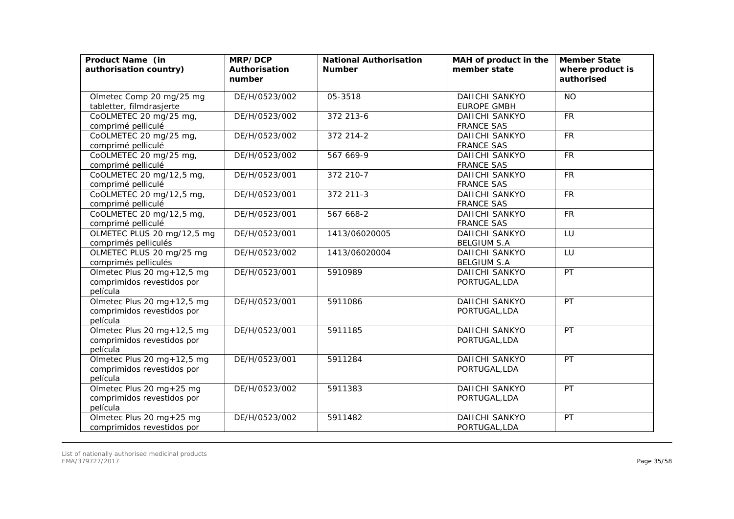| Product Name (in<br>authorisation country)                           | MRP/DCP<br>Authorisation<br>number | <b>National Authorisation</b><br><b>Number</b> | MAH of product in the<br>member state       | <b>Member State</b><br>where product is<br>authorised |
|----------------------------------------------------------------------|------------------------------------|------------------------------------------------|---------------------------------------------|-------------------------------------------------------|
| Olmetec Comp 20 mg/25 mg<br>tabletter, filmdrasjerte                 | DE/H/0523/002                      | 05-3518                                        | DAIICHI SANKYO<br><b>EUROPE GMBH</b>        | <b>NO</b>                                             |
| CoOLMETEC 20 mg/25 mg,<br>comprimé pelliculé                         | DE/H/0523/002                      | 372 213-6                                      | <b>DAIICHI SANKYO</b><br><b>FRANCE SAS</b>  | <b>FR</b>                                             |
| CoOLMETEC 20 mg/25 mg,<br>comprimé pelliculé                         | DE/H/0523/002                      | 372 214-2                                      | <b>DAIICHI SANKYO</b><br><b>FRANCE SAS</b>  | <b>FR</b>                                             |
| CoOLMETEC 20 mg/25 mg,<br>comprimé pelliculé                         | DE/H/0523/002                      | 567 669-9                                      | <b>DAIICHI SANKYO</b><br><b>FRANCE SAS</b>  | <b>FR</b>                                             |
| CoOLMETEC 20 mg/12,5 mg,<br>comprimé pelliculé                       | DE/H/0523/001                      | 372 210-7                                      | <b>DAIICHI SANKYO</b><br><b>FRANCE SAS</b>  | <b>FR</b>                                             |
| CoOLMETEC 20 mg/12,5 mg,<br>comprimé pelliculé                       | DE/H/0523/001                      | 372 211-3                                      | <b>DAIICHI SANKYO</b><br><b>FRANCE SAS</b>  | <b>FR</b>                                             |
| CoOLMETEC 20 mg/12,5 mg,<br>comprimé pelliculé                       | DE/H/0523/001                      | 567 668-2                                      | DAIICHI SANKYO<br><b>FRANCE SAS</b>         | <b>FR</b>                                             |
| OLMETEC PLUS 20 mg/12,5 mg<br>comprimés pelliculés                   | DE/H/0523/001                      | 1413/06020005                                  | DAIICHI SANKYO<br><b>BELGIUM S.A</b>        | LU                                                    |
| OLMETEC PLUS 20 mg/25 mg<br>comprimés pelliculés                     | DE/H/0523/002                      | 1413/06020004                                  | <b>DAIICHI SANKYO</b><br><b>BELGIUM S.A</b> | LU                                                    |
| Olmetec Plus 20 mg+12,5 mg<br>comprimidos revestidos por<br>película | DE/H/0523/001                      | 5910989                                        | DAIICHI SANKYO<br>PORTUGAL, LDA             | PT                                                    |
| Olmetec Plus 20 mg+12,5 mg<br>comprimidos revestidos por<br>película | DE/H/0523/001                      | 5911086                                        | <b>DAIICHI SANKYO</b><br>PORTUGAL, LDA      | PT                                                    |
| Olmetec Plus 20 mg+12,5 mg<br>comprimidos revestidos por<br>película | DE/H/0523/001                      | 5911185                                        | DAIICHI SANKYO<br>PORTUGAL, LDA             | PT                                                    |
| Olmetec Plus 20 mg+12,5 mg<br>comprimidos revestidos por<br>película | DE/H/0523/001                      | 5911284                                        | <b>DAIICHI SANKYO</b><br>PORTUGAL, LDA      | PT                                                    |
| Olmetec Plus 20 mg+25 mg<br>comprimidos revestidos por<br>película   | DE/H/0523/002                      | 5911383                                        | <b>DAIICHI SANKYO</b><br>PORTUGAL, LDA      | PT                                                    |
| Olmetec Plus 20 mg + 25 mg<br>comprimidos revestidos por             | DE/H/0523/002                      | 5911482                                        | DAIICHI SANKYO<br>PORTUGAL, LDA             | PT                                                    |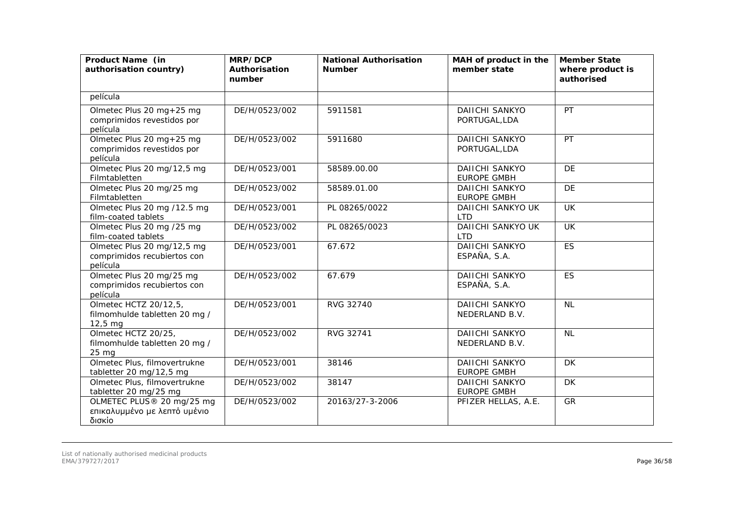| Product Name (in<br>authorisation country)                            | MRP/DCP<br>Authorisation<br>number | <b>National Authorisation</b><br><b>Number</b> | MAH of product in the<br>member state       | <b>Member State</b><br>where product is<br>authorised |
|-----------------------------------------------------------------------|------------------------------------|------------------------------------------------|---------------------------------------------|-------------------------------------------------------|
| película                                                              |                                    |                                                |                                             |                                                       |
| Olmetec Plus 20 mg+25 mg<br>comprimidos revestidos por<br>película    | DE/H/0523/002                      | 5911581                                        | <b>DAIICHI SANKYO</b><br>PORTUGAL, LDA      | PT                                                    |
| Olmetec Plus 20 mg+25 mg<br>comprimidos revestidos por<br>película    | DE/H/0523/002                      | 5911680                                        | DAIICHI SANKYO<br>PORTUGAL, LDA             | PT                                                    |
| Olmetec Plus 20 mg/12,5 mg<br>Filmtabletten                           | DE/H/0523/001                      | 58589.00.00                                    | <b>DAIICHI SANKYO</b><br><b>EUROPE GMBH</b> | DE                                                    |
| Olmetec Plus 20 mg/25 mg<br>Filmtabletten                             | DE/H/0523/002                      | 58589.01.00                                    | <b>DAIICHI SANKYO</b><br><b>EUROPE GMBH</b> | DE                                                    |
| Olmetec Plus 20 mg /12.5 mg<br>film-coated tablets                    | DE/H/0523/001                      | PL 08265/0022                                  | DAIICHI SANKYO UK<br><b>LTD</b>             | <b>UK</b>                                             |
| Olmetec Plus 20 mg /25 mg<br>film-coated tablets                      | DE/H/0523/002                      | PL 08265/0023                                  | DAIICHI SANKYO UK<br><b>LTD</b>             | <b>UK</b>                                             |
| Olmetec Plus 20 mg/12,5 mg<br>comprimidos recubiertos con<br>película | DE/H/0523/001                      | 67.672                                         | <b>DAIICHI SANKYO</b><br>ESPAÑA, S.A.       | <b>ES</b>                                             |
| Olmetec Plus 20 mg/25 mg<br>comprimidos recubiertos con<br>película   | DE/H/0523/002                      | 67.679                                         | DAIICHI SANKYO<br>ESPAÑA, S.A.              | <b>ES</b>                                             |
| Olmetec HCTZ 20/12,5,<br>filmomhulde tabletten 20 mg /<br>$12,5$ mg   | DE/H/0523/001                      | RVG 32740                                      | DAIICHI SANKYO<br>NEDERLAND B.V.            | NL                                                    |
| Olmetec HCTZ 20/25,<br>filmomhulde tabletten 20 mg /<br>25 mg         | DE/H/0523/002                      | RVG 32741                                      | <b>DAIICHI SANKYO</b><br>NEDERLAND B.V.     | <b>NL</b>                                             |
| Olmetec Plus, filmovertrukne<br>tabletter 20 mg/12,5 mg               | DE/H/0523/001                      | 38146                                          | <b>DAIICHI SANKYO</b><br><b>EUROPE GMBH</b> | <b>DK</b>                                             |
| Olmetec Plus, filmovertrukne<br>tabletter 20 mg/25 mg                 | DE/H/0523/002                      | 38147                                          | <b>DAIICHI SANKYO</b><br><b>EUROPE GMBH</b> | <b>DK</b>                                             |
| OLMETEC PLUS® 20 mg/25 mg<br>επικαλυμμένο με λεπτό υμένιο<br>δισκίο   | DE/H/0523/002                      | 20163/27-3-2006                                | PFIZER HELLAS, A.E.                         | GR                                                    |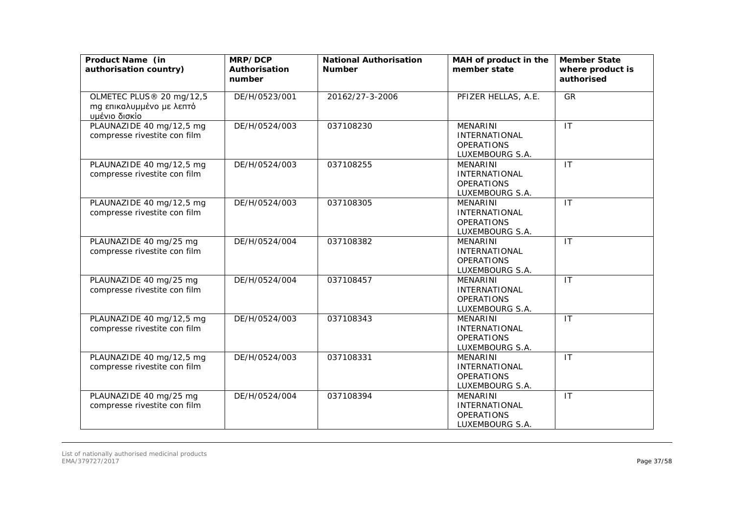| Product Name (in<br>authorisation country)                            | MRP/DCP<br>Authorisation<br>number | <b>National Authorisation</b><br><b>Number</b> | MAH of product in the<br>member state                                           | <b>Member State</b><br>where product is<br>authorised |
|-----------------------------------------------------------------------|------------------------------------|------------------------------------------------|---------------------------------------------------------------------------------|-------------------------------------------------------|
| OLMETEC PLUS® 20 mg/12,5<br>mg επικαλυμμένο με λεπτό<br>υμένιο δισκίο | DE/H/0523/001                      | 20162/27-3-2006                                | PFIZER HELLAS, A.E.                                                             | GR                                                    |
| PLAUNAZIDE 40 mg/12,5 mg<br>compresse rivestite con film              | DE/H/0524/003                      | 037108230                                      | <b>MENARINI</b><br><b>INTERNATIONAL</b><br><b>OPERATIONS</b><br>LUXEMBOURG S.A. | IT                                                    |
| PLAUNAZIDE 40 mg/12,5 mg<br>compresse rivestite con film              | DE/H/0524/003                      | 037108255                                      | <b>MENARINI</b><br><b>INTERNATIONAL</b><br><b>OPERATIONS</b><br>LUXEMBOURG S.A. | IT                                                    |
| PLAUNAZIDE 40 mg/12,5 mg<br>compresse rivestite con film              | DE/H/0524/003                      | 037108305                                      | <b>MENARINI</b><br><b>INTERNATIONAL</b><br><b>OPERATIONS</b><br>LUXEMBOURG S.A. | IT                                                    |
| PLAUNAZIDE 40 mg/25 mg<br>compresse rivestite con film                | DE/H/0524/004                      | 037108382                                      | <b>MENARINI</b><br><b>INTERNATIONAL</b><br><b>OPERATIONS</b><br>LUXEMBOURG S.A. | IT                                                    |
| PLAUNAZIDE 40 mg/25 mg<br>compresse rivestite con film                | DE/H/0524/004                      | 037108457                                      | <b>MENARINI</b><br><b>INTERNATIONAL</b><br><b>OPERATIONS</b><br>LUXEMBOURG S.A. | $\overline{1}$                                        |
| PLAUNAZIDE 40 mg/12,5 mg<br>compresse rivestite con film              | DE/H/0524/003                      | 037108343                                      | <b>MENARINI</b><br>INTERNATIONAL<br><b>OPERATIONS</b><br>LUXEMBOURG S.A.        | $\mathsf{I}\mathsf{T}$                                |
| PLAUNAZIDE 40 mg/12,5 mg<br>compresse rivestite con film              | DE/H/0524/003                      | 037108331                                      | <b>MENARINI</b><br><b>INTERNATIONAL</b><br><b>OPERATIONS</b><br>LUXEMBOURG S.A. | IT                                                    |
| PLAUNAZIDE 40 mg/25 mg<br>compresse rivestite con film                | DE/H/0524/004                      | 037108394                                      | <b>MENARINI</b><br><b>INTERNATIONAL</b><br><b>OPERATIONS</b><br>LUXEMBOURG S.A. | $\mathsf{I}\mathsf{T}$                                |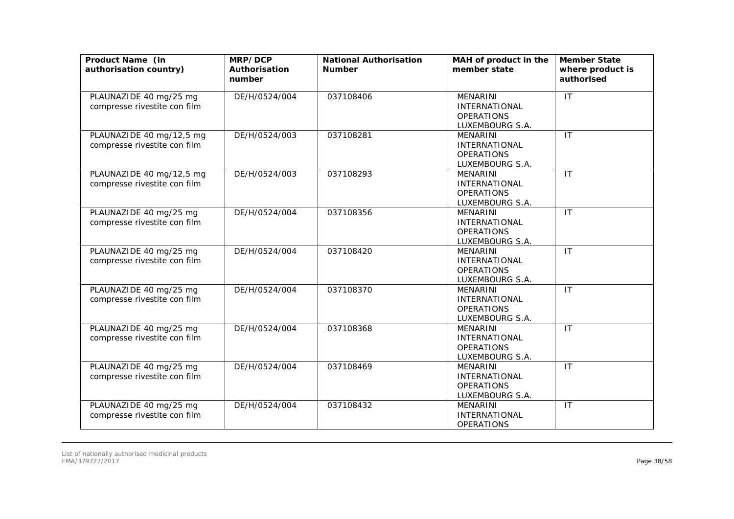| Product Name (in<br>authorisation country)               | MRP/DCP<br>Authorisation<br>number | <b>National Authorisation</b><br><b>Number</b> | MAH of product in the<br>member state                                           | <b>Member State</b><br>where product is<br>authorised |
|----------------------------------------------------------|------------------------------------|------------------------------------------------|---------------------------------------------------------------------------------|-------------------------------------------------------|
| PLAUNAZIDE 40 mg/25 mg<br>compresse rivestite con film   | DE/H/0524/004                      | 037108406                                      | <b>MENARINI</b><br><b>INTERNATIONAL</b><br><b>OPERATIONS</b><br>LUXEMBOURG S.A. | $\overline{\mathsf{I}\mathsf{T}}$                     |
| PLAUNAZIDE 40 mg/12,5 mg<br>compresse rivestite con film | DE/H/0524/003                      | 037108281                                      | <b>MENARINI</b><br><b>INTERNATIONAL</b><br><b>OPERATIONS</b><br>LUXEMBOURG S.A. | IT                                                    |
| PLAUNAZIDE 40 mg/12,5 mg<br>compresse rivestite con film | DE/H/0524/003                      | 037108293                                      | <b>MENARINI</b><br><b>INTERNATIONAL</b><br><b>OPERATIONS</b><br>LUXEMBOURG S.A. | IT                                                    |
| PLAUNAZIDE 40 mg/25 mg<br>compresse rivestite con film   | DE/H/0524/004                      | 037108356                                      | <b>MENARINI</b><br><b>INTERNATIONAL</b><br><b>OPERATIONS</b><br>LUXEMBOURG S.A. | $\mathsf{I}\mathsf{T}$                                |
| PLAUNAZIDE 40 mg/25 mg<br>compresse rivestite con film   | DE/H/0524/004                      | 037108420                                      | <b>MENARINI</b><br>INTERNATIONAL<br><b>OPERATIONS</b><br>LUXEMBOURG S.A.        | $\mathsf{I}\mathsf{T}$                                |
| PLAUNAZIDE 40 mg/25 mg<br>compresse rivestite con film   | DE/H/0524/004                      | 037108370                                      | <b>MENARINI</b><br><b>INTERNATIONAL</b><br><b>OPERATIONS</b><br>LUXEMBOURG S.A. | $\overline{11}$                                       |
| PLAUNAZIDE 40 mg/25 mg<br>compresse rivestite con film   | DE/H/0524/004                      | 037108368                                      | <b>MENARINI</b><br><b>INTERNATIONAL</b><br><b>OPERATIONS</b><br>LUXEMBOURG S.A. | $\overline{\mathsf{I}\mathsf{T}}$                     |
| PLAUNAZIDE 40 mg/25 mg<br>compresse rivestite con film   | DE/H/0524/004                      | 037108469                                      | <b>MENARINI</b><br><b>INTERNATIONAL</b><br><b>OPERATIONS</b><br>LUXEMBOURG S.A. | $\mathsf{I}\mathsf{T}$                                |
| PLAUNAZIDE 40 mg/25 mg<br>compresse rivestite con film   | DE/H/0524/004                      | 037108432                                      | <b>MENARINI</b><br><b>INTERNATIONAL</b><br><b>OPERATIONS</b>                    | $\mathsf{I}\mathsf{T}$                                |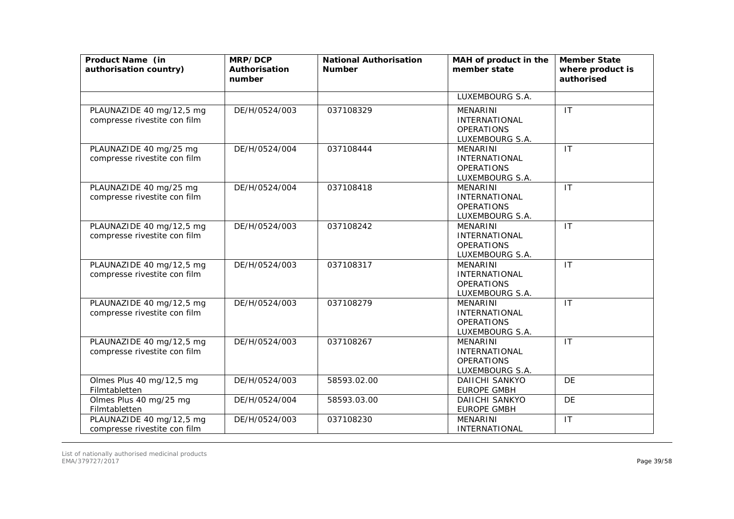| Product Name (in<br>authorisation country)               | MRP/DCP<br>Authorisation<br>number | <b>National Authorisation</b><br><b>Number</b> | MAH of product in the<br>member state                                           | <b>Member State</b><br>where product is<br>authorised |
|----------------------------------------------------------|------------------------------------|------------------------------------------------|---------------------------------------------------------------------------------|-------------------------------------------------------|
|                                                          |                                    |                                                | LUXEMBOURG S.A.                                                                 |                                                       |
| PLAUNAZIDE 40 mg/12,5 mg<br>compresse rivestite con film | DE/H/0524/003                      | 037108329                                      | <b>MENARINI</b><br><b>INTERNATIONAL</b><br><b>OPERATIONS</b><br>LUXEMBOURG S.A. | IT                                                    |
| PLAUNAZIDE 40 mg/25 mg<br>compresse rivestite con film   | DE/H/0524/004                      | 037108444                                      | <b>MENARINI</b><br><b>INTERNATIONAL</b><br><b>OPERATIONS</b><br>LUXEMBOURG S.A. | IT                                                    |
| PLAUNAZIDE 40 mg/25 mg<br>compresse rivestite con film   | DE/H/0524/004                      | 037108418                                      | <b>MENARINI</b><br><b>INTERNATIONAL</b><br><b>OPERATIONS</b><br>LUXEMBOURG S.A. | IT                                                    |
| PLAUNAZIDE 40 mg/12,5 mg<br>compresse rivestite con film | DE/H/0524/003                      | 037108242                                      | <b>MENARINI</b><br><b>INTERNATIONAL</b><br><b>OPERATIONS</b><br>LUXEMBOURG S.A. | $\mathsf{I}\mathsf{T}$                                |
| PLAUNAZIDE 40 mg/12,5 mg<br>compresse rivestite con film | DE/H/0524/003                      | 037108317                                      | <b>MENARINI</b><br><b>INTERNATIONAL</b><br><b>OPERATIONS</b><br>LUXEMBOURG S.A. | IT                                                    |
| PLAUNAZIDE 40 mg/12,5 mg<br>compresse rivestite con film | DE/H/0524/003                      | 037108279                                      | <b>MENARINI</b><br><b>INTERNATIONAL</b><br><b>OPERATIONS</b><br>LUXEMBOURG S.A. | $\mathsf{I}\mathsf{T}$                                |
| PLAUNAZIDE 40 mg/12,5 mg<br>compresse rivestite con film | DE/H/0524/003                      | 037108267                                      | <b>MENARINI</b><br>INTERNATIONAL<br><b>OPERATIONS</b><br>LUXEMBOURG S.A.        | $\mathsf{I}$                                          |
| Olmes Plus 40 mg/12,5 mg<br>Filmtabletten                | DE/H/0524/003                      | 58593.02.00                                    | <b>DAIICHI SANKYO</b><br><b>EUROPE GMBH</b>                                     | <b>DE</b>                                             |
| Olmes Plus 40 mg/25 mg<br>Filmtabletten                  | DE/H/0524/004                      | 58593.03.00                                    | <b>DAIICHI SANKYO</b><br><b>EUROPE GMBH</b>                                     | DE                                                    |
| PLAUNAZIDE 40 mg/12,5 mg<br>compresse rivestite con film | DE/H/0524/003                      | 037108230                                      | <b>MENARINI</b><br>INTERNATIONAL                                                | $\mathsf{I}$                                          |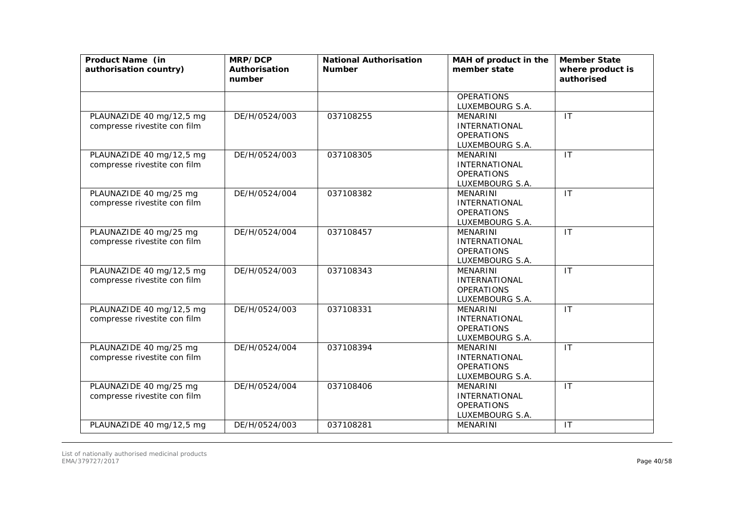| Product Name (in<br>authorisation country)               | MRP/DCP<br>Authorisation<br>number | <b>National Authorisation</b><br><b>Number</b> | MAH of product in the<br>member state                                           | <b>Member State</b><br>where product is<br>authorised |
|----------------------------------------------------------|------------------------------------|------------------------------------------------|---------------------------------------------------------------------------------|-------------------------------------------------------|
|                                                          |                                    |                                                | <b>OPERATIONS</b><br>LUXEMBOURG S.A.                                            |                                                       |
| PLAUNAZIDE 40 mg/12,5 mg<br>compresse rivestite con film | DE/H/0524/003                      | 037108255                                      | <b>MENARINI</b><br><b>INTERNATIONAL</b><br><b>OPERATIONS</b><br>LUXEMBOURG S.A. | $\mathsf{I}\mathsf{T}$                                |
| PLAUNAZIDE 40 mg/12,5 mg<br>compresse rivestite con film | DE/H/0524/003                      | 037108305                                      | <b>MENARINI</b><br><b>INTERNATIONAL</b><br><b>OPERATIONS</b><br>LUXEMBOURG S.A. | IT                                                    |
| PLAUNAZIDE 40 mg/25 mg<br>compresse rivestite con film   | DE/H/0524/004                      | 037108382                                      | <b>MENARINI</b><br><b>INTERNATIONAL</b><br><b>OPERATIONS</b><br>LUXEMBOURG S.A. | IT                                                    |
| PLAUNAZIDE 40 mg/25 mg<br>compresse rivestite con film   | DE/H/0524/004                      | 037108457                                      | <b>MENARINI</b><br><b>INTERNATIONAL</b><br><b>OPERATIONS</b><br>LUXEMBOURG S.A. | $\mathsf{I}\mathsf{T}$                                |
| PLAUNAZIDE 40 mg/12,5 mg<br>compresse rivestite con film | DE/H/0524/003                      | 037108343                                      | <b>MENARINI</b><br><b>INTERNATIONAL</b><br><b>OPERATIONS</b><br>LUXEMBOURG S.A. | $\mathsf{I}\mathsf{T}$                                |
| PLAUNAZIDE 40 mg/12,5 mg<br>compresse rivestite con film | DE/H/0524/003                      | 037108331                                      | <b>MENARINI</b><br><b>INTERNATIONAL</b><br><b>OPERATIONS</b><br>LUXEMBOURG S.A. | IT                                                    |
| PLAUNAZIDE 40 mg/25 mg<br>compresse rivestite con film   | DE/H/0524/004                      | 037108394                                      | <b>MENARINI</b><br><b>INTERNATIONAL</b><br><b>OPERATIONS</b><br>LUXEMBOURG S.A. | IT                                                    |
| PLAUNAZIDE 40 mg/25 mg<br>compresse rivestite con film   | DE/H/0524/004                      | 037108406                                      | <b>MENARINI</b><br><b>INTERNATIONAL</b><br><b>OPERATIONS</b><br>LUXEMBOURG S.A. | IT                                                    |
| PLAUNAZIDE 40 mg/12,5 mg                                 | DE/H/0524/003                      | 037108281                                      | MENARINI                                                                        | IT                                                    |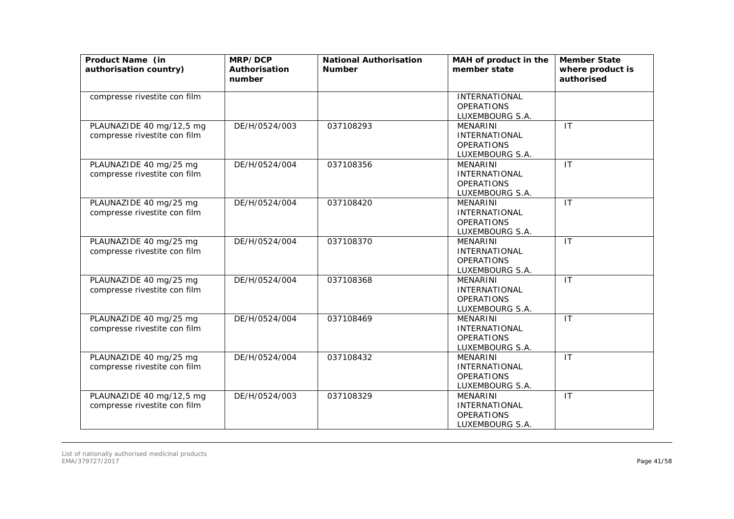| Product Name (in<br>authorisation country)               | MRP/DCP<br>Authorisation<br>number | <b>National Authorisation</b><br><b>Number</b> | MAH of product in the<br>member state                                           | <b>Member State</b><br>where product is<br>authorised |
|----------------------------------------------------------|------------------------------------|------------------------------------------------|---------------------------------------------------------------------------------|-------------------------------------------------------|
| compresse rivestite con film                             |                                    |                                                | <b>INTERNATIONAL</b><br><b>OPERATIONS</b><br>LUXEMBOURG S.A.                    |                                                       |
| PLAUNAZIDE 40 mg/12,5 mg<br>compresse rivestite con film | DE/H/0524/003                      | 037108293                                      | <b>MENARINI</b><br><b>INTERNATIONAL</b><br><b>OPERATIONS</b><br>LUXEMBOURG S.A. | $\mathsf{I}\mathsf{T}$                                |
| PLAUNAZIDE 40 mg/25 mg<br>compresse rivestite con film   | DE/H/0524/004                      | 037108356                                      | MENARINI<br><b>INTERNATIONAL</b><br><b>OPERATIONS</b><br>LUXEMBOURG S.A.        | $\mathsf{I}\mathsf{T}$                                |
| PLAUNAZIDE 40 mg/25 mg<br>compresse rivestite con film   | DE/H/0524/004                      | 037108420                                      | <b>MENARINI</b><br><b>INTERNATIONAL</b><br><b>OPERATIONS</b><br>LUXEMBOURG S.A. | $\mathsf{I}$                                          |
| PLAUNAZIDE 40 mg/25 mg<br>compresse rivestite con film   | DE/H/0524/004                      | 037108370                                      | <b>MENARINI</b><br><b>INTERNATIONAL</b><br><b>OPERATIONS</b><br>LUXEMBOURG S.A. | $\mathsf{I}$                                          |
| PLAUNAZIDE 40 mg/25 mg<br>compresse rivestite con film   | DE/H/0524/004                      | 037108368                                      | <b>MENARINI</b><br><b>INTERNATIONAL</b><br><b>OPERATIONS</b><br>LUXEMBOURG S.A. | $\mathsf{I}\mathsf{T}$                                |
| PLAUNAZIDE 40 mg/25 mg<br>compresse rivestite con film   | DE/H/0524/004                      | 037108469                                      | <b>MENARINI</b><br><b>INTERNATIONAL</b><br><b>OPERATIONS</b><br>LUXEMBOURG S.A. | $\mathsf{I}\mathsf{T}$                                |
| PLAUNAZIDE 40 mg/25 mg<br>compresse rivestite con film   | DE/H/0524/004                      | 037108432                                      | <b>MENARINI</b><br><b>INTERNATIONAL</b><br><b>OPERATIONS</b><br>LUXEMBOURG S.A. | $\mathsf{I}$                                          |
| PLAUNAZIDE 40 mg/12,5 mg<br>compresse rivestite con film | DE/H/0524/003                      | 037108329                                      | <b>MENARINI</b><br><b>INTERNATIONAL</b><br><b>OPERATIONS</b><br>LUXEMBOURG S.A. | $\mathsf{I}$                                          |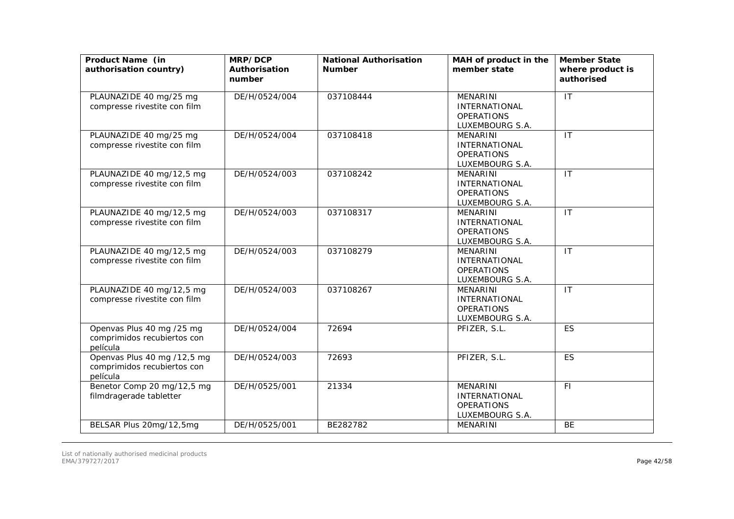| Product Name (in<br>authorisation country)                             | MRP/DCP<br>Authorisation<br>number | <b>National Authorisation</b><br><b>Number</b> | MAH of product in the<br>member state                                           | <b>Member State</b><br>where product is<br>authorised |
|------------------------------------------------------------------------|------------------------------------|------------------------------------------------|---------------------------------------------------------------------------------|-------------------------------------------------------|
| PLAUNAZIDE 40 mg/25 mg<br>compresse rivestite con film                 | DE/H/0524/004                      | 037108444                                      | <b>MENARINI</b><br><b>INTERNATIONAL</b><br><b>OPERATIONS</b><br>LUXEMBOURG S.A. | IT                                                    |
| PLAUNAZIDE 40 mg/25 mg<br>compresse rivestite con film                 | DE/H/0524/004                      | 037108418                                      | MENARINI<br><b>INTERNATIONAL</b><br><b>OPERATIONS</b><br>LUXEMBOURG S.A.        | $\overline{\mathsf{I}}$                               |
| PLAUNAZIDE 40 mg/12,5 mg<br>compresse rivestite con film               | DE/H/0524/003                      | 037108242                                      | <b>MENARINI</b><br><b>INTERNATIONAL</b><br><b>OPERATIONS</b><br>LUXEMBOURG S.A. | $\mathsf{I}$                                          |
| PLAUNAZIDE 40 mg/12,5 mg<br>compresse rivestite con film               | DE/H/0524/003                      | 037108317                                      | <b>MENARINI</b><br><b>INTERNATIONAL</b><br><b>OPERATIONS</b><br>LUXEMBOURG S.A. | $\mathsf{I}$                                          |
| PLAUNAZIDE 40 mg/12,5 mg<br>compresse rivestite con film               | DE/H/0524/003                      | 037108279                                      | <b>MENARINI</b><br><b>INTERNATIONAL</b><br><b>OPERATIONS</b><br>LUXEMBOURG S.A. | $\mathsf{I}$                                          |
| PLAUNAZIDE 40 mg/12,5 mg<br>compresse rivestite con film               | DE/H/0524/003                      | 037108267                                      | <b>MENARINI</b><br><b>INTERNATIONAL</b><br><b>OPERATIONS</b><br>LUXEMBOURG S.A. | IT                                                    |
| Openvas Plus 40 mg /25 mg<br>comprimidos recubiertos con<br>película   | DE/H/0524/004                      | 72694                                          | PFIZER, S.L.                                                                    | <b>ES</b>                                             |
| Openvas Plus 40 mg /12,5 mg<br>comprimidos recubiertos con<br>película | DE/H/0524/003                      | 72693                                          | PFIZER, S.L.                                                                    | <b>ES</b>                                             |
| Benetor Comp 20 mg/12,5 mg<br>filmdragerade tabletter                  | DE/H/0525/001                      | 21334                                          | <b>MENARINI</b><br><b>INTERNATIONAL</b><br><b>OPERATIONS</b><br>LUXEMBOURG S.A. | FI.                                                   |
| BELSAR Plus 20mg/12,5mg                                                | DE/H/0525/001                      | BE282782                                       | MENARINI                                                                        | <b>BE</b>                                             |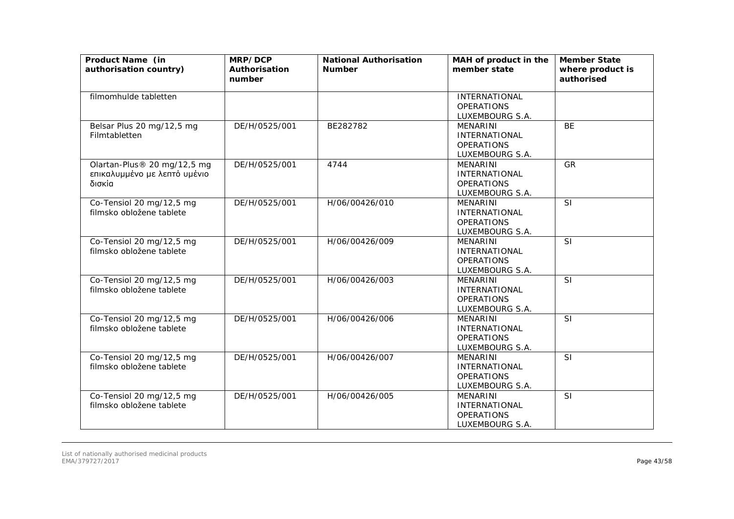| Product Name (in<br>authorisation country)                            | MRP/DCP<br>Authorisation<br>number | <b>National Authorisation</b><br><b>Number</b> | MAH of product in the<br>member state                                           | <b>Member State</b><br>where product is<br>authorised |
|-----------------------------------------------------------------------|------------------------------------|------------------------------------------------|---------------------------------------------------------------------------------|-------------------------------------------------------|
| filmomhulde tabletten                                                 |                                    |                                                | INTERNATIONAL<br><b>OPERATIONS</b><br>LUXEMBOURG S.A.                           |                                                       |
| Belsar Plus 20 mg/12,5 mg<br>Filmtabletten                            | DE/H/0525/001                      | BE282782                                       | <b>MENARINI</b><br><b>INTERNATIONAL</b><br><b>OPERATIONS</b><br>LUXEMBOURG S.A. | <b>BE</b>                                             |
| Olartan-Plus® 20 mg/12,5 mg<br>επικαλυμμένο με λεπτό υμένιο<br>δισκία | DE/H/0525/001                      | 4744                                           | MENARINI<br><b>INTERNATIONAL</b><br><b>OPERATIONS</b><br>LUXEMBOURG S.A.        | GR                                                    |
| Co-Tensiol 20 mg/12,5 mg<br>filmsko obložene tablete                  | DE/H/0525/001                      | H/06/00426/010                                 | <b>MENARINI</b><br><b>INTERNATIONAL</b><br><b>OPERATIONS</b><br>LUXEMBOURG S.A. | <b>SI</b>                                             |
| Co-Tensiol 20 mg/12,5 mg<br>filmsko obložene tablete                  | DE/H/0525/001                      | H/06/00426/009                                 | <b>MENARINI</b><br><b>INTERNATIONAL</b><br><b>OPERATIONS</b><br>LUXEMBOURG S.A. | <b>SI</b>                                             |
| Co-Tensiol 20 mg/12,5 mg<br>filmsko obložene tablete                  | DE/H/0525/001                      | H/06/00426/003                                 | <b>MENARINI</b><br><b>INTERNATIONAL</b><br><b>OPERATIONS</b><br>LUXEMBOURG S.A. | SI                                                    |
| Co-Tensiol 20 mg/12,5 mg<br>filmsko obložene tablete                  | DE/H/0525/001                      | H/06/00426/006                                 | <b>MENARINI</b><br>INTERNATIONAL<br><b>OPERATIONS</b><br>LUXEMBOURG S.A.        | SI                                                    |
| Co-Tensiol 20 mg/12,5 mg<br>filmsko obložene tablete                  | DE/H/0525/001                      | H/06/00426/007                                 | <b>MENARINI</b><br><b>INTERNATIONAL</b><br><b>OPERATIONS</b><br>LUXEMBOURG S.A. | SI                                                    |
| Co-Tensiol 20 mg/12,5 mg<br>filmsko obložene tablete                  | DE/H/0525/001                      | H/06/00426/005                                 | <b>MENARINI</b><br><b>INTERNATIONAL</b><br><b>OPERATIONS</b><br>LUXEMBOURG S.A. | SI                                                    |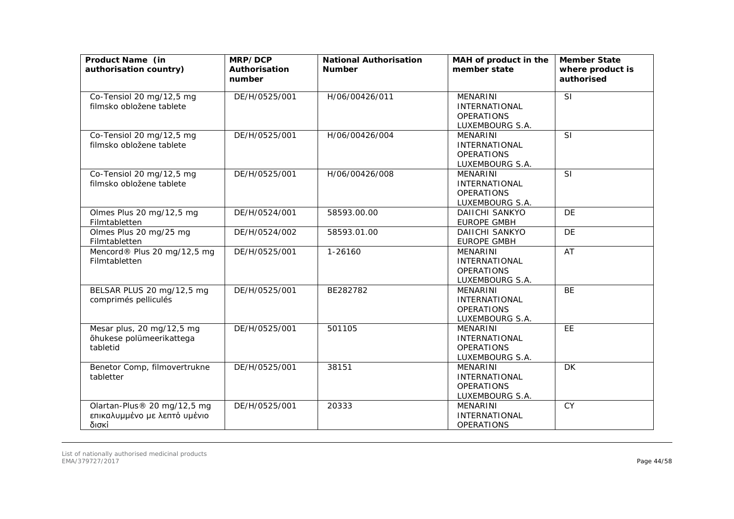| Product Name (in<br>authorisation country)                           | MRP/DCP<br>Authorisation<br>number | <b>National Authorisation</b><br><b>Number</b> | MAH of product in the<br>member state                                           | <b>Member State</b><br>where product is<br>authorised |
|----------------------------------------------------------------------|------------------------------------|------------------------------------------------|---------------------------------------------------------------------------------|-------------------------------------------------------|
| Co-Tensiol 20 mg/12,5 mg<br>filmsko obložene tablete                 | DE/H/0525/001                      | H/06/00426/011                                 | MENARINI<br><b>INTERNATIONAL</b><br><b>OPERATIONS</b><br>LUXEMBOURG S.A.        | SI                                                    |
| Co-Tensiol 20 mg/12,5 mg<br>filmsko obložene tablete                 | DE/H/0525/001                      | H/06/00426/004                                 | MENARINI<br><b>INTERNATIONAL</b><br><b>OPERATIONS</b><br>LUXEMBOURG S.A.        | SI                                                    |
| Co-Tensiol 20 mg/12,5 mg<br>filmsko obložene tablete                 | DE/H/0525/001                      | H/06/00426/008                                 | <b>MENARINI</b><br><b>INTERNATIONAL</b><br><b>OPERATIONS</b><br>LUXEMBOURG S.A. | <b>SI</b>                                             |
| Olmes Plus 20 mg/12,5 mg<br>Filmtabletten                            | DE/H/0524/001                      | 58593.00.00                                    | DAIICHI SANKYO<br><b>EUROPE GMBH</b>                                            | <b>DE</b>                                             |
| Olmes Plus 20 mg/25 mg<br>Filmtabletten                              | DE/H/0524/002                      | 58593.01.00                                    | <b>DAIICHI SANKYO</b><br><b>EUROPE GMBH</b>                                     | <b>DE</b>                                             |
| Mencord® Plus 20 mg/12,5 mg<br>Filmtabletten                         | DE/H/0525/001                      | 1-26160                                        | <b>MENARINI</b><br><b>INTERNATIONAL</b><br><b>OPERATIONS</b><br>LUXEMBOURG S.A. | AT                                                    |
| BELSAR PLUS 20 mg/12,5 mg<br>comprimés pelliculés                    | DE/H/0525/001                      | BE282782                                       | <b>MENARINI</b><br><b>INTERNATIONAL</b><br><b>OPERATIONS</b><br>LUXEMBOURG S.A. | <b>BE</b>                                             |
| Mesar plus, 20 mg/12,5 mg<br>õhukese polümeerikattega<br>tabletid    | DE/H/0525/001                      | 501105                                         | <b>MENARINI</b><br><b>INTERNATIONAL</b><br><b>OPERATIONS</b><br>LUXEMBOURG S.A. | EE                                                    |
| Benetor Comp, filmovertrukne<br>tabletter                            | DE/H/0525/001                      | 38151                                          | <b>MENARINI</b><br><b>INTERNATIONAL</b><br><b>OPERATIONS</b><br>LUXEMBOURG S.A. | <b>DK</b>                                             |
| Olartan-Plus® 20 mg/12,5 mg<br>επικαλυμμένο με λεπτό υμένιο<br>δισκί | DE/H/0525/001                      | 20333                                          | <b>MENARINI</b><br><b>INTERNATIONAL</b><br><b>OPERATIONS</b>                    | <b>CY</b>                                             |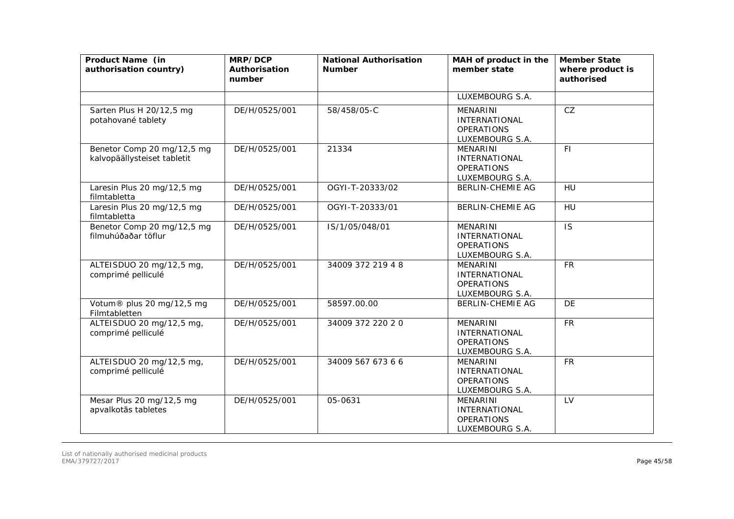| Product Name (in<br>authorisation country)                | MRP/DCP<br>Authorisation<br>number | <b>National Authorisation</b><br><b>Number</b> | MAH of product in the<br>member state                                           | <b>Member State</b><br>where product is<br>authorised |
|-----------------------------------------------------------|------------------------------------|------------------------------------------------|---------------------------------------------------------------------------------|-------------------------------------------------------|
|                                                           |                                    |                                                | LUXEMBOURG S.A.                                                                 |                                                       |
| Sarten Plus H 20/12,5 mg<br>potahované tablety            | DE/H/0525/001                      | 58/458/05-C                                    | <b>MENARINI</b><br><b>INTERNATIONAL</b><br><b>OPERATIONS</b><br>LUXEMBOURG S.A. | CZ                                                    |
| Benetor Comp 20 mg/12,5 mg<br>kalvopäällysteiset tabletit | DE/H/0525/001                      | 21334                                          | <b>MENARINI</b><br><b>INTERNATIONAL</b><br><b>OPERATIONS</b><br>LUXEMBOURG S.A. | <b>FI</b>                                             |
| Laresin Plus 20 mg/12,5 mg<br>filmtabletta                | DE/H/0525/001                      | OGYI-T-20333/02                                | <b>BERLIN-CHEMIE AG</b>                                                         | HU                                                    |
| Laresin Plus 20 mg/12,5 mg<br>filmtabletta                | DE/H/0525/001                      | OGYI-T-20333/01                                | <b>BERLIN-CHEMIE AG</b>                                                         | HU                                                    |
| Benetor Comp 20 mg/12,5 mg<br>filmuhúðaðar töflur         | DE/H/0525/001                      | IS/1/05/048/01                                 | <b>MENARINI</b><br><b>INTERNATIONAL</b><br><b>OPERATIONS</b><br>LUXEMBOURG S.A. | <b>IS</b>                                             |
| ALTEISDUO 20 mg/12,5 mg,<br>comprimé pelliculé            | DE/H/0525/001                      | 34009 372 219 4 8                              | <b>MENARINI</b><br><b>INTERNATIONAL</b><br><b>OPERATIONS</b><br>LUXEMBOURG S.A. | <b>FR</b>                                             |
| Votum® plus 20 mg/12,5 mg<br>Filmtabletten                | DE/H/0525/001                      | 58597.00.00                                    | <b>BERLIN-CHEMIE AG</b>                                                         | <b>DE</b>                                             |
| ALTEISDUO 20 mg/12,5 mg,<br>comprimé pelliculé            | DE/H/0525/001                      | 34009 372 220 20                               | <b>MENARINI</b><br><b>INTERNATIONAL</b><br><b>OPERATIONS</b><br>LUXEMBOURG S.A. | <b>FR</b>                                             |
| ALTEISDUO 20 mg/12,5 mg,<br>comprimé pelliculé            | DE/H/0525/001                      | 34009 567 673 6 6                              | <b>MENARINI</b><br><b>INTERNATIONAL</b><br><b>OPERATIONS</b><br>LUXEMBOURG S.A. | <b>FR</b>                                             |
| Mesar Plus 20 mg/12,5 mg<br>apvalkotās tabletes           | DE/H/0525/001                      | 05-0631                                        | <b>MENARINI</b><br><b>INTERNATIONAL</b><br><b>OPERATIONS</b><br>LUXEMBOURG S.A. | LV                                                    |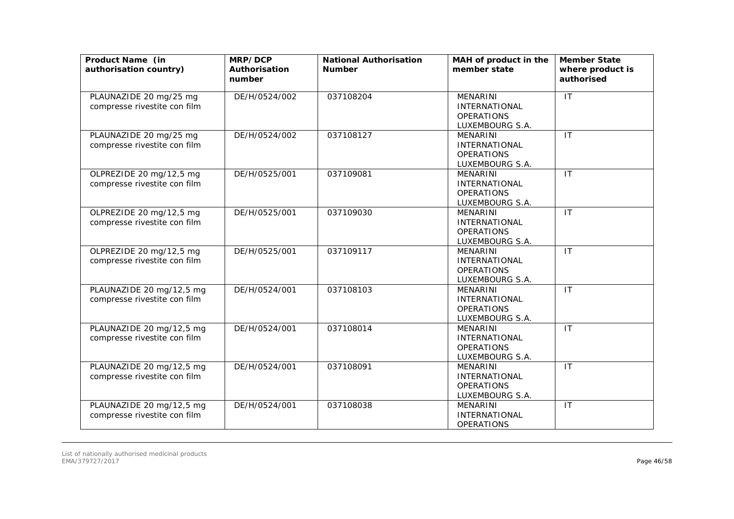| Product Name (in<br>authorisation country)               | MRP/DCP<br>Authorisation<br>number | <b>National Authorisation</b><br><b>Number</b> | MAH of product in the<br>member state                                           | <b>Member State</b><br>where product is<br>authorised |
|----------------------------------------------------------|------------------------------------|------------------------------------------------|---------------------------------------------------------------------------------|-------------------------------------------------------|
| PLAUNAZIDE 20 mg/25 mg<br>compresse rivestite con film   | DE/H/0524/002                      | 037108204                                      | MENARINI<br><b>INTERNATIONAL</b><br><b>OPERATIONS</b><br>LUXEMBOURG S.A.        | $\mathsf{I}\mathsf{T}$                                |
| PLAUNAZIDE 20 mg/25 mg<br>compresse rivestite con film   | DE/H/0524/002                      | 037108127                                      | <b>MENARINI</b><br><b>INTERNATIONAL</b><br><b>OPERATIONS</b><br>LUXEMBOURG S.A. | IT                                                    |
| OLPREZIDE 20 mg/12,5 mg<br>compresse rivestite con film  | DE/H/0525/001                      | 037109081                                      | <b>MENARINI</b><br><b>INTERNATIONAL</b><br><b>OPERATIONS</b><br>LUXEMBOURG S.A. | IT                                                    |
| OLPREZIDE 20 mg/12,5 mg<br>compresse rivestite con film  | DE/H/0525/001                      | 037109030                                      | MENARINI<br><b>INTERNATIONAL</b><br><b>OPERATIONS</b><br>LUXEMBOURG S.A.        | $\mathsf{I}\mathsf{T}$                                |
| OLPREZIDE 20 mg/12,5 mg<br>compresse rivestite con film  | DE/H/0525/001                      | 037109117                                      | <b>MENARINI</b><br><b>INTERNATIONAL</b><br><b>OPERATIONS</b><br>LUXEMBOURG S.A. | IT                                                    |
| PLAUNAZIDE 20 mg/12,5 mg<br>compresse rivestite con film | DE/H/0524/001                      | 037108103                                      | <b>MENARINI</b><br><b>INTERNATIONAL</b><br><b>OPERATIONS</b><br>LUXEMBOURG S.A. | $\overline{\mathsf{I}\mathsf{T}}$                     |
| PLAUNAZIDE 20 mg/12,5 mg<br>compresse rivestite con film | DE/H/0524/001                      | 037108014                                      | <b>MENARINI</b><br><b>INTERNATIONAL</b><br><b>OPERATIONS</b><br>LUXEMBOURG S.A. | IT                                                    |
| PLAUNAZIDE 20 mg/12,5 mg<br>compresse rivestite con film | DE/H/0524/001                      | 037108091                                      | <b>MENARINI</b><br><b>INTERNATIONAL</b><br><b>OPERATIONS</b><br>LUXEMBOURG S.A. | $\mathsf{I}\mathsf{T}$                                |
| PLAUNAZIDE 20 mg/12,5 mg<br>compresse rivestite con film | DE/H/0524/001                      | 037108038                                      | <b>MENARINI</b><br><b>INTERNATIONAL</b><br><b>OPERATIONS</b>                    | IT                                                    |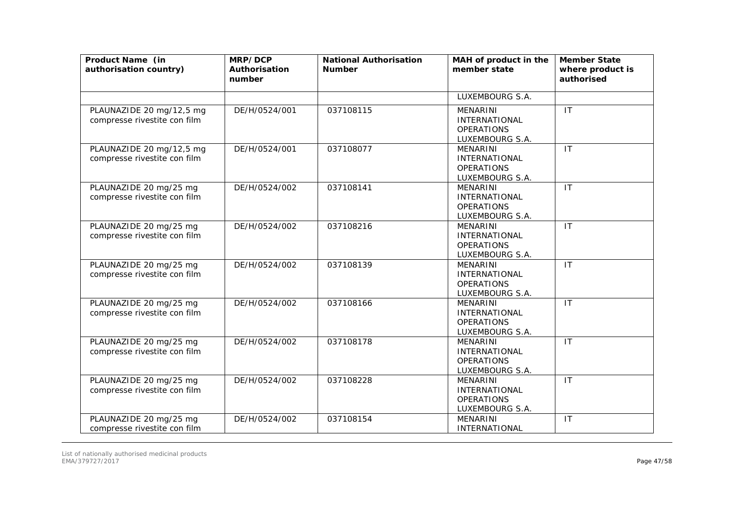| Product Name (in<br>authorisation country)               | MRP/DCP<br>Authorisation<br>number | <b>National Authorisation</b><br><b>Number</b> | MAH of product in the<br>member state                                           | <b>Member State</b><br>where product is<br>authorised |
|----------------------------------------------------------|------------------------------------|------------------------------------------------|---------------------------------------------------------------------------------|-------------------------------------------------------|
|                                                          |                                    |                                                | LUXEMBOURG S.A.                                                                 |                                                       |
| PLAUNAZIDE 20 mg/12,5 mg<br>compresse rivestite con film | DE/H/0524/001                      | 037108115                                      | <b>MENARINI</b><br><b>INTERNATIONAL</b><br><b>OPERATIONS</b><br>LUXEMBOURG S.A. | IT                                                    |
| PLAUNAZIDE 20 mg/12,5 mg<br>compresse rivestite con film | DE/H/0524/001                      | 037108077                                      | <b>MENARINI</b><br><b>INTERNATIONAL</b><br><b>OPERATIONS</b><br>LUXEMBOURG S.A. | IT                                                    |
| PLAUNAZIDE 20 mg/25 mg<br>compresse rivestite con film   | DE/H/0524/002                      | 037108141                                      | <b>MENARINI</b><br>INTERNATIONAL<br><b>OPERATIONS</b><br>LUXEMBOURG S.A.        | IT                                                    |
| PLAUNAZIDE 20 mg/25 mg<br>compresse rivestite con film   | DE/H/0524/002                      | 037108216                                      | <b>MENARINI</b><br><b>INTERNATIONAL</b><br><b>OPERATIONS</b><br>LUXEMBOURG S.A. | $\mathsf{I}\mathsf{T}$                                |
| PLAUNAZIDE 20 mg/25 mg<br>compresse rivestite con film   | DE/H/0524/002                      | 037108139                                      | <b>MENARINI</b><br><b>INTERNATIONAL</b><br><b>OPERATIONS</b><br>LUXEMBOURG S.A. | IT                                                    |
| PLAUNAZIDE 20 mg/25 mg<br>compresse rivestite con film   | DE/H/0524/002                      | 037108166                                      | <b>MENARINI</b><br><b>INTERNATIONAL</b><br><b>OPERATIONS</b><br>LUXEMBOURG S.A. | $\mathsf{I}\mathsf{T}$                                |
| PLAUNAZIDE 20 mg/25 mg<br>compresse rivestite con film   | DE/H/0524/002                      | 037108178                                      | <b>MENARINI</b><br><b>INTERNATIONAL</b><br><b>OPERATIONS</b><br>LUXEMBOURG S.A. | IT                                                    |
| PLAUNAZIDE 20 mg/25 mg<br>compresse rivestite con film   | DE/H/0524/002                      | 037108228                                      | <b>MENARINI</b><br><b>INTERNATIONAL</b><br><b>OPERATIONS</b><br>LUXEMBOURG S.A. | IT                                                    |
| PLAUNAZIDE 20 mg/25 mg<br>compresse rivestite con film   | DE/H/0524/002                      | 037108154                                      | <b>MENARINI</b><br><b>INTERNATIONAL</b>                                         | $\mathsf{I}\mathsf{T}$                                |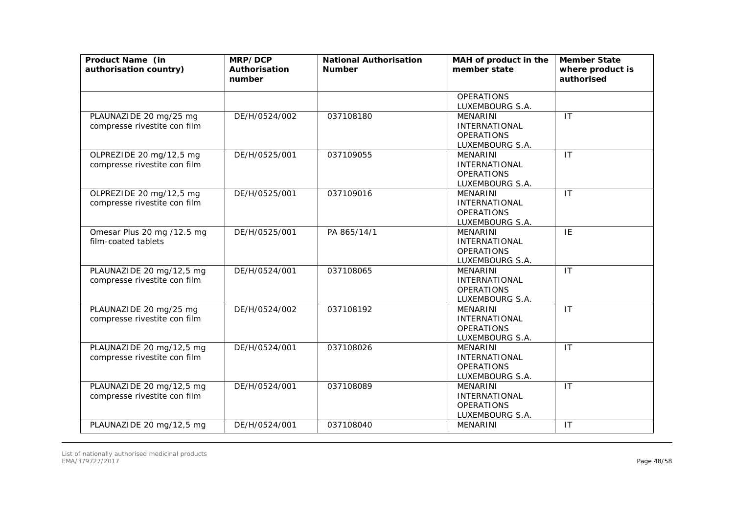| Product Name (in<br>authorisation country)               | MRP/DCP<br>Authorisation<br>number | <b>National Authorisation</b><br><b>Number</b> | MAH of product in the<br>member state                                           | <b>Member State</b><br>where product is<br>authorised |
|----------------------------------------------------------|------------------------------------|------------------------------------------------|---------------------------------------------------------------------------------|-------------------------------------------------------|
|                                                          |                                    |                                                | <b>OPERATIONS</b><br>LUXEMBOURG S.A.                                            |                                                       |
| PLAUNAZIDE 20 mg/25 mg<br>compresse rivestite con film   | DE/H/0524/002                      | 037108180                                      | <b>MENARINI</b><br><b>INTERNATIONAL</b><br><b>OPERATIONS</b><br>LUXEMBOURG S.A. | $\mathsf{I}\mathsf{T}$                                |
| OLPREZIDE 20 mg/12,5 mg<br>compresse rivestite con film  | DE/H/0525/001                      | 037109055                                      | <b>MENARINI</b><br><b>INTERNATIONAL</b><br><b>OPERATIONS</b><br>LUXEMBOURG S.A. | IT                                                    |
| OLPREZIDE 20 mg/12,5 mg<br>compresse rivestite con film  | DE/H/0525/001                      | 037109016                                      | <b>MENARINI</b><br><b>INTERNATIONAL</b><br><b>OPERATIONS</b><br>LUXEMBOURG S.A. | IT                                                    |
| Omesar Plus 20 mg /12.5 mg<br>film-coated tablets        | DE/H/0525/001                      | PA 865/14/1                                    | <b>MENARINI</b><br><b>INTERNATIONAL</b><br><b>OPERATIONS</b><br>LUXEMBOURG S.A. | IE                                                    |
| PLAUNAZIDE 20 mg/12,5 mg<br>compresse rivestite con film | DE/H/0524/001                      | 037108065                                      | <b>MENARINI</b><br><b>INTERNATIONAL</b><br><b>OPERATIONS</b><br>LUXEMBOURG S.A. | $\mathsf{I}$                                          |
| PLAUNAZIDE 20 mg/25 mg<br>compresse rivestite con film   | DE/H/0524/002                      | 037108192                                      | <b>MENARINI</b><br><b>INTERNATIONAL</b><br><b>OPERATIONS</b><br>LUXEMBOURG S.A. | IT                                                    |
| PLAUNAZIDE 20 mg/12,5 mg<br>compresse rivestite con film | DE/H/0524/001                      | 037108026                                      | <b>MENARINI</b><br><b>INTERNATIONAL</b><br><b>OPERATIONS</b><br>LUXEMBOURG S.A. | IT                                                    |
| PLAUNAZIDE 20 mg/12,5 mg<br>compresse rivestite con film | DE/H/0524/001                      | 037108089                                      | <b>MENARINI</b><br><b>INTERNATIONAL</b><br><b>OPERATIONS</b><br>LUXEMBOURG S.A. | $\mathsf{I}\mathsf{T}$                                |
| PLAUNAZIDE 20 mg/12,5 mg                                 | DE/H/0524/001                      | 037108040                                      | MENARINI                                                                        | IT                                                    |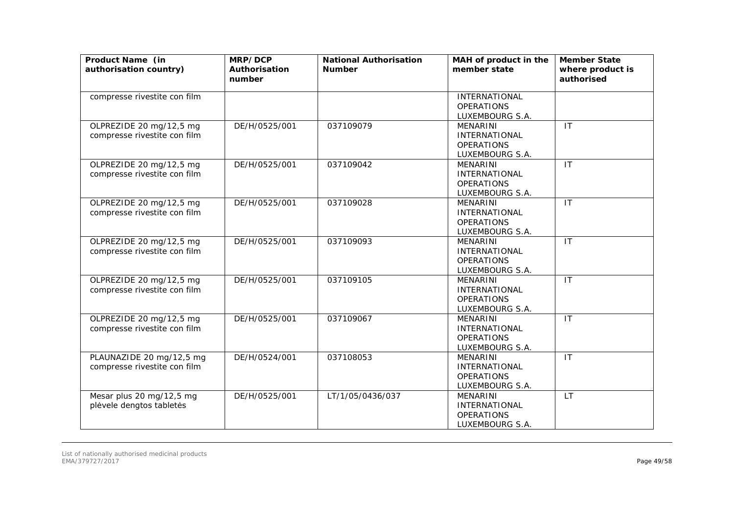| Product Name (in<br>authorisation country)               | MRP/DCP<br>Authorisation<br>number | <b>National Authorisation</b><br><b>Number</b> | MAH of product in the<br>member state                                           | <b>Member State</b><br>where product is<br>authorised |
|----------------------------------------------------------|------------------------------------|------------------------------------------------|---------------------------------------------------------------------------------|-------------------------------------------------------|
| compresse rivestite con film                             |                                    |                                                | INTERNATIONAL<br><b>OPERATIONS</b><br>LUXEMBOURG S.A.                           |                                                       |
| OLPREZIDE 20 mg/12,5 mg<br>compresse rivestite con film  | DE/H/0525/001                      | 037109079                                      | <b>MENARINI</b><br><b>INTERNATIONAL</b><br><b>OPERATIONS</b><br>LUXEMBOURG S.A. | IT                                                    |
| OLPREZIDE 20 mg/12,5 mg<br>compresse rivestite con film  | DE/H/0525/001                      | 037109042                                      | <b>MENARINI</b><br><b>INTERNATIONAL</b><br><b>OPERATIONS</b><br>LUXEMBOURG S.A. | $\overline{1}$                                        |
| OLPREZIDE 20 mg/12,5 mg<br>compresse rivestite con film  | DE/H/0525/001                      | 037109028                                      | <b>MENARINI</b><br><b>INTERNATIONAL</b><br><b>OPERATIONS</b><br>LUXEMBOURG S.A. | $\mathsf{I}$                                          |
| OLPREZIDE 20 mg/12,5 mg<br>compresse rivestite con film  | DE/H/0525/001                      | 037109093                                      | <b>MENARINI</b><br>INTERNATIONAL<br><b>OPERATIONS</b><br>LUXEMBOURG S.A.        | IT                                                    |
| OLPREZIDE 20 mg/12,5 mg<br>compresse rivestite con film  | DE/H/0525/001                      | 037109105                                      | <b>MENARINI</b><br><b>INTERNATIONAL</b><br><b>OPERATIONS</b><br>LUXEMBOURG S.A. | IT                                                    |
| OLPREZIDE 20 mg/12,5 mg<br>compresse rivestite con film  | DE/H/0525/001                      | 037109067                                      | <b>MENARINI</b><br>INTERNATIONAL<br><b>OPERATIONS</b><br>LUXEMBOURG S.A.        | IT                                                    |
| PLAUNAZIDE 20 mg/12,5 mg<br>compresse rivestite con film | DE/H/0524/001                      | 037108053                                      | <b>MENARINI</b><br><b>INTERNATIONAL</b><br><b>OPERATIONS</b><br>LUXEMBOURG S.A. | IT                                                    |
| Mesar plus 20 mg/12,5 mg<br>plėvele dengtos tabletės     | DE/H/0525/001                      | LT/1/05/0436/037                               | <b>MENARINI</b><br><b>INTERNATIONAL</b><br><b>OPERATIONS</b><br>LUXEMBOURG S.A. | LT                                                    |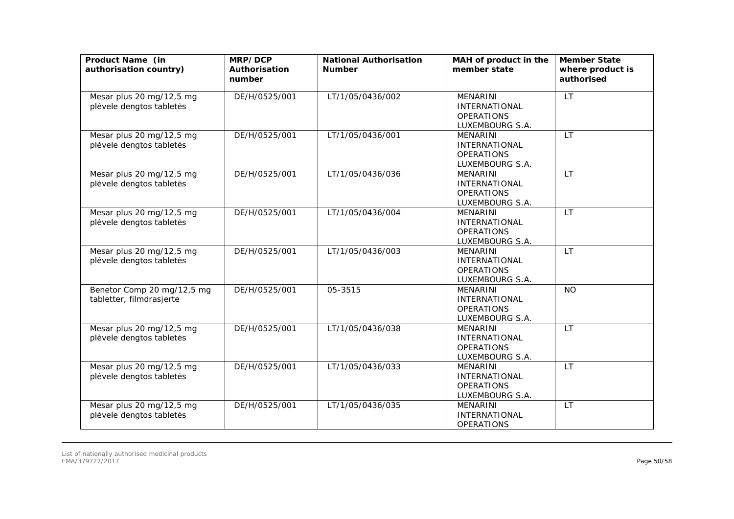| Product Name (in<br>authorisation country)             | MRP/DCP<br>Authorisation<br>number | <b>National Authorisation</b><br><b>Number</b> | MAH of product in the<br>member state                                           | <b>Member State</b><br>where product is<br>authorised |
|--------------------------------------------------------|------------------------------------|------------------------------------------------|---------------------------------------------------------------------------------|-------------------------------------------------------|
| Mesar plus 20 mg/12,5 mg<br>plėvele dengtos tabletės   | DE/H/0525/001                      | LT/1/05/0436/002                               | MENARINI<br><b>INTERNATIONAL</b><br><b>OPERATIONS</b><br>LUXEMBOURG S.A.        | <b>LT</b>                                             |
| Mesar plus 20 mg/12,5 mg<br>plėvele dengtos tabletės   | DE/H/0525/001                      | LT/1/05/0436/001                               | <b>MENARINI</b><br><b>INTERNATIONAL</b><br><b>OPERATIONS</b><br>LUXEMBOURG S.A. | <b>LT</b>                                             |
| Mesar plus 20 mg/12,5 mg<br>plėvele dengtos tabletės   | DE/H/0525/001                      | LT/1/05/0436/036                               | MENARINI<br><b>INTERNATIONAL</b><br><b>OPERATIONS</b><br>LUXEMBOURG S.A.        | LT                                                    |
| Mesar plus 20 mg/12,5 mg<br>plėvele dengtos tabletės   | DE/H/0525/001                      | LT/1/05/0436/004                               | <b>MENARINI</b><br><b>INTERNATIONAL</b><br><b>OPERATIONS</b><br>LUXEMBOURG S.A. | <b>LT</b>                                             |
| Mesar plus 20 mg/12,5 mg<br>plėvele dengtos tabletės   | DE/H/0525/001                      | LT/1/05/0436/003                               | <b>MENARINI</b><br><b>INTERNATIONAL</b><br><b>OPERATIONS</b><br>LUXEMBOURG S.A. | <b>LT</b>                                             |
| Benetor Comp 20 mg/12,5 mg<br>tabletter, filmdrasjerte | DE/H/0525/001                      | 05-3515                                        | <b>MENARINI</b><br><b>INTERNATIONAL</b><br><b>OPERATIONS</b><br>LUXEMBOURG S.A. | <b>NO</b>                                             |
| Mesar plus 20 mg/12,5 mg<br>plėvele dengtos tabletės   | DE/H/0525/001                      | LT/1/05/0436/038                               | <b>MENARINI</b><br><b>INTERNATIONAL</b><br><b>OPERATIONS</b><br>LUXEMBOURG S.A. | <b>LT</b>                                             |
| Mesar plus 20 mg/12,5 mg<br>plėvele dengtos tabletės   | DE/H/0525/001                      | LT/1/05/0436/033                               | <b>MENARINI</b><br><b>INTERNATIONAL</b><br><b>OPERATIONS</b><br>LUXEMBOURG S.A. | <b>LT</b>                                             |
| Mesar plus 20 mg/12,5 mg<br>plėvele dengtos tabletės   | DE/H/0525/001                      | LT/1/05/0436/035                               | <b>MENARINI</b><br><b>INTERNATIONAL</b><br><b>OPERATIONS</b>                    | <b>LT</b>                                             |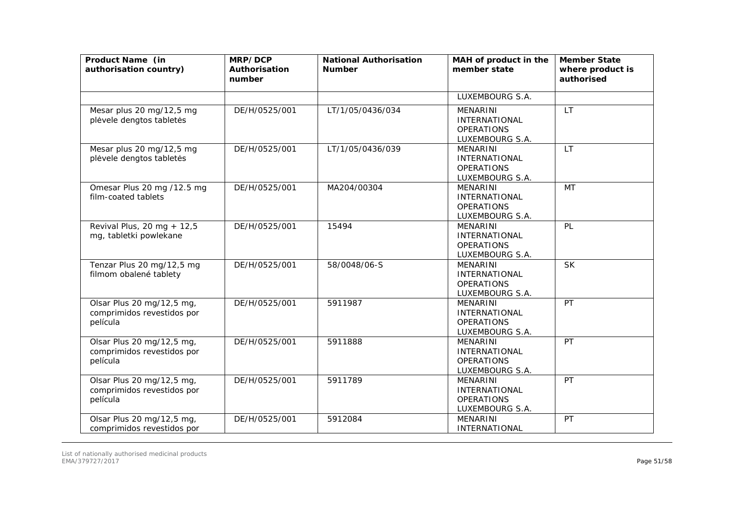| Product Name (in<br>authorisation country)                          | MRP/DCP<br>Authorisation<br>number | <b>National Authorisation</b><br><b>Number</b> | MAH of product in the<br>member state                                           | <b>Member State</b><br>where product is<br>authorised |
|---------------------------------------------------------------------|------------------------------------|------------------------------------------------|---------------------------------------------------------------------------------|-------------------------------------------------------|
|                                                                     |                                    |                                                | LUXEMBOURG S.A.                                                                 |                                                       |
| Mesar plus 20 mg/12,5 mg<br>plėvele dengtos tabletės                | DE/H/0525/001                      | LT/1/05/0436/034                               | <b>MENARINI</b><br><b>INTERNATIONAL</b><br><b>OPERATIONS</b><br>LUXEMBOURG S.A. | <b>LT</b>                                             |
| Mesar plus 20 mg/12,5 mg<br>plėvele dengtos tabletės                | DE/H/0525/001                      | LT/1/05/0436/039                               | <b>MENARINI</b><br><b>INTERNATIONAL</b><br><b>OPERATIONS</b><br>LUXEMBOURG S.A. | <b>LT</b>                                             |
| Omesar Plus 20 mg /12.5 mg<br>film-coated tablets                   | DE/H/0525/001                      | MA204/00304                                    | <b>MENARINI</b><br><b>INTERNATIONAL</b><br><b>OPERATIONS</b><br>LUXEMBOURG S.A. | <b>MT</b>                                             |
| Revival Plus, 20 mg + 12,5<br>mg, tabletki powlekane                | DE/H/0525/001                      | 15494                                          | <b>MENARINI</b><br><b>INTERNATIONAL</b><br><b>OPERATIONS</b><br>LUXEMBOURG S.A. | PL                                                    |
| Tenzar Plus 20 mg/12,5 mg<br>filmom obalené tablety                 | DE/H/0525/001                      | 58/0048/06-S                                   | <b>MENARINI</b><br><b>INTERNATIONAL</b><br><b>OPERATIONS</b><br>LUXEMBOURG S.A. | <b>SK</b>                                             |
| Olsar Plus 20 mg/12,5 mg,<br>comprimidos revestidos por<br>película | DE/H/0525/001                      | 5911987                                        | <b>MENARINI</b><br><b>INTERNATIONAL</b><br><b>OPERATIONS</b><br>LUXEMBOURG S.A. | PT                                                    |
| Olsar Plus 20 mg/12,5 mg,<br>comprimidos revestidos por<br>película | DE/H/0525/001                      | 5911888                                        | <b>MENARINI</b><br><b>INTERNATIONAL</b><br><b>OPERATIONS</b><br>LUXEMBOURG S.A. | PT                                                    |
| Olsar Plus 20 mg/12,5 mg,<br>comprimidos revestidos por<br>película | DE/H/0525/001                      | 5911789                                        | <b>MENARINI</b><br><b>INTERNATIONAL</b><br><b>OPERATIONS</b><br>LUXEMBOURG S.A. | PT                                                    |
| Olsar Plus 20 mg/12,5 mg,<br>comprimidos revestidos por             | DE/H/0525/001                      | 5912084                                        | <b>MENARINI</b><br><b>INTERNATIONAL</b>                                         | PT                                                    |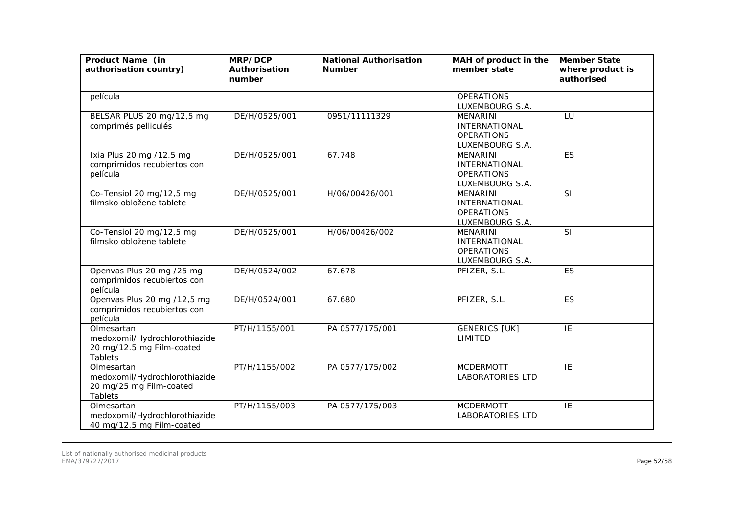| Product Name (in<br>authorisation country)                                          | MRP/DCP<br>Authorisation<br>number | <b>National Authorisation</b><br><b>Number</b> | MAH of product in the<br>member state                                           | <b>Member State</b><br>where product is<br>authorised |
|-------------------------------------------------------------------------------------|------------------------------------|------------------------------------------------|---------------------------------------------------------------------------------|-------------------------------------------------------|
| película                                                                            |                                    |                                                | <b>OPERATIONS</b><br>LUXEMBOURG S.A.                                            |                                                       |
| BELSAR PLUS 20 mg/12,5 mg<br>comprimés pelliculés                                   | DE/H/0525/001                      | 0951/11111329                                  | <b>MENARINI</b><br><b>INTERNATIONAL</b><br><b>OPERATIONS</b><br>LUXEMBOURG S.A. | LU                                                    |
| Ixia Plus 20 mg /12,5 mg<br>comprimidos recubiertos con<br>película                 | DE/H/0525/001                      | 67.748                                         | MENARINI<br><b>INTERNATIONAL</b><br><b>OPERATIONS</b><br>LUXEMBOURG S.A.        | ES                                                    |
| Co-Tensiol 20 mg/12,5 mg<br>filmsko obložene tablete                                | DE/H/0525/001                      | H/06/00426/001                                 | <b>MENARINI</b><br><b>INTERNATIONAL</b><br><b>OPERATIONS</b><br>LUXEMBOURG S.A. | SI                                                    |
| Co-Tensiol 20 mg/12,5 mg<br>filmsko obložene tablete                                | DE/H/0525/001                      | H/06/00426/002                                 | <b>MENARINI</b><br><b>INTERNATIONAL</b><br><b>OPERATIONS</b><br>LUXEMBOURG S.A. | SI                                                    |
| Openvas Plus 20 mg /25 mg<br>comprimidos recubiertos con<br>película                | DE/H/0524/002                      | 67.678                                         | PFIZER, S.L.                                                                    | ES                                                    |
| Openvas Plus 20 mg /12,5 mg<br>comprimidos recubiertos con<br>película              | DE/H/0524/001                      | 67.680                                         | PFIZER, S.L.                                                                    | ES                                                    |
| Olmesartan<br>medoxomil/Hydrochlorothiazide<br>20 mg/12.5 mg Film-coated<br>Tablets | PT/H/1155/001                      | PA 0577/175/001                                | <b>GENERICS [UK]</b><br>LIMITED                                                 | IE                                                    |
| Olmesartan<br>medoxomil/Hydrochlorothiazide<br>20 mg/25 mg Film-coated<br>Tablets   | PT/H/1155/002                      | PA 0577/175/002                                | <b>MCDERMOTT</b><br><b>LABORATORIES LTD</b>                                     | $\overline{IE}$                                       |
| Olmesartan<br>medoxomil/Hydrochlorothiazide<br>40 mg/12.5 mg Film-coated            | PT/H/1155/003                      | PA 0577/175/003                                | <b>MCDERMOTT</b><br><b>LABORATORIES LTD</b>                                     | IE                                                    |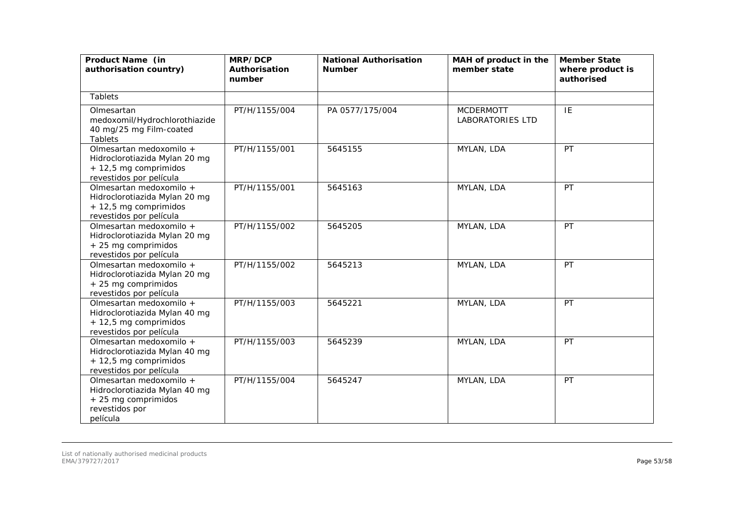| Product Name (in<br>authorisation country)                                                                    | MRP/DCP<br>Authorisation<br>number | <b>National Authorisation</b><br><b>Number</b> | MAH of product in the<br>member state       | <b>Member State</b><br>where product is<br>authorised |
|---------------------------------------------------------------------------------------------------------------|------------------------------------|------------------------------------------------|---------------------------------------------|-------------------------------------------------------|
| Tablets                                                                                                       |                                    |                                                |                                             |                                                       |
| Olmesartan<br>medoxomil/Hydrochlorothiazide<br>40 mg/25 mg Film-coated<br>Tablets                             | PT/H/1155/004                      | PA 0577/175/004                                | <b>MCDERMOTT</b><br><b>LABORATORIES LTD</b> | IE                                                    |
| Olmesartan medoxomilo +<br>Hidroclorotiazida Mylan 20 mg<br>+ 12,5 mg comprimidos<br>revestidos por película  | PT/H/1155/001                      | 5645155                                        | MYLAN, LDA                                  | PT                                                    |
| Olmesartan medoxomilo +<br>Hidroclorotiazida Mylan 20 mg<br>+ 12,5 mg comprimidos<br>revestidos por película  | PT/H/1155/001                      | 5645163                                        | MYLAN, LDA                                  | PT                                                    |
| Olmesartan medoxomilo +<br>Hidroclorotiazida Mylan 20 mg<br>+ 25 mg comprimidos<br>revestidos por película    | PT/H/1155/002                      | 5645205                                        | MYLAN, LDA                                  | PT                                                    |
| Olmesartan medoxomilo +<br>Hidroclorotiazida Mylan 20 mg<br>+ 25 mg comprimidos<br>revestidos por película    | PT/H/1155/002                      | 5645213                                        | MYLAN, LDA                                  | PT                                                    |
| Olmesartan medoxomilo +<br>Hidroclorotiazida Mylan 40 mg<br>+ 12,5 mg comprimidos<br>revestidos por película  | PT/H/1155/003                      | 5645221                                        | MYLAN, LDA                                  | <b>PT</b>                                             |
| Olmesartan medoxomilo +<br>Hidroclorotiazida Mylan 40 mg<br>+ 12,5 mg comprimidos<br>revestidos por película  | PT/H/1155/003                      | 5645239                                        | MYLAN, LDA                                  | <b>PT</b>                                             |
| Olmesartan medoxomilo +<br>Hidroclorotiazida Mylan 40 mg<br>+ 25 mg comprimidos<br>revestidos por<br>película | PT/H/1155/004                      | 5645247                                        | MYLAN, LDA                                  | PT                                                    |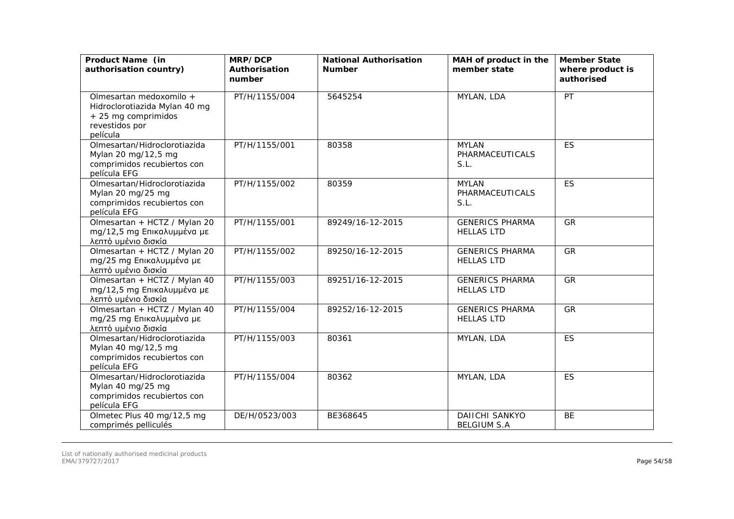| Product Name (in<br>authorisation country)                                                                    | MRP/DCP<br>Authorisation<br>number | <b>National Authorisation</b><br><b>Number</b> | MAH of product in the<br>member state       | <b>Member State</b><br>where product is<br>authorised |
|---------------------------------------------------------------------------------------------------------------|------------------------------------|------------------------------------------------|---------------------------------------------|-------------------------------------------------------|
| Olmesartan medoxomilo +<br>Hidroclorotiazida Mylan 40 mg<br>+ 25 mg comprimidos<br>revestidos por<br>película | PT/H/1155/004                      | 5645254                                        | MYLAN, LDA                                  | PT                                                    |
| Olmesartan/Hidroclorotiazida<br>Mylan 20 mg/12,5 mg<br>comprimidos recubiertos con<br>película EFG            | PT/H/1155/001                      | 80358                                          | <b>MYLAN</b><br>PHARMACEUTICALS<br>S.L.     | <b>ES</b>                                             |
| Olmesartan/Hidroclorotiazida<br>Mylan 20 mg/25 mg<br>comprimidos recubiertos con<br>película EFG              | PT/H/1155/002                      | 80359                                          | <b>MYLAN</b><br>PHARMACEUTICALS<br>S.L.     | <b>ES</b>                                             |
| Olmesartan + HCTZ / Mylan 20<br>mg/12,5 mg Επικαλυμμένα με<br>λεπτό υμένιο δισκία                             | PT/H/1155/001                      | 89249/16-12-2015                               | <b>GENERICS PHARMA</b><br><b>HELLAS LTD</b> | <b>GR</b>                                             |
| Olmesartan + HCTZ / Mylan 20<br>mg/25 mg Επικαλυμμένα με<br>λεπτό υμένιο δισκία                               | PT/H/1155/002                      | 89250/16-12-2015                               | <b>GENERICS PHARMA</b><br><b>HELLAS LTD</b> | GR                                                    |
| Olmesartan + HCTZ / Mylan 40<br>mg/12,5 mg Επικαλυμμένα με<br>λεπτό υμένιο δισκία                             | PT/H/1155/003                      | 89251/16-12-2015                               | <b>GENERICS PHARMA</b><br><b>HELLAS LTD</b> | GR                                                    |
| Olmesartan + HCTZ / Mylan 40<br>mg/25 mg Επικαλυμμένα με<br>λεπτό υμένιο δισκία                               | PT/H/1155/004                      | 89252/16-12-2015                               | <b>GENERICS PHARMA</b><br><b>HELLAS LTD</b> | GR                                                    |
| Olmesartan/Hidroclorotiazida<br>Mylan 40 mg/12,5 mg<br>comprimidos recubiertos con<br>película EFG            | PT/H/1155/003                      | 80361                                          | MYLAN, LDA                                  | <b>ES</b>                                             |
| Olmesartan/Hidroclorotiazida<br>Mylan 40 mg/25 mg<br>comprimidos recubiertos con<br>película EFG              | PT/H/1155/004                      | 80362                                          | MYLAN, LDA                                  | <b>ES</b>                                             |
| Olmetec Plus 40 mg/12,5 mg<br>comprimés pelliculés                                                            | DE/H/0523/003                      | BE368645                                       | <b>DAIICHI SANKYO</b><br><b>BELGIUM S.A</b> | <b>BE</b>                                             |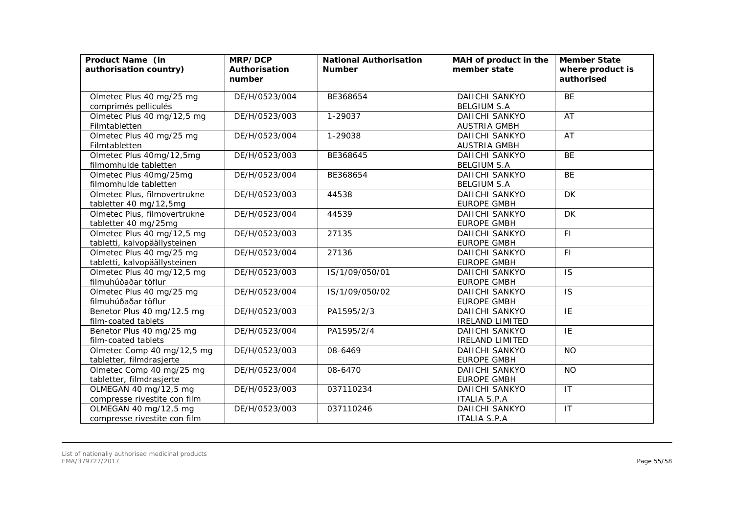| Product Name (in<br>authorisation country)                 | MRP/DCP<br>Authorisation<br>number | <b>National Authorisation</b><br><b>Number</b> | MAH of product in the<br>member state           | <b>Member State</b><br>where product is<br>authorised |
|------------------------------------------------------------|------------------------------------|------------------------------------------------|-------------------------------------------------|-------------------------------------------------------|
| Olmetec Plus 40 mg/25 mg<br>comprimés pelliculés           | DE/H/0523/004                      | BE368654                                       | <b>DAIICHI SANKYO</b><br><b>BELGIUM S.A</b>     | <b>BE</b>                                             |
| Olmetec Plus 40 mg/12,5 mg<br>Filmtabletten                | DE/H/0523/003                      | 1-29037                                        | <b>DAIICHI SANKYO</b><br><b>AUSTRIA GMBH</b>    | AT                                                    |
| Olmetec Plus 40 mg/25 mg<br>Filmtabletten                  | DE/H/0523/004                      | 1-29038                                        | <b>DAIICHI SANKYO</b><br><b>AUSTRIA GMBH</b>    | AT                                                    |
| Olmetec Plus 40mg/12,5mg<br>filmomhulde tabletten          | DE/H/0523/003                      | BE368645                                       | <b>DAIICHI SANKYO</b><br><b>BELGIUM S.A</b>     | <b>BE</b>                                             |
| Olmetec Plus 40mg/25mg<br>filmomhulde tabletten            | DE/H/0523/004                      | BE368654                                       | <b>DAIICHI SANKYO</b><br><b>BELGIUM S.A</b>     | <b>BE</b>                                             |
| Olmetec Plus, filmovertrukne<br>tabletter 40 mg/12,5mg     | DE/H/0523/003                      | 44538                                          | DAIICHI SANKYO<br><b>EUROPE GMBH</b>            | DK                                                    |
| Olmetec Plus, filmovertrukne<br>tabletter 40 mg/25mg       | DE/H/0523/004                      | 44539                                          | DAIICHI SANKYO<br><b>EUROPE GMBH</b>            | <b>DK</b>                                             |
| Olmetec Plus 40 mg/12,5 mg<br>tabletti, kalvopäällysteinen | DE/H/0523/003                      | 27135                                          | <b>DAIICHI SANKYO</b><br><b>EUROPE GMBH</b>     | <b>FI</b>                                             |
| Olmetec Plus 40 mg/25 mg<br>tabletti, kalvopäällysteinen   | DE/H/0523/004                      | 27136                                          | <b>DAIICHI SANKYO</b><br><b>EUROPE GMBH</b>     | F1                                                    |
| Olmetec Plus 40 mg/12,5 mg<br>filmuhúðaðar töflur          | DE/H/0523/003                      | IS/1/09/050/01                                 | <b>DAIICHI SANKYO</b><br><b>EUROPE GMBH</b>     | <b>IS</b>                                             |
| Olmetec Plus 40 mg/25 mg<br>filmuhúðaðar töflur            | DE/H/0523/004                      | IS/1/09/050/02                                 | <b>DAIICHI SANKYO</b><br><b>EUROPE GMBH</b>     | $\overline{1S}$                                       |
| Benetor Plus 40 mg/12.5 mg<br>film-coated tablets          | DE/H/0523/003                      | PA1595/2/3                                     | <b>DAIICHI SANKYO</b><br><b>IRELAND LIMITED</b> | IE                                                    |
| Benetor Plus 40 mg/25 mg<br>film-coated tablets            | DE/H/0523/004                      | PA1595/2/4                                     | <b>DAIICHI SANKYO</b><br><b>IRELAND LIMITED</b> | IE                                                    |
| Olmetec Comp 40 mg/12,5 mg<br>tabletter, filmdrasjerte     | DE/H/0523/003                      | 08-6469                                        | DAIICHI SANKYO<br><b>EUROPE GMBH</b>            | <b>NO</b>                                             |
| Olmetec Comp 40 mg/25 mg<br>tabletter, filmdrasjerte       | DE/H/0523/004                      | 08-6470                                        | <b>DAIICHI SANKYO</b><br><b>EUROPE GMBH</b>     | <b>NO</b>                                             |
| OLMEGAN 40 mg/12,5 mg<br>compresse rivestite con film      | DE/H/0523/003                      | 037110234                                      | DAIICHI SANKYO<br><b>ITALIA S.P.A</b>           | IT                                                    |
| OLMEGAN 40 mg/12,5 mg<br>compresse rivestite con film      | DE/H/0523/003                      | 037110246                                      | DAIICHI SANKYO<br><b>ITALIA S.P.A</b>           | IT                                                    |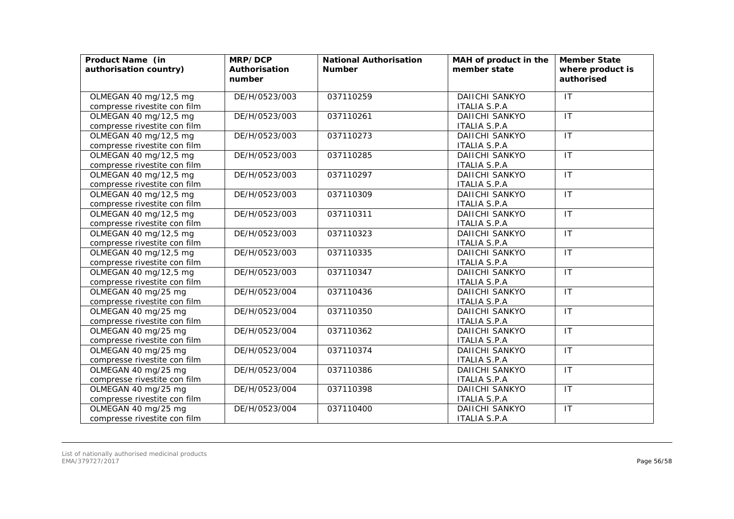| Product Name (in<br>authorisation country) | MRP/DCP<br>Authorisation<br>number | <b>National Authorisation</b><br><b>Number</b> | MAH of product in the<br>member state | <b>Member State</b><br>where product is<br>authorised |
|--------------------------------------------|------------------------------------|------------------------------------------------|---------------------------------------|-------------------------------------------------------|
|                                            |                                    |                                                |                                       |                                                       |
| OLMEGAN 40 mg/12,5 mg                      | DE/H/0523/003                      | 037110259                                      | <b>DAIICHI SANKYO</b>                 | $\overline{\mathsf{I}\mathsf{I}}$                     |
| compresse rivestite con film               |                                    |                                                | <b>ITALIA S.P.A</b>                   |                                                       |
| OLMEGAN 40 mg/12,5 mg                      | DE/H/0523/003                      | 037110261                                      | <b>DAIICHI SANKYO</b>                 | $\overline{11}$                                       |
| compresse rivestite con film               |                                    |                                                | <b>ITALIA S.P.A</b>                   |                                                       |
| OLMEGAN 40 mg/12,5 mg                      | DE/H/0523/003                      | 037110273                                      | <b>DAIICHI SANKYO</b>                 | $\mathsf{I}\mathsf{T}$                                |
| compresse rivestite con film               |                                    |                                                | <b>ITALIA S.P.A</b>                   |                                                       |
| OLMEGAN 40 mg/12,5 mg                      | DE/H/0523/003                      | 037110285                                      | <b>DAIICHI SANKYO</b>                 | $\overline{\mathsf{I}\mathsf{T}}$                     |
| compresse rivestite con film               |                                    |                                                | <b>ITALIA S.P.A</b>                   |                                                       |
| OLMEGAN 40 mg/12,5 mg                      | DE/H/0523/003                      | 037110297                                      | <b>DAIICHI SANKYO</b>                 | IT                                                    |
| compresse rivestite con film               |                                    |                                                | <b>ITALIA S.P.A</b>                   |                                                       |
| OLMEGAN 40 mg/12,5 mg                      | DE/H/0523/003                      | 037110309                                      | <b>DAIICHI SANKYO</b>                 | $\mathsf{I}\mathsf{T}$                                |
| compresse rivestite con film               |                                    |                                                | <b>ITALIA S.P.A</b>                   |                                                       |
| OLMEGAN 40 mg/12,5 mg                      | DE/H/0523/003                      | 037110311                                      | DAIICHI SANKYO                        | IT                                                    |
| compresse rivestite con film               |                                    |                                                | <b>ITALIA S.P.A</b>                   |                                                       |
| OLMEGAN 40 mg/12,5 mg                      | DE/H/0523/003                      | 037110323                                      | <b>DAIICHI SANKYO</b>                 | IT                                                    |
| compresse rivestite con film               |                                    |                                                | <b>ITALIA S.P.A</b>                   |                                                       |
| OLMEGAN 40 mg/12,5 mg                      | DE/H/0523/003                      | 037110335                                      | <b>DAIICHI SANKYO</b>                 | $\mathsf{I}\mathsf{T}$                                |
| compresse rivestite con film               |                                    |                                                | <b>ITALIA S.P.A</b>                   |                                                       |
| OLMEGAN 40 mg/12,5 mg                      | DE/H/0523/003                      | 037110347                                      | <b>DAIICHI SANKYO</b>                 | $\overline{\mathsf{I}\mathsf{T}}$                     |
| compresse rivestite con film               |                                    |                                                | <b>ITALIA S.P.A</b>                   |                                                       |
| OLMEGAN 40 mg/25 mg                        | DE/H/0523/004                      | 037110436                                      | <b>DAIICHI SANKYO</b>                 | $\overline{1}$                                        |
| compresse rivestite con film               |                                    |                                                | <b>ITALIA S.P.A</b>                   |                                                       |
| OLMEGAN 40 mg/25 mg                        | DE/H/0523/004                      | 037110350                                      | <b>DAIICHI SANKYO</b>                 | $\mathsf{I}\mathsf{T}$                                |
| compresse rivestite con film               |                                    |                                                | <b>ITALIA S.P.A</b>                   |                                                       |
| OLMEGAN 40 mg/25 mg                        | DE/H/0523/004                      | 037110362                                      | <b>DAIICHI SANKYO</b>                 | $\mathsf{I}\mathsf{T}$                                |
| compresse rivestite con film               |                                    |                                                | <b>ITALIA S.P.A</b>                   |                                                       |
| OLMEGAN 40 mg/25 mg                        | DE/H/0523/004                      | 037110374                                      | <b>DAIICHI SANKYO</b>                 | IT                                                    |
| compresse rivestite con film               |                                    |                                                | <b>ITALIA S.P.A</b>                   |                                                       |
| OLMEGAN 40 mg/25 mg                        | DE/H/0523/004                      | 037110386                                      | <b>DAIICHI SANKYO</b>                 | $\overline{\mathsf{I}\mathsf{T}}$                     |
| compresse rivestite con film               |                                    |                                                | <b>ITALIA S.P.A</b>                   |                                                       |
| OLMEGAN 40 mg/25 mg                        | DE/H/0523/004                      | 037110398                                      | <b>DAIICHI SANKYO</b>                 | $\mathsf{I}\mathsf{T}$                                |
| compresse rivestite con film               |                                    |                                                | <b>ITALIA S.P.A</b>                   |                                                       |
| OLMEGAN 40 mg/25 mg                        | DE/H/0523/004                      | 037110400                                      | DAIICHI SANKYO                        | $\mathsf{I}\mathsf{T}$                                |
| compresse rivestite con film               |                                    |                                                | <b>ITALIA S.P.A</b>                   |                                                       |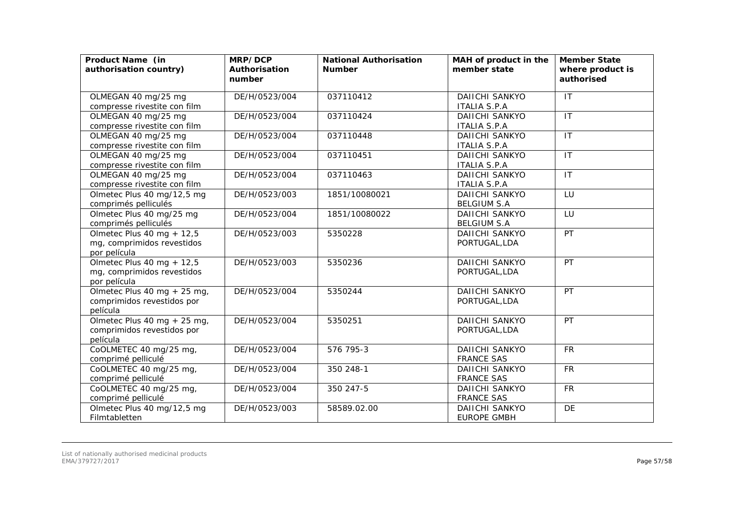| Product Name (in<br>authorisation country)                                | MRP/DCP<br>Authorisation<br>number | <b>National Authorisation</b><br><b>Number</b> | MAH of product in the<br>member state        | <b>Member State</b><br>where product is<br>authorised |
|---------------------------------------------------------------------------|------------------------------------|------------------------------------------------|----------------------------------------------|-------------------------------------------------------|
| OLMEGAN 40 mg/25 mg<br>compresse rivestite con film                       | DE/H/0523/004                      | 037110412                                      | <b>DAIICHI SANKYO</b><br><b>ITALIA S.P.A</b> | IT                                                    |
| OLMEGAN 40 mg/25 mg<br>compresse rivestite con film                       | DE/H/0523/004                      | 037110424                                      | <b>DAIICHI SANKYO</b><br><b>ITALIA S.P.A</b> | IT                                                    |
| OLMEGAN 40 mg/25 mg<br>compresse rivestite con film                       | DE/H/0523/004                      | 037110448                                      | <b>DAIICHI SANKYO</b><br><b>ITALIA S.P.A</b> | $\mathsf{I}\mathsf{T}$                                |
| OLMEGAN 40 mg/25 mg<br>compresse rivestite con film                       | DE/H/0523/004                      | 037110451                                      | <b>DAIICHI SANKYO</b><br><b>ITALIA S.P.A</b> | $\mathsf{I}\mathsf{T}$                                |
| OLMEGAN 40 mg/25 mg<br>compresse rivestite con film                       | DE/H/0523/004                      | 037110463                                      | <b>DAIICHI SANKYO</b><br><b>ITALIA S.P.A</b> | $\mathsf{I}\mathsf{T}$                                |
| Olmetec Plus 40 mg/12,5 mg<br>comprimés pelliculés                        | DE/H/0523/003                      | 1851/10080021                                  | <b>DAIICHI SANKYO</b><br><b>BELGIUM S.A</b>  | LU                                                    |
| Olmetec Plus 40 mg/25 mg<br>comprimés pelliculés                          | DE/H/0523/004                      | 1851/10080022                                  | <b>DAIICHI SANKYO</b><br><b>BELGIUM S.A</b>  | LU                                                    |
| Olmetec Plus 40 mg + $12,5$<br>mg, comprimidos revestidos<br>por película | DE/H/0523/003                      | 5350228                                        | <b>DAIICHI SANKYO</b><br>PORTUGAL, LDA       | PT                                                    |
| Olmetec Plus 40 mg + 12,5<br>mg, comprimidos revestidos<br>por película   | DE/H/0523/003                      | 5350236                                        | DAIICHI SANKYO<br>PORTUGAL, LDA              | PT                                                    |
| Olmetec Plus 40 mg + 25 mg,<br>comprimidos revestidos por<br>película     | DE/H/0523/004                      | 5350244                                        | DAIICHI SANKYO<br>PORTUGAL, LDA              | PT                                                    |
| Olmetec Plus 40 mg + 25 mg,<br>comprimidos revestidos por<br>película     | DE/H/0523/004                      | 5350251                                        | DAIICHI SANKYO<br>PORTUGAL, LDA              | PT                                                    |
| CoOLMETEC 40 mg/25 mg,<br>comprimé pelliculé                              | DE/H/0523/004                      | 576 795-3                                      | <b>DAIICHI SANKYO</b><br><b>FRANCE SAS</b>   | <b>FR</b>                                             |
| CoOLMETEC 40 mg/25 mg,<br>comprimé pelliculé                              | DE/H/0523/004                      | 350 248-1                                      | <b>DAIICHI SANKYO</b><br><b>FRANCE SAS</b>   | <b>FR</b>                                             |
| CoOLMETEC 40 mg/25 mg,<br>comprimé pelliculé                              | DE/H/0523/004                      | 350 247-5                                      | <b>DAIICHI SANKYO</b><br><b>FRANCE SAS</b>   | <b>FR</b>                                             |
| Olmetec Plus 40 mg/12,5 mg<br>Filmtabletten                               | DE/H/0523/003                      | 58589.02.00                                    | <b>DAIICHI SANKYO</b><br><b>EUROPE GMBH</b>  | DE                                                    |